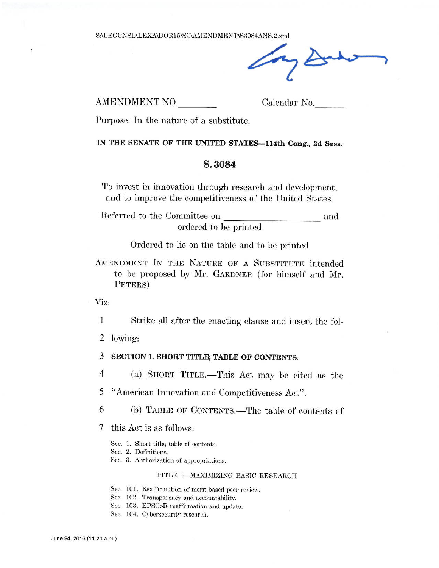AMENDMENT NO.

Calendar No.

Purpose: In the nature of a substitute.

IN THE SENATE OF THE UNITED STATES-114th Cong., 2d Sess.

## S.3084

To invest in innovation through research and development, and to improve the competitiveness of the United States.

Referred to the Committee on and ordered to be printed

Ordered to lie on the table and to be printed

AMENDMENT IN THE NATURE OF A SUBSTITUTE intended to be proposed by Mr. GARDNER (for himself and Mr. PETERS)

Viz:

 $\mathbf{1}$ Strike all after the enacting clause and insert the fol-

2 lowing:

3 SECTION 1. SHORT TITLE; TABLE OF CONTENTS.

(a) SHORT TITLE.—This Act may be cited as the  $\overline{4}$ 

"American Innovation and Competitiveness Act". 5

6 (b) TABLE OF CONTENTS.—The table of contents of

7 this Act is as follows:

See. 1. Short title; table of contents.

Sec. 2. Definitions.

Sec. 3. Authorization of appropriations.

### TITLE I-MAXIMIZING BASIC RESEARCH

Sec. 101. Reaffirmation of merit-based peer review.

Sec. 102. Transparency and accountability.

- Sec. 103. EPSCoR reaffirmation and update.
- Sec. 104. Cybersecurity research.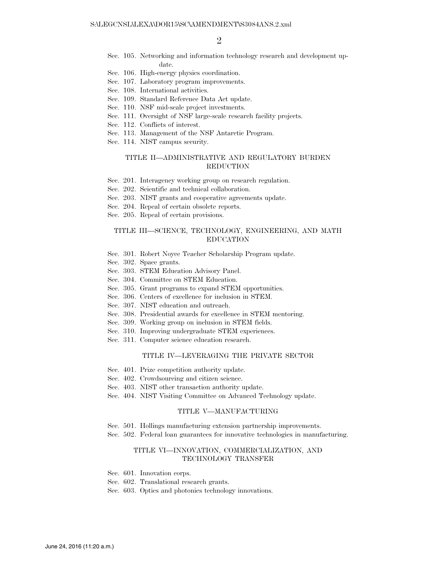- Sec. 105. Networking and information technology research and development update.
- Sec. 106. High-energy physics coordination.
- Sec. 107. Laboratory program improvements.
- Sec. 108. International activities.
- Sec. 109. Standard Reference Data Act update.
- Sec. 110. NSF mid-scale project investments.
- Sec. 111. Oversight of NSF large-scale research facility projects.
- Sec. 112. Conflicts of interest.
- Sec. 113. Management of the NSF Antarctic Program.
- Sec. 114. NIST campus security.

### TITLE II—ADMINISTRATIVE AND REGULATORY BURDEN REDUCTION

- Sec. 201. Interagency working group on research regulation.
- Sec. 202. Scientific and technical collaboration.
- Sec. 203. NIST grants and cooperative agreements update.
- Sec. 204. Repeal of certain obsolete reports.
- Sec. 205. Repeal of certain provisions.

### TITLE III—SCIENCE, TECHNOLOGY, ENGINEERING, AND MATH EDUCATION

- Sec. 301. Robert Noyce Teacher Scholarship Program update.
- Sec. 302. Space grants.
- Sec. 303. STEM Education Advisory Panel.
- Sec. 304. Committee on STEM Education.
- Sec. 305. Grant programs to expand STEM opportunities.
- Sec. 306. Centers of excellence for inclusion in STEM.
- Sec. 307. NIST education and outreach.
- Sec. 308. Presidential awards for excellence in STEM mentoring.
- Sec. 309. Working group on inclusion in STEM fields.
- Sec. 310. Improving undergraduate STEM experiences.
- Sec. 311. Computer science education research.

## TITLE IV—LEVERAGING THE PRIVATE SECTOR

- Sec. 401. Prize competition authority update.
- Sec. 402. Crowdsourcing and citizen science.
- Sec. 403. NIST other transaction authority update.
- Sec. 404. NIST Visiting Committee on Advanced Technology update.

#### TITLE V—MANUFACTURING

- Sec. 501. Hollings manufacturing extension partnership improvements.
- Sec. 502. Federal loan guarantees for innovative technologies in manufacturing.

### TITLE VI—INNOVATION, COMMERCIALIZATION, AND TECHNOLOGY TRANSFER

- Sec. 601. Innovation corps.
- Sec. 602. Translational research grants.
- Sec. 603. Optics and photonics technology innovations.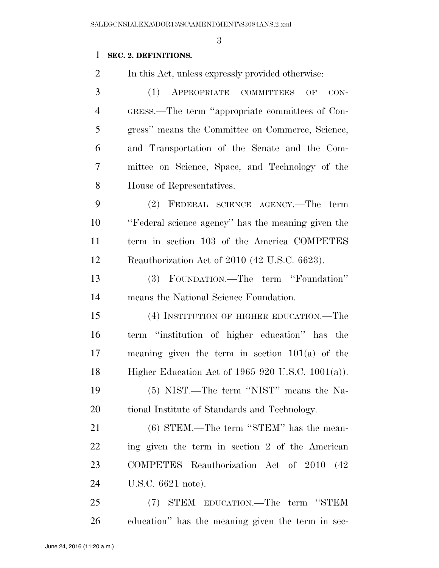# **SEC. 2. DEFINITIONS.**

In this Act, unless expressly provided otherwise:

 (1) APPROPRIATE COMMITTEES OF CON- GRESS.—The term ''appropriate committees of Con- gress'' means the Committee on Commerce, Science, and Transportation of the Senate and the Com- mittee on Science, Space, and Technology of the House of Representatives.

 (2) FEDERAL SCIENCE AGENCY.—The term ''Federal science agency'' has the meaning given the term in section 103 of the America COMPETES Reauthorization Act of 2010 (42 U.S.C. 6623).

 (3) FOUNDATION.—The term ''Foundation'' means the National Science Foundation.

 (4) INSTITUTION OF HIGHER EDUCATION.—The term ''institution of higher education'' has the meaning given the term in section 101(a) of the Higher Education Act of 1965 920 U.S.C. 1001(a)).

 (5) NIST.—The term ''NIST'' means the Na-tional Institute of Standards and Technology.

 (6) STEM.—The term ''STEM'' has the mean- ing given the term in section 2 of the American COMPETES Reauthorization Act of 2010 (42 U.S.C. 6621 note).

 (7) STEM EDUCATION.—The term ''STEM education'' has the meaning given the term in sec-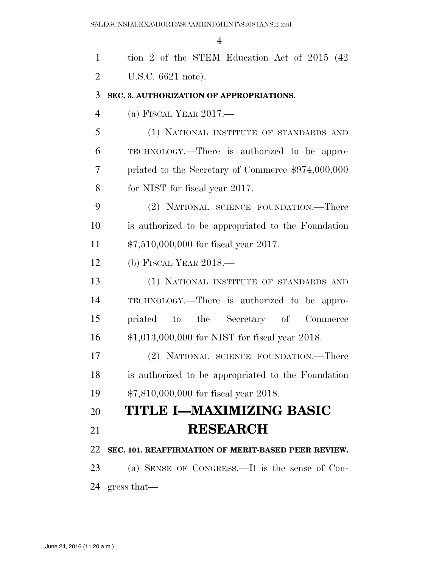tion 2 of the STEM Education Act of 2015 (42 U.S.C. 6621 note). **SEC. 3. AUTHORIZATION OF APPROPRIATIONS.**  (a) FISCAL YEAR 2017.— (1) NATIONAL INSTITUTE OF STANDARDS AND TECHNOLOGY.—There is authorized to be appro- priated to the Secretary of Commerce \$974,000,000 for NIST for fiscal year 2017. (2) NATIONAL SCIENCE FOUNDATION.—There is authorized to be appropriated to the Foundation \$7,510,000,000 for fiscal year 2017. (b) FISCAL YEAR 2018.— (1) NATIONAL INSTITUTE OF STANDARDS AND TECHNOLOGY.—There is authorized to be appro- priated to the Secretary of Commerce \$1,013,000,000 for NIST for fiscal year 2018. (2) NATIONAL SCIENCE FOUNDATION.—There is authorized to be appropriated to the Foundation \$7,810,000,000 for fiscal year 2018. **TITLE I—MAXIMIZING BASIC RESEARCH SEC. 101. REAFFIRMATION OF MERIT-BASED PEER REVIEW.**  (a) SENSE OF CONGRESS.—It is the sense of Con-

gress that—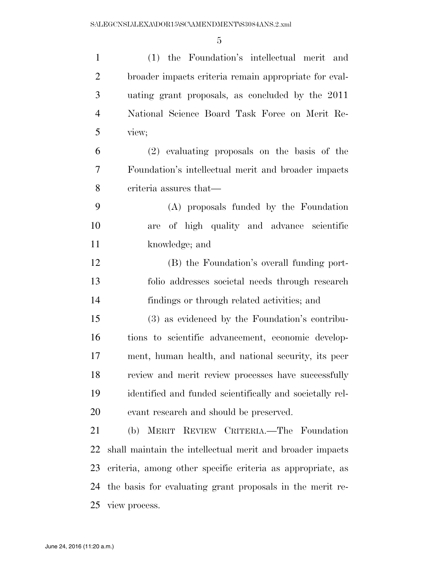(1) the Foundation's intellectual merit and broader impacts criteria remain appropriate for eval- uating grant proposals, as concluded by the 2011 National Science Board Task Force on Merit Re- view; (2) evaluating proposals on the basis of the Foundation's intellectual merit and broader impacts criteria assures that— (A) proposals funded by the Foundation are of high quality and advance scientific knowledge; and (B) the Foundation's overall funding port- folio addresses societal needs through research findings or through related activities; and (3) as evidenced by the Foundation's contribu- tions to scientific advancement, economic develop- ment, human health, and national security, its peer review and merit review processes have successfully identified and funded scientifically and societally rel- evant research and should be preserved. (b) MERIT REVIEW CRITERIA.—The Foundation shall maintain the intellectual merit and broader impacts criteria, among other specific criteria as appropriate, as the basis for evaluating grant proposals in the merit re-view process.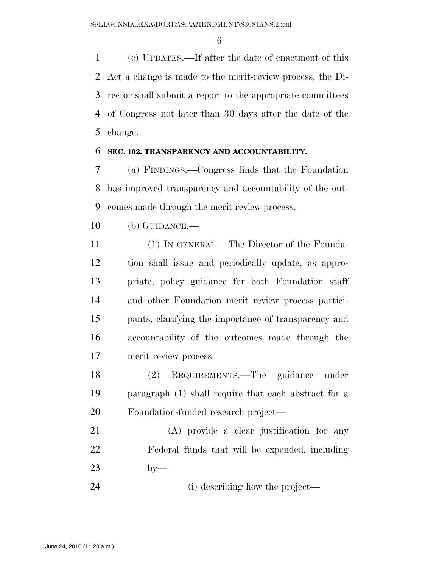(c) UPDATES.—If after the date of enactment of this Act a change is made to the merit-review process, the Di- rector shall submit a report to the appropriate committees of Congress not later than 30 days after the date of the change.

## **SEC. 102. TRANSPARENCY AND ACCOUNTABILITY.**

 (a) FINDINGS.—Congress finds that the Foundation has improved transparency and accountability of the out-comes made through the merit review process.

(b) GUIDANCE.—

 (1) IN GENERAL.—The Director of the Founda- tion shall issue and periodically update, as appro- priate, policy guidance for both Foundation staff and other Foundation merit review process partici- pants, clarifying the importance of transparency and accountability of the outcomes made through the merit review process.

 (2) REQUIREMENTS.—The guidance under paragraph (1) shall require that each abstract for a Foundation-funded research project—

 (A) provide a clear justification for any Federal funds that will be expended, including by—

24 (i) describing how the project—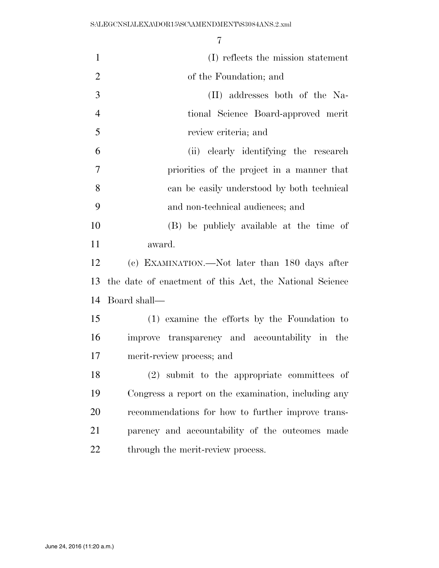| $\mathbf{1}$   | (I) reflects the mission statement                      |
|----------------|---------------------------------------------------------|
| $\overline{2}$ | of the Foundation; and                                  |
| 3              | (II) addresses both of the Na-                          |
| $\overline{4}$ | tional Science Board-approved merit                     |
| 5              | review criteria; and                                    |
| 6              | (ii) clearly identifying the research                   |
| 7              | priorities of the project in a manner that              |
| 8              | can be easily understood by both technical              |
| 9              | and non-technical audiences; and                        |
| 10             | (B) be publicly available at the time of                |
| 11             | award.                                                  |
| 12             | (c) EXAMINATION.—Not later than 180 days after          |
| 13             | the date of enactment of this Act, the National Science |
| 14             | Board shall—                                            |
| 15             | (1) examine the efforts by the Foundation to            |
| 16             | improve transparency and accountability in the          |
| 17             | merit-review process; and                               |
| 18             | (2) submit to the appropriate committees of             |
| 19             | Congress a report on the examination, including any     |
| 20             | recommendations for how to further improve trans-       |
| 21             | parency and accountability of the outcomes made         |
| 22             | through the merit-review process.                       |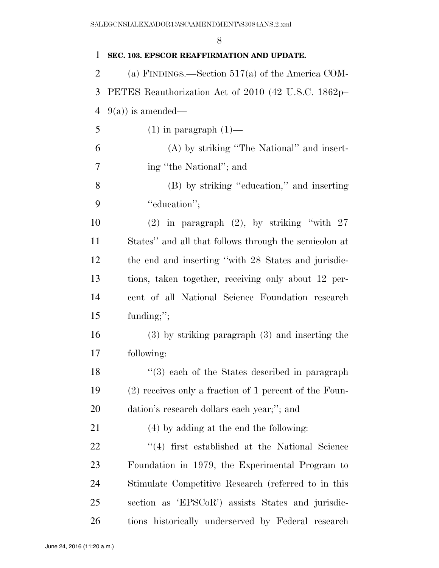|                | 8                                                      |
|----------------|--------------------------------------------------------|
| 1              | SEC. 103. EPSCOR REAFFIRMATION AND UPDATE.             |
| $\overline{2}$ | (a) FINDINGS.—Section $517(a)$ of the America COM-     |
| 3              | PETES Reauthorization Act of 2010 (42 U.S.C. 1862p-    |
| 4              | $9(a)$ ) is amended—                                   |
| 5              | $(1)$ in paragraph $(1)$ —                             |
| 6              | (A) by striking "The National" and insert-             |
| 7              | ing "the National"; and                                |
| 8              | (B) by striking "education," and inserting             |
| 9              | "education";                                           |
| 10             | $(2)$ in paragraph $(2)$ , by striking "with 27        |
| 11             | States" and all that follows through the semicolon at  |
| 12             | the end and inserting "with 28 States and jurisdic-    |
| 13             | tions, taken together, receiving only about 12 per-    |
| 14             | cent of all National Science Foundation research       |
| 15             | funding;";                                             |
| 16             | $(3)$ by striking paragraph $(3)$ and inserting the    |
| 17             | following:                                             |
| 18             | $\cdot$ (3) each of the States described in paragraph  |
| 19             | (2) receives only a fraction of 1 percent of the Foun- |
| <b>20</b>      | dation's research dollars each year;"; and             |
| 21             | (4) by adding at the end the following:                |
| <u>22</u>      | "(4) first established at the National Science         |
| 23             | Foundation in 1979, the Experimental Program to        |
| 24             | Stimulate Competitive Research (referred to in this    |
| 25             | section as 'EPSCoR') assists States and jurisdic-      |
| 26             | tions historically underserved by Federal research     |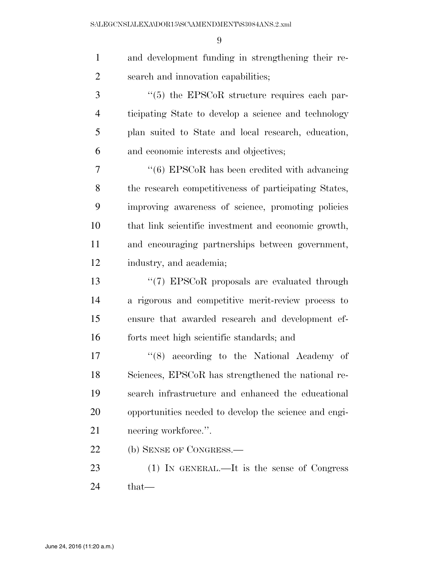| and development funding in strengthening their re-    |
|-------------------------------------------------------|
| search and innovation capabilities;                   |
| "(5) the EPSCoR structure requires each par-          |
| ticipating State to develop a science and technology  |
| plan suited to State and local research, education,   |
| and economic interests and objectives;                |
| $``(6)$ EPSCoR has been credited with advancing       |
| the research competitiveness of participating States, |
| improving awareness of science, promoting policies    |
| that link scientific investment and economic growth,  |
| and encouraging partnerships between government,      |
| industry, and academia;                               |
| "(7) EPSCoR proposals are evaluated through           |
| a rigorous and competitive merit-review process to    |
| ensure that awarded research and development ef-      |
| forts meet high scientific standards; and             |
| $\cdot$ (8) according to the National Academy of      |
| Sciences, EPSCoR has strengthened the national re-    |
| search infrastructure and enhanced the educational    |
| opportunities needed to develop the science and engi- |
| neering workforce.".                                  |
| (b) SENSE OF CONGRESS.—                               |
| (1) IN GENERAL.—It is the sense of Congress           |
| that—                                                 |
|                                                       |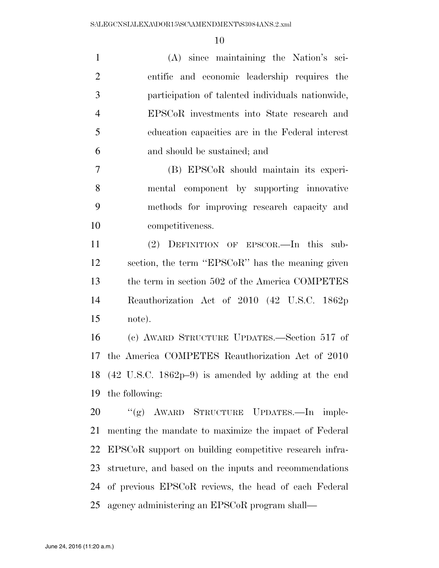(A) since maintaining the Nation's sci- entific and economic leadership requires the participation of talented individuals nationwide, EPSCoR investments into State research and education capacities are in the Federal interest and should be sustained; and (B) EPSCoR should maintain its experi- mental component by supporting innovative methods for improving research capacity and competitiveness. (2) DEFINITION OF EPSCOR.—In this sub- section, the term ''EPSCoR'' has the meaning given 13 the term in section 502 of the America COMPETES Reauthorization Act of 2010 (42 U.S.C. 1862p note). (c) AWARD STRUCTURE UPDATES.—Section 517 of the America COMPETES Reauthorization Act of 2010 (42 U.S.C. 1862p–9) is amended by adding at the end the following:

 ''(g) AWARD STRUCTURE UPDATES.—In imple- menting the mandate to maximize the impact of Federal EPSCoR support on building competitive research infra- structure, and based on the inputs and recommendations of previous EPSCoR reviews, the head of each Federal agency administering an EPSCoR program shall—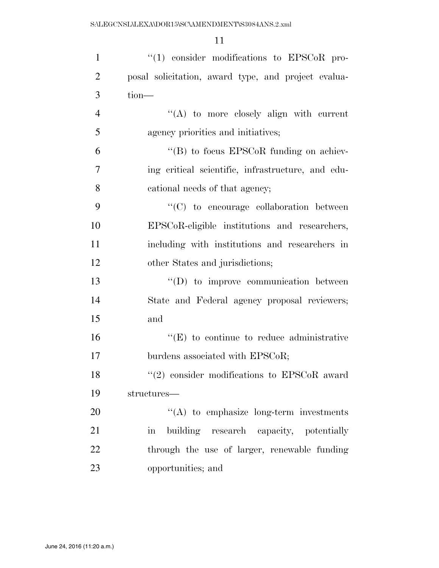| $\mathbf{1}$   | $\lq(1)$ consider modifications to EPSCoR pro-                 |
|----------------|----------------------------------------------------------------|
| $\overline{2}$ | posal solicitation, award type, and project evalua-            |
| 3              | $tion-$                                                        |
| $\overline{4}$ | $\lq\lq$ to more closely align with current                    |
| 5              | agency priorities and initiatives;                             |
| 6              | $\cdot$ (B) to focus EPSCoR funding on achiev-                 |
| 7              | ing critical scientific, infrastructure, and edu-              |
| 8              | cational needs of that agency;                                 |
| 9              | "(C) to encourage collaboration between                        |
| 10             | EPSCoR-eligible institutions and researchers,                  |
| 11             | including with institutions and researchers in                 |
| 12             | other States and jurisdictions;                                |
| 13             | $\lq\lq$ to improve communication between                      |
| 14             | State and Federal agency proposal reviewers;                   |
| 15             | and                                                            |
| 16             | $\lq\lq(E)$ to continue to reduce administrative               |
| 17             | burdens associated with EPSCoR;                                |
| 18             | $(2)$ consider modifications to EPSCoR award                   |
| 19             | structures—                                                    |
| 20             | $\lq\lq$ to emphasize long-term investments                    |
| 21             | building research capacity, potentially<br>$\operatorname{in}$ |
| 22             | through the use of larger, renewable funding                   |
| 23             | opportunities; and                                             |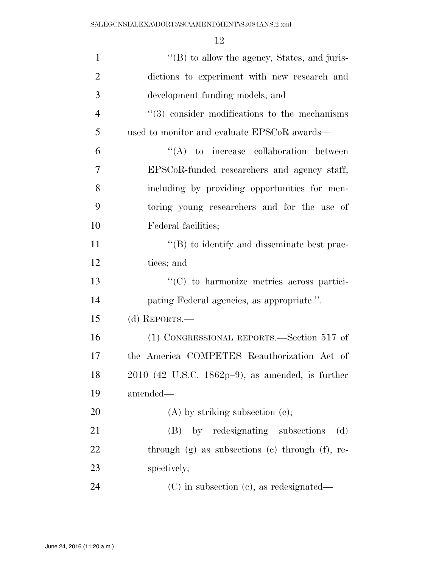| $\mathbf{1}$   | $\lq\lq (B)$ to allow the agency, States, and juris-   |
|----------------|--------------------------------------------------------|
| $\overline{2}$ | dictions to experiment with new research and           |
| 3              | development funding models; and                        |
| $\overline{4}$ | $(3)$ consider modifications to the mechanisms         |
| 5              | used to monitor and evaluate EPSCoR awards—            |
| 6              | $\lq\lq$ to increase collaboration between             |
| 7              | EPSCoR-funded researchers and agency staff,            |
| 8              | including by providing opportunities for men-          |
| 9              | toring young researchers and for the use of            |
| 10             | Federal facilities;                                    |
| 11             | $\lq\lq (B)$ to identify and disseminate best prac-    |
| 12             | tices; and                                             |
| 13             | "(C) to harmonize metrics across partici-              |
| 14             | pating Federal agencies, as appropriate.".             |
| 15             | (d) REPORTS.-                                          |
| 16             | (1) CONGRESSIONAL REPORTS.—Section 517 of              |
| 17             | the America COMPETES Reauthorization Act of            |
| 18             | $2010$ (42 U.S.C. 1862p-9), as amended, is further     |
| 19             | amended—                                               |
| 20             | $(A)$ by striking subsection $(e)$ ;                   |
| 21             | (B) by redesignating subsections<br>(d)                |
| 22             | through $(g)$ as subsections $(e)$ through $(f)$ , re- |
| 23             | spectively;                                            |
| 24             | $(C)$ in subsection $(c)$ , as redesignated—           |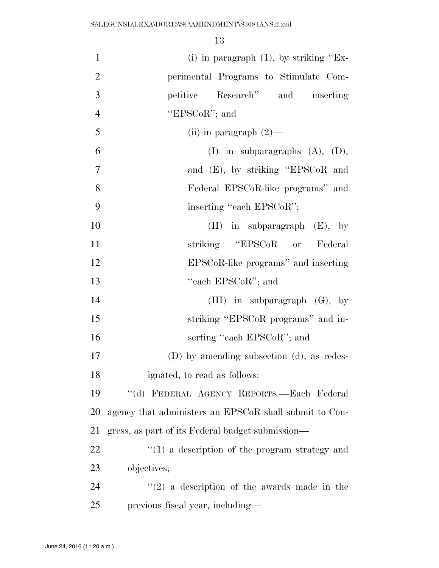| $\mathbf{1}$   | (i) in paragraph $(1)$ , by striking "Ex-              |
|----------------|--------------------------------------------------------|
| $\overline{2}$ | perimental Programs to Stimulate Com-                  |
| 3              | Research" and inserting<br>petitive                    |
| $\overline{4}$ | "EPSCoR"; and                                          |
| 5              | (ii) in paragraph $(2)$ —                              |
| 6              | (I) in subparagraphs $(A)$ , $(D)$ ,                   |
| $\overline{7}$ | and (E), by striking "EPSCoR and                       |
| 8              | Federal EPSCoR-like programs" and                      |
| 9              | inserting "each EPSCoR";                               |
| 10             | $(II)$ in subparagraph $(E)$ , by                      |
| 11             | striking "EPSCoR or Federal                            |
| 12             | EPSCoR-like programs" and inserting                    |
| 13             | "each EPSCoR"; and                                     |
| 14             | (III) in subparagraph $(G)$ , by                       |
| 15             | striking "EPSCoR programs" and in-                     |
| 16             | serting "each EPSCoR"; and                             |
| 17             | (D) by amending subsection (d), as redes-              |
| 18             | ignated, to read as follows:                           |
| 19             | "(d) FEDERAL AGENCY REPORTS.-Each Federal              |
| 20             | agency that administers an EPSCoR shall submit to Con- |
| 21             | gress, as part of its Federal budget submission—       |
| 22             | $\lq(1)$ a description of the program strategy and     |
| 23             | objectives;                                            |
| 24             | $\lq(2)$ a description of the awards made in the       |
| 25             | previous fiscal year, including—                       |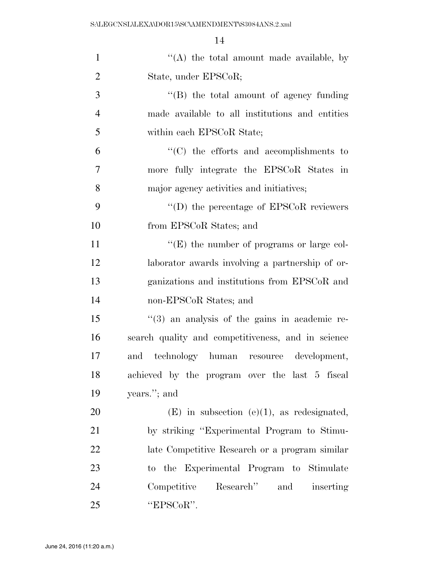| $\mathbf{1}$   | "(A) the total amount made available, by           |
|----------------|----------------------------------------------------|
| $\overline{2}$ | State, under EPSCoR;                               |
| 3              | "(B) the total amount of agency funding            |
| $\overline{4}$ | made available to all institutions and entities    |
| 5              | within each EPSCoR State;                          |
| 6              | $\cdot$ (C) the efforts and accomplishments to     |
| 7              | more fully integrate the EPSCoR States in          |
| 8              | major agency activities and initiatives;           |
| 9              | $\lq\lq$ the percentage of EPSCoR reviewers        |
| 10             | from EPSCoR States; and                            |
| 11             | $\lq\lq(E)$ the number of programs or large col-   |
| 12             | laborator awards involving a partnership of or-    |
| 13             | ganizations and institutions from EPSCoR and       |
| 14             | non-EPSCoR States; and                             |
| 15             | "(3) an analysis of the gains in academic re-      |
| 16             | search quality and competitiveness, and in science |
| 17             | technology human resource development,<br>and      |
| 18             | achieved by the program over the last 5 fiscal     |
| 19             | years."; and                                       |
| 20             | $(E)$ in subsection $(e)(1)$ , as redesignated,    |
| 21             | by striking "Experimental Program to Stimu-        |
| 22             | late Competitive Research or a program similar     |
| 23             | to the Experimental Program to Stimulate           |
| 24             | Competitive Research" and inserting                |
| 25             | "EPSCoR".                                          |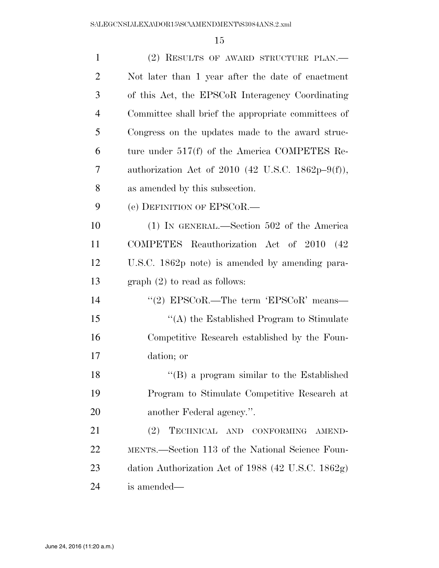| $\mathbf{1}$   | (2) RESULTS OF AWARD STRUCTURE PLAN.                |
|----------------|-----------------------------------------------------|
| $\overline{2}$ | Not later than 1 year after the date of enactment   |
| 3              | of this Act, the EPSCoR Interagency Coordinating    |
| $\overline{4}$ | Committee shall brief the appropriate committees of |
| 5              | Congress on the updates made to the award struc-    |
| 6              | ture under $517(f)$ of the America COMPETES Re-     |
| 7              | authorization Act of 2010 (42 U.S.C. 1862p-9(f)),   |
| 8              | as amended by this subsection.                      |
| 9              | (e) DEFINITION OF EPSCOR.—                          |
| 10             | $(1)$ IN GENERAL.—Section 502 of the America        |
| 11             | COMPETES Reauthorization Act of 2010 (42)           |
| 12             | U.S.C. 1862p note) is amended by amending para-     |
| 13             | graph $(2)$ to read as follows:                     |
| 14             | "(2) EPSCoR.—The term 'EPSCoR' means—               |
| 15             | "(A) the Established Program to Stimulate           |
| 16             | Competitive Research established by the Foun-       |
| 17             | dation; or                                          |
| 18             | "(B) a program similar to the Established           |
| 19             | Program to Stimulate Competitive Research at        |
| 20             | another Federal agency.".                           |
| 21             | TECHNICAL AND CONFORMING<br>(2)<br>AMEND-           |
| 22             | MENTS.—Section 113 of the National Science Foun-    |
| 23             | dation Authorization Act of 1988 (42 U.S.C. 1862g)  |
| 24             | is amended—                                         |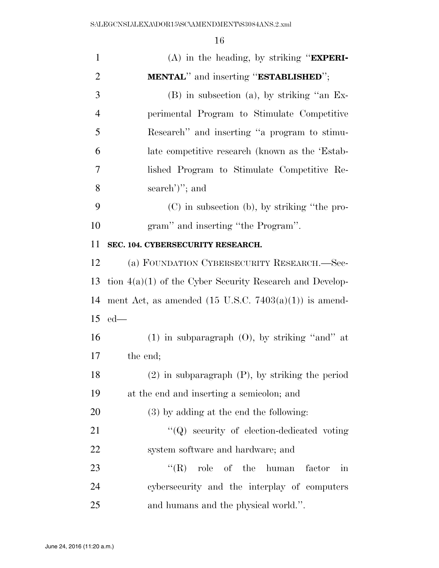| $\mathbf{1}$   | $(A)$ in the heading, by striking " <b>EXPERI-</b>               |
|----------------|------------------------------------------------------------------|
| $\overline{2}$ | <b>MENTAL</b> " and inserting " <b>ESTABLISHED</b> ";            |
| 3              | $(B)$ in subsection (a), by striking "an Ex-                     |
| $\overline{4}$ | perimental Program to Stimulate Competitive                      |
| 5              | Research" and inserting "a program to stimu-                     |
| 6              | late competitive research (known as the 'Estab-                  |
| 7              | lished Program to Stimulate Competitive Re-                      |
| 8              | search')''; and                                                  |
| 9              | (C) in subsection (b), by striking "the pro-                     |
| 10             | gram" and inserting "the Program".                               |
| 11             | SEC. 104. CYBERSECURITY RESEARCH.                                |
| 12             | (a) FOUNDATION CYBERSECURITY RESEARCH.-Sec-                      |
| 13             | tion $4(a)(1)$ of the Cyber Security Research and Develop-       |
| 14             | ment Act, as amended $(15 \text{ U.S.C. } 7403(a)(1))$ is amend- |
| 15             | $ed$ —                                                           |
| 16             | $(1)$ in subparagraph $(0)$ , by striking "and" at               |
| 17             | the end;                                                         |
| 18             | $(2)$ in subparagraph $(P)$ , by striking the period             |
| 19             | at the end and inserting a semicolon; and                        |
| 20             | $(3)$ by adding at the end the following:                        |
| 21             | $\lq\lq Q$ security of election-dedicated voting                 |
| 22             | system software and hardware; and                                |
| 23             | $\mathrm{``(R)}$<br>role of the human<br>factor<br>in            |
| 24             | cybersecurity and the interplay of computers                     |
| 25             | and humans and the physical world.".                             |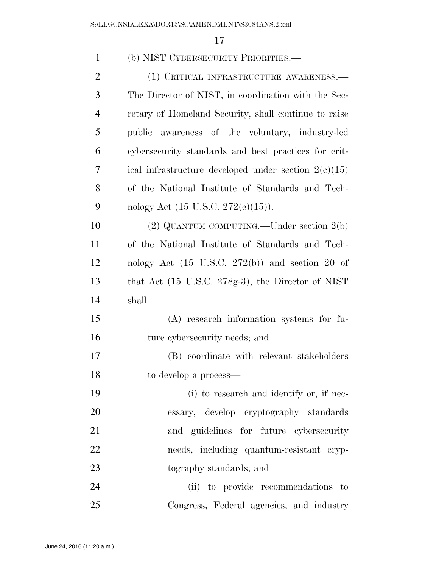| $\mathbf{1}$   | (b) NIST CYBERSECURITY PRIORITIES.—                           |
|----------------|---------------------------------------------------------------|
| $\overline{c}$ | (1) CRITICAL INFRASTRUCTURE AWARENESS.—                       |
| 3              | The Director of NIST, in coordination with the Sec-           |
| $\overline{4}$ | retary of Homeland Security, shall continue to raise          |
| 5              | public awareness of the voluntary, industry-led               |
| 6              | cybersecurity standards and best practices for crit-          |
| 7              | ical infrastructure developed under section $2(c)(15)$        |
| 8              | of the National Institute of Standards and Tech-              |
| 9              | nology Act $(15 \text{ U.S.C. } 272(e)(15)).$                 |
| 10             | $(2)$ QUANTUM COMPUTING.—Under section $2(b)$                 |
| 11             | of the National Institute of Standards and Tech-              |
| 12             | nology Act $(15 \text{ U.S.C. } 272(b))$ and section 20 of    |
| 13             | that Act $(15 \text{ U.S.C. } 278g-3)$ , the Director of NIST |
| 14             | shall—                                                        |
| 15             | (A) research information systems for fu-                      |
| 16             | ture cybersecurity needs; and                                 |
| 17             | (B) coordinate with relevant stakeholders                     |
| 18             | to develop a process—                                         |
| 19             | (i) to research and identify or, if nec-                      |
| 20             | essary, develop cryptography standards                        |
| 21             | and guidelines for future cybersecurity                       |
| 22             | needs, including quantum-resistant cryp-                      |
| 23             | tography standards; and                                       |
| 24             | (ii) to provide recommendations to                            |
| 25             | Congress, Federal agencies, and industry                      |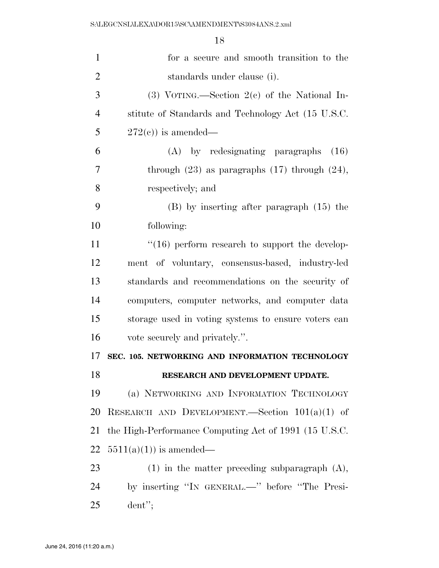| $\mathbf{1}$   | for a secure and smooth transition to the             |
|----------------|-------------------------------------------------------|
| $\overline{2}$ | standards under clause (i).                           |
| 3              | (3) VOTING.—Section $2(e)$ of the National In-        |
| $\overline{4}$ | stitute of Standards and Technology Act (15 U.S.C.    |
| 5              | $272(c)$ is amended—                                  |
| 6              | (A) by redesignating paragraphs<br>(16)               |
| 7              | through $(23)$ as paragraphs $(17)$ through $(24)$ ,  |
| 8              | respectively; and                                     |
| 9              | $(B)$ by inserting after paragraph $(15)$ the         |
| 10             | following:                                            |
| 11             | $\cdot$ (16) perform research to support the develop- |
| 12             | ment of voluntary, consensus-based, industry-led      |
| 13             | standards and recommendations on the security of      |
| 14             | computers, computer networks, and computer data       |
| 15             | storage used in voting systems to ensure voters can   |
| 16             | vote securely and privately.".                        |
| 17             | SEC. 105. NETWORKING AND INFORMATION TECHNOLOGY       |
| 18             | RESEARCH AND DEVELOPMENT UPDATE.                      |
| 19             | (a) NETWORKING AND INFORMATION TECHNOLOGY             |
| 20             | RESEARCH AND DEVELOPMENT.—Section $101(a)(1)$ of      |
| 21             | the High-Performance Computing Act of 1991 (15 U.S.C. |
| 22             | $5511(a)(1)$ is amended—                              |
| 23             | $(1)$ in the matter preceding subparagraph $(A)$ ,    |
| 24             | by inserting "IN GENERAL.—" before "The Presi-        |
| 25             | $d$ ent";                                             |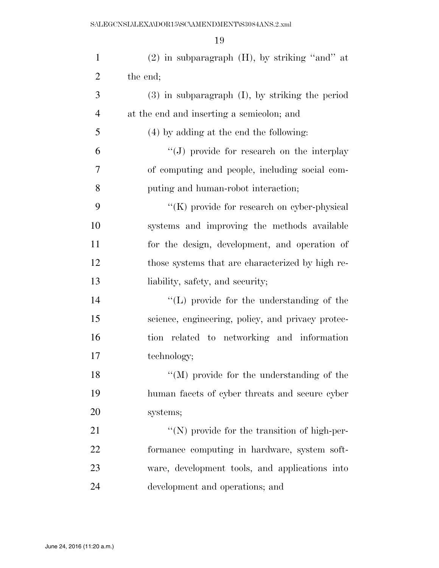| $\mathbf{1}$   | $(2)$ in subparagraph $(H)$ , by striking "and" at    |
|----------------|-------------------------------------------------------|
| $\overline{2}$ | the end;                                              |
| 3              | $(3)$ in subparagraph $(I)$ , by striking the period  |
| $\overline{4}$ | at the end and inserting a semicolon; and             |
| 5              | $(4)$ by adding at the end the following:             |
| 6              | "(J) provide for research on the interplay            |
| 7              | of computing and people, including social com-        |
| 8              | puting and human-robot interaction;                   |
| 9              | "(K) provide for research on cyber-physical           |
| 10             | systems and improving the methods available           |
| 11             | for the design, development, and operation of         |
| 12             | those systems that are characterized by high re-      |
| 13             | liability, safety, and security;                      |
| 14             | $\lq\lq$ . (L) provide for the understanding of the   |
| 15             | science, engineering, policy, and privacy protec-     |
| 16             | tion related to networking and information            |
| 17             | technology;                                           |
| 18             | $\mathcal{C}(M)$ provide for the understanding of the |
| 19             | human facets of cyber threats and secure cyber        |
| 20             | systems;                                              |
| 21             | "(N) provide for the transition of high-per-          |
| 22             | formance computing in hardware, system soft-          |
| 23             | ware, development tools, and applications into        |
| 24             | development and operations; and                       |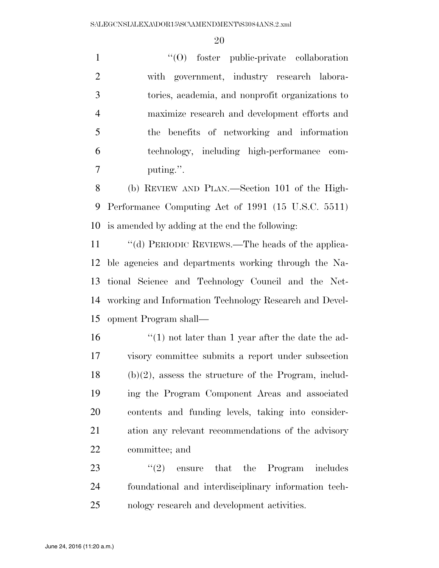$\cdot$  (O) foster public-private collaboration with government, industry research labora- tories, academia, and nonprofit organizations to maximize research and development efforts and the benefits of networking and information technology, including high-performance com-puting.''.

 (b) REVIEW AND PLAN.—Section 101 of the High- Performance Computing Act of 1991 (15 U.S.C. 5511) is amended by adding at the end the following:

 ''(d) PERIODIC REVIEWS.—The heads of the applica- ble agencies and departments working through the Na- tional Science and Technology Council and the Net- working and Information Technology Research and Devel-opment Program shall—

 $\frac{1}{2}$  (1) not later than 1 year after the date the ad- visory committee submits a report under subsection (b)(2), assess the structure of the Program, includ- ing the Program Component Areas and associated contents and funding levels, taking into consider- ation any relevant recommendations of the advisory committee; and

23  $(2)$  ensure that the Program includes foundational and interdisciplinary information tech-nology research and development activities.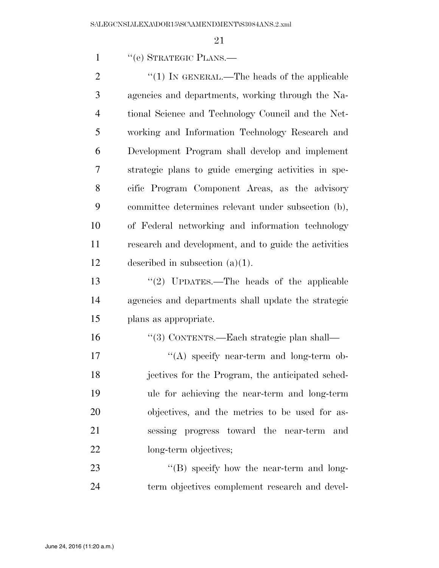1 "(e) STRATEGIC PLANS.—

 $\frac{1}{2}$  (1) In GENERAL.—The heads of the applicable agencies and departments, working through the Na- tional Science and Technology Council and the Net- working and Information Technology Research and Development Program shall develop and implement strategic plans to guide emerging activities in spe- cific Program Component Areas, as the advisory committee determines relevant under subsection (b), of Federal networking and information technology research and development, and to guide the activities described in subsection (a)(1).

 ''(2) UPDATES.—The heads of the applicable agencies and departments shall update the strategic plans as appropriate.

''(3) CONTENTS.—Each strategic plan shall—

17 "(A) specify near-term and long-term ob- jectives for the Program, the anticipated sched- ule for achieving the near-term and long-term objectives, and the metrics to be used for as- sessing progress toward the near-term and 22 long-term objectives;

23 "'(B) specify how the near-term and long-term objectives complement research and devel-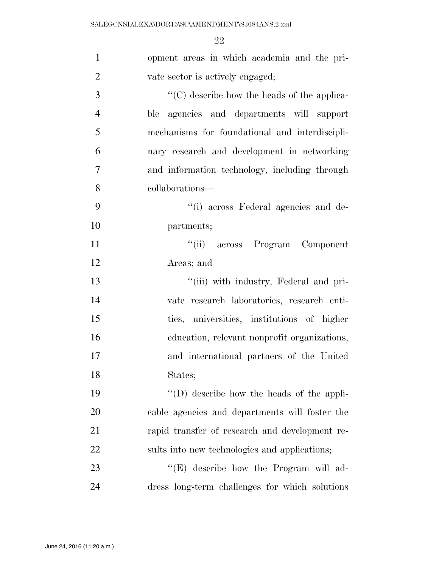| $\mathbf{1}$   | opment areas in which academia and the pri-         |
|----------------|-----------------------------------------------------|
| $\overline{2}$ | vate sector is actively engaged;                    |
| 3              | "(C) describe how the heads of the applica-         |
| $\overline{4}$ | ble agencies and departments will support           |
| 5              | mechanisms for foundational and interdiscipli-      |
| 6              | nary research and development in networking         |
| 7              | and information technology, including through       |
| 8              | collaborations—                                     |
| 9              | "(i) across Federal agencies and de-                |
| 10             | partments;                                          |
| 11             | "(ii) across Program Component                      |
| 12             | Areas; and                                          |
| 13             | "(iii) with industry, Federal and pri-              |
| 14             | vate research laboratories, research enti-          |
| 15             | ties, universities, institutions of higher          |
| 16             | education, relevant nonprofit organizations,        |
| 17             | and international partners of the United            |
| 18             | States;                                             |
| 19             | $\lq\lq$ . (D) describe how the heads of the appli- |
| 20             | cable agencies and departments will foster the      |
| 21             | rapid transfer of research and development re-      |
| 22             | sults into new technologies and applications;       |
| 23             | "(E) describe how the Program will ad-              |
| 24             | dress long-term challenges for which solutions      |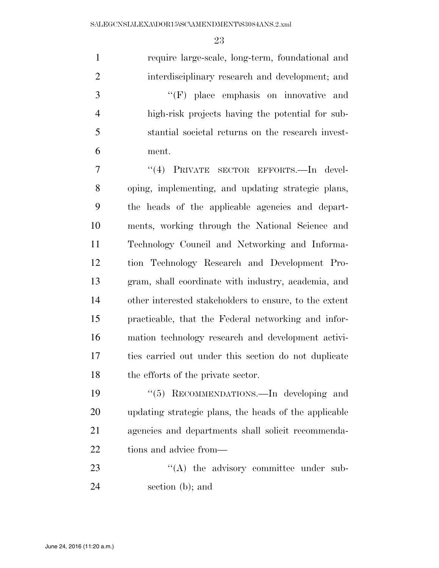require large-scale, long-term, foundational and interdisciplinary research and development; and ''(F) place emphasis on innovative and high-risk projects having the potential for sub- stantial societal returns on the research invest- ment. 7 "(4) PRIVATE SECTOR EFFORTS.—In devel- oping, implementing, and updating strategic plans, the heads of the applicable agencies and depart- ments, working through the National Science and Technology Council and Networking and Informa- tion Technology Research and Development Pro- gram, shall coordinate with industry, academia, and other interested stakeholders to ensure, to the extent practicable, that the Federal networking and infor- mation technology research and development activi- ties carried out under this section do not duplicate 18 the efforts of the private sector. ''(5) RECOMMENDATIONS.—In developing and updating strategic plans, the heads of the applicable agencies and departments shall solicit recommenda-

tions and advice from—

23  $\cdot$  ''(A) the advisory committee under sub-section (b); and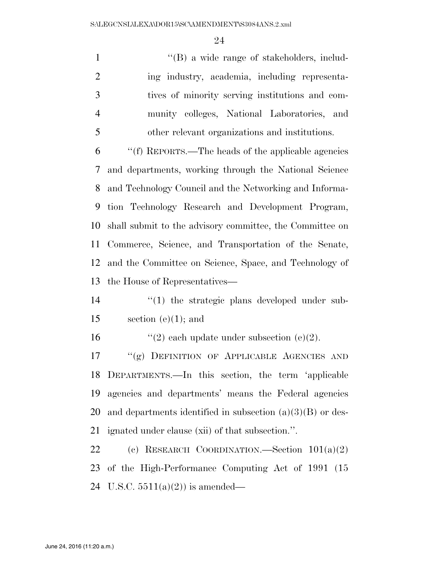1 ''(B) a wide range of stakeholders, includ-2 ing industry, academia, including representa- tives of minority serving institutions and com- munity colleges, National Laboratories, and other relevant organizations and institutions. ''(f) REPORTS.—The heads of the applicable agencies

 and departments, working through the National Science and Technology Council and the Networking and Informa- tion Technology Research and Development Program, shall submit to the advisory committee, the Committee on Commerce, Science, and Transportation of the Senate, and the Committee on Science, Space, and Technology of the House of Representatives—

14  $\frac{1}{2}$  (1) the strategic plans developed under sub-15 section (e)(1); and

16  $\qquad$  ''(2) each update under subsection (e)(2).

 ''(g) DEFINITION OF APPLICABLE AGENCIES AND DEPARTMENTS.—In this section, the term 'applicable agencies and departments' means the Federal agencies and departments identified in subsection (a)(3)(B) or des-ignated under clause (xii) of that subsection.''.

 (c) RESEARCH COORDINATION.—Section 101(a)(2) of the High-Performance Computing Act of 1991 (15 24 U.S.C.  $5511(a)(2)$  is amended—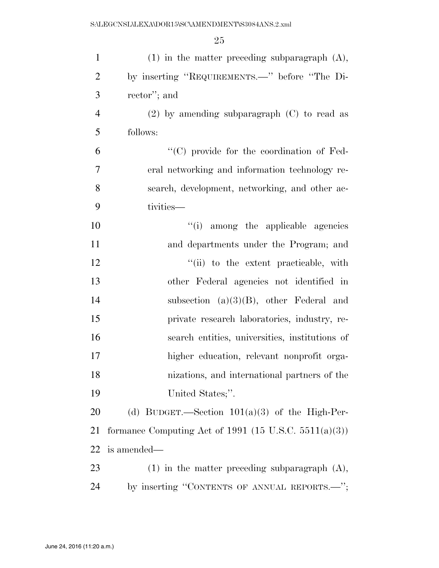| $\mathbf{1}$   | $(1)$ in the matter preceding subparagraph $(A)$ ,       |
|----------------|----------------------------------------------------------|
| $\overline{2}$ | by inserting "REQUIREMENTS.—" before "The Di-            |
| 3              | rector'; and                                             |
| $\overline{4}$ | $(2)$ by amending subparagraph $(C)$ to read as          |
| 5              | follows:                                                 |
| 6              | "(C) provide for the coordination of Fed-                |
| 7              | eral networking and information technology re-           |
| 8              | search, development, networking, and other ac-           |
| 9              | tivities—                                                |
| 10             | "(i) among the applicable agencies                       |
| 11             | and departments under the Program; and                   |
| 12             | "(ii) to the extent practicable, with                    |
| 13             | other Federal agencies not identified in                 |
| 14             | subsection $(a)(3)(B)$ , other Federal and               |
| 15             | private research laboratories, industry, re-             |
| 16             | search entities, universities, institutions of           |
| 17             | higher education, relevant nonprofit orga-               |
| 18             | nizations, and international partners of the             |
| 19             | United States;".                                         |
| 20             | (d) BUDGET.—Section $101(a)(3)$ of the High-Per-         |
| 21             | formance Computing Act of 1991 (15 U.S.C. $5511(a)(3)$ ) |
| 22             | is amended—                                              |
| 23             | $(1)$ in the matter preceding subparagraph $(A)$ ,       |
| 24             | by inserting "CONTENTS OF ANNUAL REPORTS.-";             |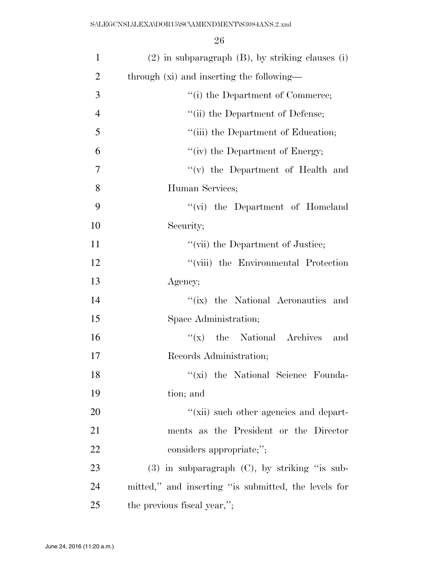| $\mathbf{1}$   | $(2)$ in subparagraph $(B)$ , by striking clauses $(i)$ |
|----------------|---------------------------------------------------------|
| $\overline{2}$ | through (xi) and inserting the following—               |
| 3              | "(i) the Department of Commerce;                        |
| $\overline{4}$ | "(ii) the Department of Defense;                        |
| 5              | "(iii) the Department of Education;                     |
| 6              | "(iv) the Department of Energy;                         |
| 7              | $f'(v)$ the Department of Health and                    |
| 8              | Human Services;                                         |
| 9              | "(vi) the Department of Homeland                        |
| 10             | Security;                                               |
| 11             | "(vii) the Department of Justice;                       |
| 12             | "(viii) the Environmental Protection                    |
| 13             | Agency;                                                 |
| 14             | "(ix) the National Aeronautics and                      |
| 15             | Space Administration;                                   |
| 16             | $f(x)$ the National Archives<br>and                     |
| 17             | Records Administration;                                 |
| 18             | "(xi) the National Science Founda-                      |
| 19             | tion; and                                               |
| 20             | "(xii) such other agencies and depart-                  |
| 21             | ments as the President or the Director                  |
| 22             | considers appropriate;";                                |
| 23             | $(3)$ in subparagraph $(C)$ , by striking "is sub-      |
| 24             | mitted," and inserting "is submitted, the levels for    |
| 25             | the previous fiscal year,";                             |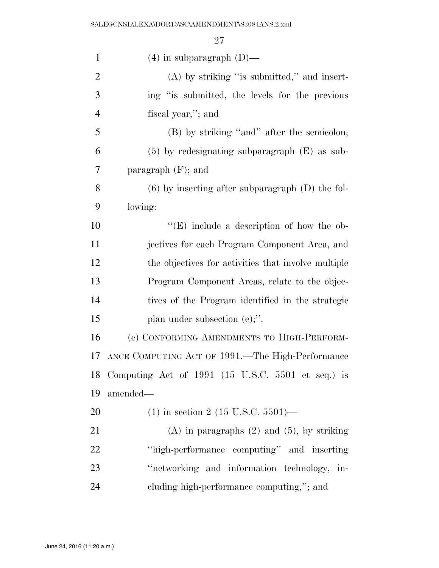| $\mathbf{1}$   | $(4)$ in subparagraph $(D)$ —                        |
|----------------|------------------------------------------------------|
| $\overline{2}$ | $(A)$ by striking "is submitted," and insert-        |
| 3              | ing "is submitted, the levels for the previous       |
| $\overline{4}$ | fiscal year,"; and                                   |
| 5              | (B) by striking "and" after the semicolon;           |
| 6              | $(5)$ by redesignating subparagraph $(E)$ as sub-    |
| 7              | paragraph $(F)$ ; and                                |
| 8              | $(6)$ by inserting after subparagraph $(D)$ the fol- |
| 9              | lowing:                                              |
| 10             | " $(E)$ include a description of how the ob-         |
| 11             | jectives for each Program Component Area, and        |
| 12             | the objectives for activities that involve multiple  |
| 13             | Program Component Areas, relate to the objec-        |
| 14             | tives of the Program identified in the strategic     |
| 15             | plan under subsection (e);".                         |
| 16             | (e) CONFORMING AMENDMENTS TO HIGH-PERFORM-           |
| 17             | ANCE COMPUTING ACT OF 1991.—The High-Performance     |
| 18             | Computing Act of 1991 (15 U.S.C. 5501 et seq.) is    |
| 19             | amended—                                             |
| 20             | $(1)$ in section 2 (15 U.S.C. 5501)—                 |
| 21             | $(A)$ in paragraphs $(2)$ and $(5)$ , by striking    |
| 22             | "high-performance computing" and inserting           |
| 23             | "networking and information technology, in-          |
| 24             | cluding high-performance computing,"; and            |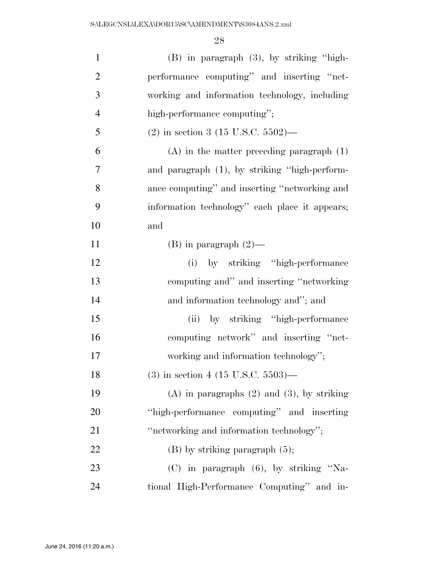| $\mathbf{1}$   | $(B)$ in paragraph $(3)$ , by striking "high-     |
|----------------|---------------------------------------------------|
| $\mathfrak{2}$ | performance computing" and inserting "net-        |
| 3              | working and information technology, including     |
| $\overline{4}$ | high-performance computing";                      |
| 5              | $(2)$ in section 3 (15 U.S.C. 5502)—              |
| 6              | $(A)$ in the matter preceding paragraph $(1)$     |
| 7              | and paragraph (1), by striking "high-perform-     |
| 8              | ance computing" and inserting "networking and     |
| 9              | information technology" each place it appears;    |
| 10             | and                                               |
| 11             | $(B)$ in paragraph $(2)$ —                        |
| 12             | (i) by striking "high-performance                 |
| 13             | computing and" and inserting "networking"         |
| 14             | and information technology and"; and              |
| 15             | (ii) by striking "high-performance                |
| 16             | computing network" and inserting "net-            |
| 17             | working and information technology";              |
| 18             | $(3)$ in section 4 (15 U.S.C. 5503)—              |
| 19             | $(A)$ in paragraphs $(2)$ and $(3)$ , by striking |
| 20             | "high-performance computing" and inserting        |
| 21             | "networking and information technology";          |
| 22             | $(B)$ by striking paragraph $(5)$ ;               |
| 23             | (C) in paragraph (6), by striking "Na-            |
| 24             | tional High-Performance Computing" and in-        |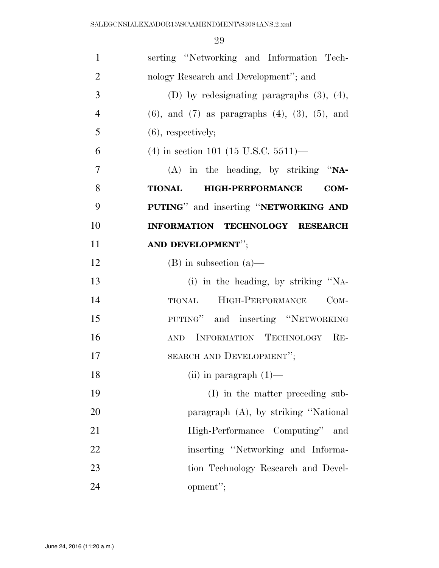| $\mathbf{1}$   | serting "Networking and Information Tech-                   |
|----------------|-------------------------------------------------------------|
| $\overline{2}$ | nology Research and Development"; and                       |
| 3              | (D) by redesignating paragraphs $(3)$ , $(4)$ ,             |
| $\overline{4}$ | $(6)$ , and $(7)$ as paragraphs $(4)$ , $(3)$ , $(5)$ , and |
| 5              | $(6)$ , respectively;                                       |
| 6              | $(4)$ in section 101 (15 U.S.C. 5511)—                      |
| 7              | $(A)$ in the heading, by striking "NA-                      |
| 8              | <b>HIGH-PERFORMANCE</b><br><b>TIONAL</b><br>COM-            |
| 9              | PUTING" and inserting "NETWORKING AND                       |
| 10             | INFORMATION TECHNOLOGY RESEARCH                             |
| 11             | AND DEVELOPMENT";                                           |
| 12             | $(B)$ in subsection $(a)$ —                                 |
| 13             | (i) in the heading, by striking "NA-                        |
| 14             | HIGH-PERFORMANCE<br>$COM-$<br><b>TIONAL</b>                 |
| 15             | PUTING" and inserting "NETWORKING                           |
| 16             | AND INFORMATION TECHNOLOGY RE-                              |
| 17             | SEARCH AND DEVELOPMENT";                                    |
| 18             | (ii) in paragraph $(1)$ —                                   |
| 19             | (I) in the matter preceding sub-                            |
| 20             | paragraph (A), by striking "National                        |
| 21             | High-Performance Computing"<br>and                          |
| 22             | inserting "Networking and Informa-                          |
| 23             | tion Technology Research and Devel-                         |
| 24             | opment";                                                    |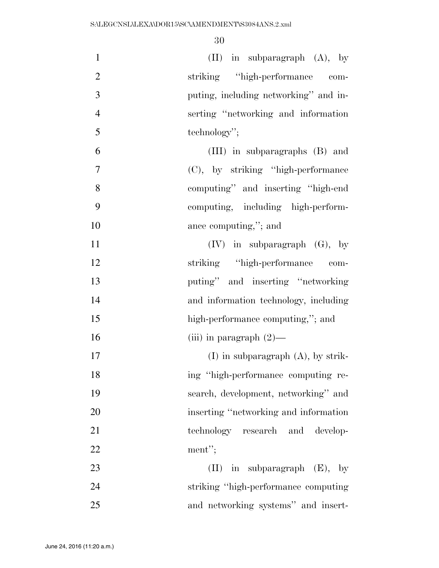| $\mathbf{1}$   | $(II)$ in subparagraph $(A)$ , by       |
|----------------|-----------------------------------------|
| $\overline{2}$ | striking "high-performance com-         |
| 3              | puting, including networking" and in-   |
| $\overline{4}$ | serting "networking and information     |
| 5              | technology";                            |
| 6              | (III) in subparagraphs (B) and          |
| $\overline{7}$ | (C), by striking "high-performance"     |
| 8              | computing" and inserting "high-end"     |
| 9              | computing, including high-perform-      |
| 10             | ance computing,"; and                   |
| 11             | $(IV)$ in subparagraph $(G)$ , by       |
| 12             | striking "high-performance com-         |
| 13             | puting" and inserting "networking       |
| 14             | and information technology, including   |
| 15             | high-performance computing,"; and       |
| 16             | (iii) in paragraph $(2)$ —              |
| 17             | $(I)$ in subparagraph $(A)$ , by strik- |
| 18             | ing "high-performance computing re-     |
| 19             | search, development, networking" and    |
| 20             | inserting "networking and information"  |
| 21             | technology research and develop-        |
| 22             | ment";                                  |
| 23             | in subparagraph $(E)$ , by<br>(II)      |
| 24             | striking "high-performance computing    |
| 25             | and networking systems" and insert-     |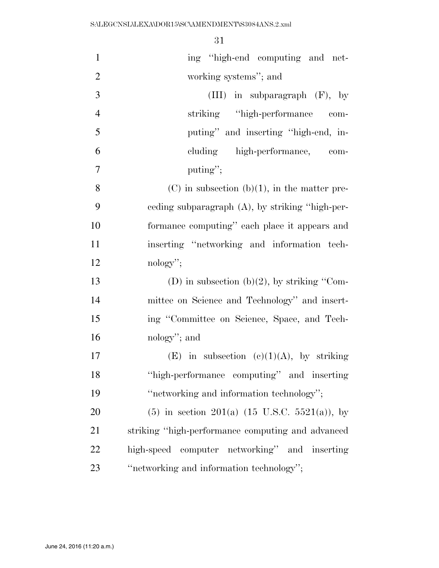| $\mathbf{1}$   | ing "high-end computing and net-                   |
|----------------|----------------------------------------------------|
| $\overline{2}$ | working systems"; and                              |
| 3              | $(III)$ in subparagraph $(F)$ , by                 |
| $\overline{4}$ | striking "high-performance"<br>com-                |
| 5              | puting" and inserting "high-end, in-               |
| 6              | cluding high-performance, com-                     |
| $\tau$         | puting";                                           |
| 8              | $(C)$ in subsection $(b)(1)$ , in the matter pre-  |
| 9              | ceding subparagraph $(A)$ , by striking "high-per- |
| 10             | formance computing" each place it appears and      |
| 11             | inserting "networking and information tech-        |
| 12             | $nology$ ";                                        |
| 13             | (D) in subsection (b)(2), by striking "Com-        |
| 14             | mittee on Science and Technology" and insert-      |
| 15             | ing "Committee on Science, Space, and Tech-        |
| 16             | nology"; and                                       |
| 17             | (E) in subsection (c)(1)(A), by striking           |
| 18             | "high-performance computing" and inserting         |
| 19             | "networking and information technology";           |
| 20             | $(5)$ in section 201(a) (15 U.S.C. 5521(a)), by    |
| 21             | striking "high-performance computing and advanced  |
| 22             | high-speed computer networking" and inserting      |
| 23             | "networking and information technology";           |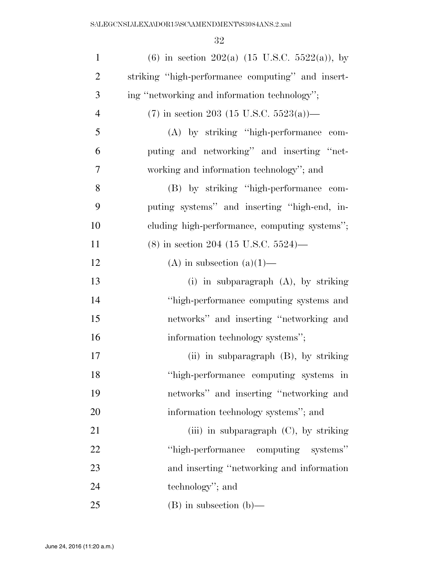| $\mathbf{1}$   | (6) in section 202(a) $(15 \text{ U.S.C. } 5522(a))$ , by |
|----------------|-----------------------------------------------------------|
| $\overline{2}$ | striking "high-performance computing" and insert-         |
| 3              | ing "networking and information technology";              |
| $\overline{4}$ | $(7)$ in section 203 (15 U.S.C. 5523(a))—                 |
| 5              | (A) by striking "high-performance com-                    |
| 6              | puting and networking" and inserting "net-                |
| 7              | working and information technology"; and                  |
| 8              | (B) by striking "high-performance com-                    |
| 9              | puting systems" and inserting "high-end, in-              |
| 10             | cluding high-performance, computing systems";             |
| 11             | (8) in section 204 (15 U.S.C. 5524)—                      |
| 12             | (A) in subsection $(a)(1)$ —                              |
| 13             | (i) in subparagraph $(A)$ , by striking                   |
| 14             | "high-performance computing systems and                   |
| 15             | networks" and inserting "networking and                   |
| 16             | information technology systems";                          |
| 17             | (ii) in subparagraph (B), by striking                     |
| 18             | "high-performance computing systems in                    |
| 19             | networks" and inserting "networking and                   |
| 20             | information technology systems"; and                      |
| 21             | (iii) in subparagraph $(C)$ , by striking                 |
| 22             | "high-performance computing systems"                      |
| 23             | and inserting "networking and information"                |
| 24             | technology"; and                                          |
| 25             | $(B)$ in subsection $(b)$ —                               |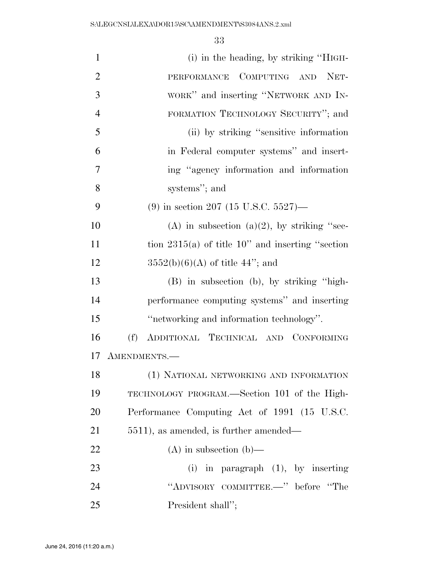| $\mathbf{1}$   | (i) in the heading, by striking "HIGH-              |
|----------------|-----------------------------------------------------|
| $\overline{2}$ | PERFORMANCE COMPUTING AND NET-                      |
| 3              | WORK" and inserting "NETWORK AND IN-                |
| $\overline{4}$ | FORMATION TECHNOLOGY SECURITY"; and                 |
| 5              | (ii) by striking "sensitive information             |
| 6              | in Federal computer systems" and insert-            |
| 7              | ing "agency information and information             |
| 8              | systems"; and                                       |
| 9              | $(9)$ in section 207 (15 U.S.C. 5527)—              |
| 10             | (A) in subsection (a)(2), by striking "sec-         |
| 11             | tion $2315(a)$ of title 10" and inserting "section" |
| 12             | $3552(b)(6)(A)$ of title 44"; and                   |
| 13             | (B) in subsection (b), by striking "high-           |
| 14             | performance computing systems" and inserting        |
| 15             | "networking and information technology".            |
| 16             | (f)<br>ADDITIONAL TECHNICAL AND CONFORMING          |
| 17             | AMENDMENTS.-                                        |
| 18             | (1) NATIONAL NETWORKING AND INFORMATION             |
| 19             | TECHNOLOGY PROGRAM.—Section 101 of the High-        |
| 20             | Performance Computing Act of 1991 (15 U.S.C.        |
| 21             | 5511), as amended, is further amended—              |
| 22             | $(A)$ in subsection $(b)$ —                         |
| 23             | (i) in paragraph $(1)$ , by inserting               |
| 24             | "ADVISORY COMMITTEE.-" before "The                  |
| 25             | President shall";                                   |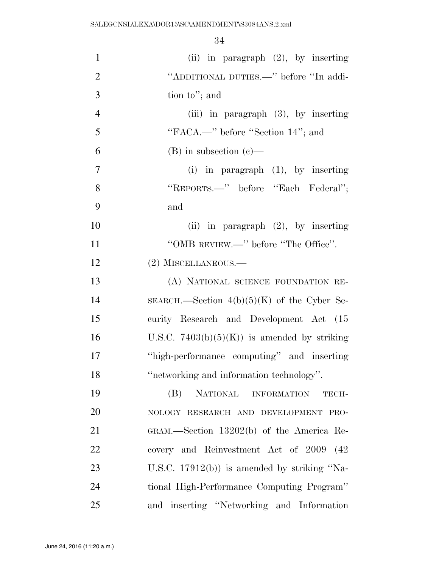| $\mathbf{1}$   | (ii) in paragraph $(2)$ , by inserting        |
|----------------|-----------------------------------------------|
| $\overline{2}$ | "ADDITIONAL DUTIES.—" before "In addi-        |
| 3              | tion to"; and                                 |
| $\overline{4}$ | (iii) in paragraph $(3)$ , by inserting       |
| 5              | "FACA.—" before "Section 14"; and             |
| 6              | $(B)$ in subsection $(e)$ —                   |
| 7              | $(i)$ in paragraph $(1)$ , by inserting       |
| 8              | "REPORTS.—" before "Each Federal";            |
| 9              | and                                           |
| 10             | (ii) in paragraph $(2)$ , by inserting        |
| 11             | "OMB REVIEW.—" before "The Office".           |
| 12             | (2) MISCELLANEOUS.-                           |
| 13             | (A) NATIONAL SCIENCE FOUNDATION RE-           |
| 14             | SEARCH.—Section $4(b)(5)(K)$ of the Cyber Se- |
| 15             | curity Research and Development Act (15       |
| 16             | U.S.C. $7403(b)(5)(K)$ is amended by striking |
| 17             | "high-performance computing" and inserting    |
| 18             | "networking and information technology".      |
| 19             | NATIONAL INFORMATION<br>(B)<br>TECH-          |
| 20             | NOLOGY RESEARCH AND DEVELOPMENT PRO-          |
| 21             | GRAM.—Section 13202(b) of the America Re-     |
| 22             | covery and Reinvestment Act of 2009<br>(42)   |
| 23             | U.S.C. $17912(b)$ is amended by striking "Na- |
| 24             | tional High-Performance Computing Program"    |
| 25             | and inserting "Networking and Information"    |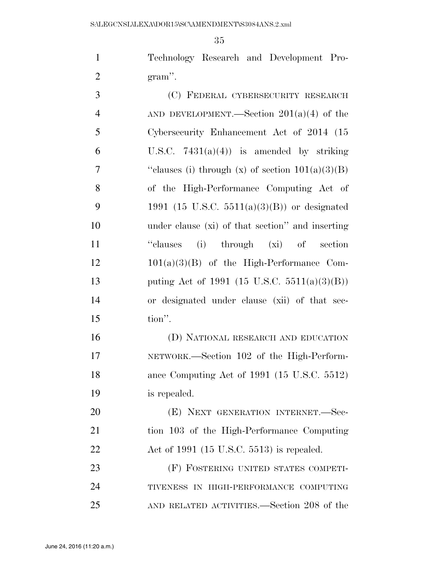Technology Research and Development Pro-gram''.

| 3              | (C) FEDERAL CYBERSECURITY RESEARCH                 |
|----------------|----------------------------------------------------|
| $\overline{4}$ | AND DEVELOPMENT.—Section $201(a)(4)$ of the        |
| 5              | Cybersecurity Enhancement Act of 2014 (15          |
| 6              | U.S.C. $7431(a)(4)$ is amended by striking         |
| $\overline{7}$ | "clauses (i) through (x) of section $101(a)(3)(B)$ |
| 8              | of the High-Performance Computing Act of           |
| 9              | 1991 (15 U.S.C. 5511(a)(3)(B)) or designated       |
| 10             | under clause (xi) of that section" and inserting   |
| 11             | "clauses (i) through (xi) of section               |
| 12             | $101(a)(3)(B)$ of the High-Performance Com-        |
| 13             | puting Act of 1991 (15 U.S.C. 5511(a)(3)(B))       |
| 14             | or designated under clause (xii) of that sec-      |
| 15             | tion".                                             |
|                |                                                    |

 (D) NATIONAL RESEARCH AND EDUCATION NETWORK.—Section 102 of the High-Perform- ance Computing Act of 1991 (15 U.S.C. 5512) is repealed.

20 (E) NEXT GENERATION INTERNET. Sec- tion 103 of the High-Performance Computing Act of 1991 (15 U.S.C. 5513) is repealed.

 (F) FOSTERING UNITED STATES COMPETI- TIVENESS IN HIGH-PERFORMANCE COMPUTING AND RELATED ACTIVITIES.—Section 208 of the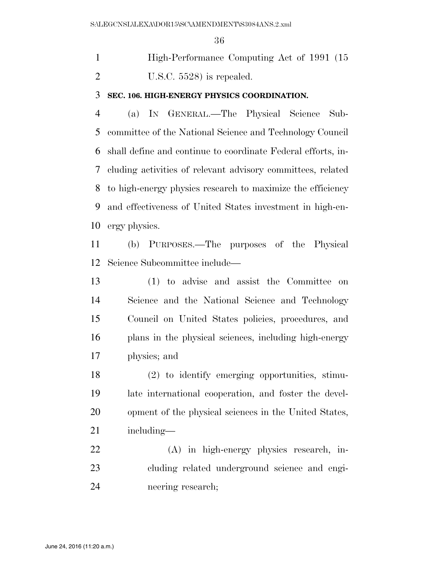High-Performance Computing Act of 1991 (15 U.S.C. 5528) is repealed.

## **SEC. 106. HIGH-ENERGY PHYSICS COORDINATION.**

 (a) IN GENERAL.—The Physical Science Sub- committee of the National Science and Technology Council shall define and continue to coordinate Federal efforts, in- cluding activities of relevant advisory committees, related to high-energy physics research to maximize the efficiency and effectiveness of United States investment in high-en-ergy physics.

 (b) PURPOSES.—The purposes of the Physical Science Subcommittee include—

 (1) to advise and assist the Committee on Science and the National Science and Technology Council on United States policies, procedures, and plans in the physical sciences, including high-energy physics; and

 (2) to identify emerging opportunities, stimu- late international cooperation, and foster the devel- opment of the physical sciences in the United States, including—

 (A) in high-energy physics research, in- cluding related underground science and engi-neering research;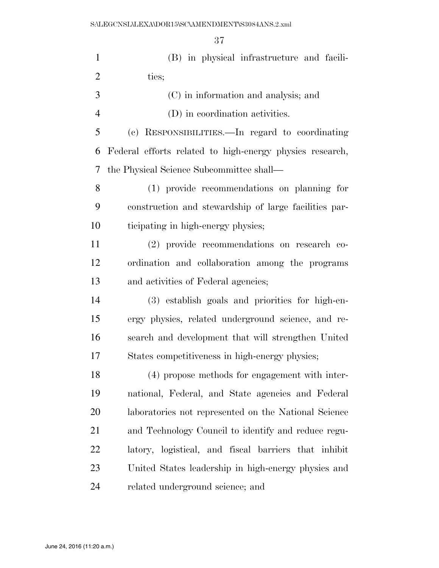| $\mathbf{1}$   | (B) in physical infrastructure and facili-               |
|----------------|----------------------------------------------------------|
| $\mathfrak{2}$ | ties;                                                    |
| 3              | (C) in information and analysis; and                     |
| $\overline{4}$ | (D) in coordination activities.                          |
| 5              | (c) RESPONSIBILITIES.—In regard to coordinating          |
| 6              | Federal efforts related to high-energy physics research, |
| 7              | the Physical Science Subcommittee shall—                 |
| 8              | (1) provide recommendations on planning for              |
| 9              | construction and stewardship of large facilities par-    |
| 10             | ticipating in high-energy physics;                       |
| 11             | (2) provide recommendations on research co-              |
| 12             | ordination and collaboration among the programs          |
| 13             | and activities of Federal agencies;                      |
| 14             | (3) establish goals and priorities for high-en-          |
| 15             | ergy physics, related underground science, and re-       |
| 16             | search and development that will strengthen United       |
| 17             | States competitiveness in high-energy physics;           |
| 18             | (4) propose methods for engagement with inter-           |
| 19             | national, Federal, and State agencies and Federal        |
| 20             | laboratories not represented on the National Science     |
| 21             | and Technology Council to identify and reduce regu-      |
| 22             | latory, logistical, and fiscal barriers that inhibit     |
| 23             | United States leadership in high-energy physics and      |
| 24             | related underground science; and                         |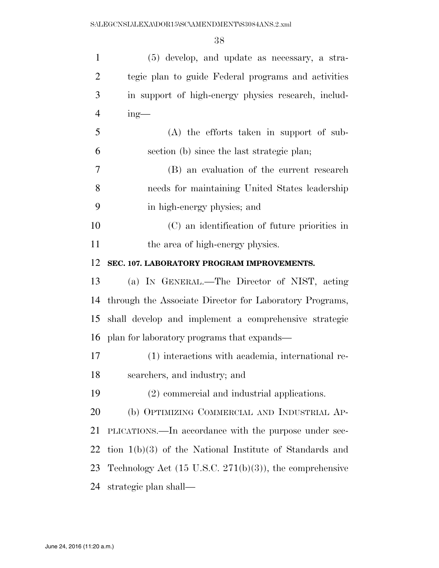| $\mathbf{1}$   | (5) develop, and update as necessary, a stra-                       |
|----------------|---------------------------------------------------------------------|
| $\overline{2}$ | tegic plan to guide Federal programs and activities                 |
| 3              | in support of high-energy physics research, includ-                 |
| $\overline{4}$ | $ing-$                                                              |
| 5              | (A) the efforts taken in support of sub-                            |
| 6              | section (b) since the last strategic plan;                          |
| 7              | (B) an evaluation of the current research                           |
| $8\,$          | needs for maintaining United States leadership                      |
| 9              | in high-energy physics; and                                         |
| 10             | (C) an identification of future priorities in                       |
| 11             | the area of high-energy physics.                                    |
| 12             | SEC. 107. LABORATORY PROGRAM IMPROVEMENTS.                          |
| 13             | (a) IN GENERAL.—The Director of NIST, acting                        |
| 14             | through the Associate Director for Laboratory Programs,             |
| 15             | shall develop and implement a comprehensive strategic               |
| 16             | plan for laboratory programs that expands—                          |
| 17             | (1) interactions with academia, international re-                   |
| 18             | searchers, and industry; and                                        |
| 19             | (2) commercial and industrial applications.                         |
| 20             | (b) OPTIMIZING COMMERCIAL AND INDUSTRIAL AP-                        |
| 21             | PLICATIONS.—In accordance with the purpose under sec-               |
| 22             | tion $1(b)(3)$ of the National Institute of Standards and           |
| 23             | Technology Act $(15 \text{ U.S.C. } 271(b)(3))$ , the comprehensive |
|                |                                                                     |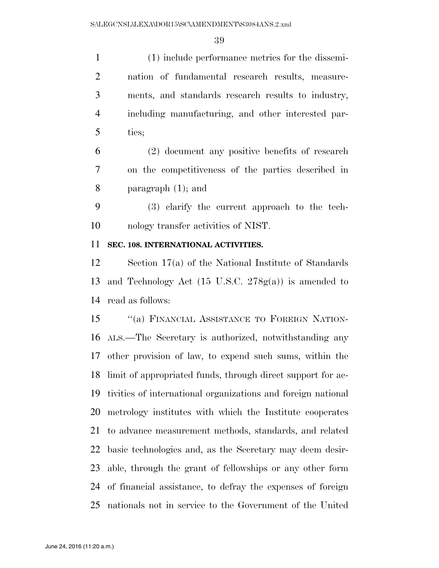(1) include performance metrics for the dissemi- nation of fundamental research results, measure- ments, and standards research results to industry, including manufacturing, and other interested par-ties;

 (2) document any positive benefits of research on the competitiveness of the parties described in paragraph (1); and

 (3) clarify the current approach to the tech-nology transfer activities of NIST.

### **SEC. 108. INTERNATIONAL ACTIVITIES.**

 Section 17(a) of the National Institute of Standards and Technology Act (15 U.S.C. 278g(a)) is amended to read as follows:

15 "(a) FINANCIAL ASSISTANCE TO FOREIGN NATION- ALS.—The Secretary is authorized, notwithstanding any other provision of law, to expend such sums, within the limit of appropriated funds, through direct support for ac- tivities of international organizations and foreign national metrology institutes with which the Institute cooperates to advance measurement methods, standards, and related basic technologies and, as the Secretary may deem desir- able, through the grant of fellowships or any other form of financial assistance, to defray the expenses of foreign nationals not in service to the Government of the United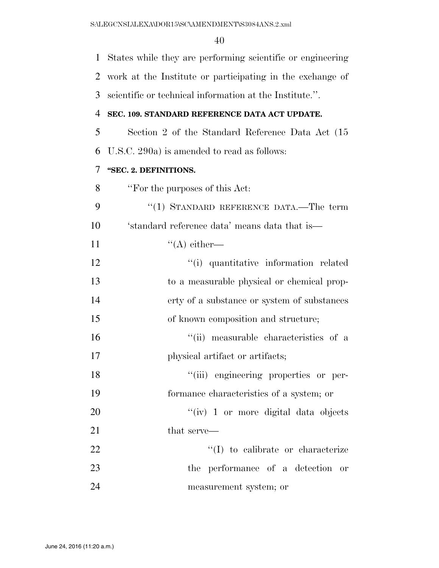| $\mathbf{1}$   | States while they are performing scientific or engineering |
|----------------|------------------------------------------------------------|
| $\overline{2}$ | work at the Institute or participating in the exchange of  |
| 3              | scientific or technical information at the Institute.".    |
| 4              | SEC. 109. STANDARD REFERENCE DATA ACT UPDATE.              |
| 5              | Section 2 of the Standard Reference Data Act (15           |
| 6              | U.S.C. 290a) is amended to read as follows:                |
| 7              | "SEC. 2. DEFINITIONS.                                      |
| 8              | "For the purposes of this Act:                             |
| 9              | "(1) STANDARD REFERENCE DATA.—The term                     |
| 10             | 'standard reference data' means data that is—              |
| 11             | $\lq\lq$ either—                                           |
| 12             | "(i) quantitative information related                      |
| 13             | to a measurable physical or chemical prop-                 |
| 14             | erty of a substance or system of substances                |
| 15             | of known composition and structure;                        |
| 16             | "(ii) measurable characteristics of a                      |
| 17             | physical artifact or artifacts;                            |
| 18             | "(iii) engineering properties or per-                      |
| 19             | formance characteristics of a system; or                   |
| 20             | "(iv) 1 or more digital data objects                       |
| 21             | that serve—                                                |
| 22             | $\lq\lq$ to calibrate or characterize                      |
| 23             | the performance of a detection<br>or                       |
| 24             | measurement system; or                                     |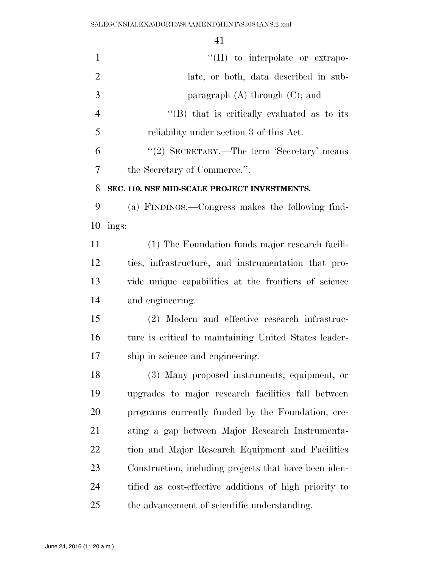| $\mathbf{1}$   | "(II) to interpolate or extrapo-                       |
|----------------|--------------------------------------------------------|
| $\overline{2}$ | late, or both, data described in sub-                  |
| 3              | paragraph $(A)$ through $(C)$ ; and                    |
| $\overline{4}$ | "(B) that is critically evaluated as to its            |
| 5              | reliability under section 3 of this Act.               |
| 6              | "(2) SECRETARY.—The term 'Secretary' means             |
| 7              | the Secretary of Commerce.".                           |
| 8              | SEC. 110. NSF MID-SCALE PROJECT INVESTMENTS.           |
| 9              | (a) FINDINGS.—Congress makes the following find-       |
| 10             | ings:                                                  |
| 11             | (1) The Foundation funds major research facili-        |
| 12             | ties, infrastructure, and instrumentation that pro-    |
| 13             | vide unique capabilities at the frontiers of science   |
| 14             | and engineering.                                       |
| 15             | (2) Modern and effective research infrastruc-          |
| 16             | ture is critical to maintaining United States leader-  |
| 17             | ship in science and engineering.                       |
| 18             | (3) Many proposed instruments, equipment, or           |
| 19             | upgrades to major research facilities fall between     |
| 20             | programs currently funded by the Foundation, cre-      |
| 21             | ating a gap between Major Research Instrumenta-        |
| 22             | tion and Major Research Equipment and Facilities       |
| 23             | Construction, including projects that have been iden-  |
| 24             | tified as cost-effective additions of high priority to |
| 25             | the advancement of scientific understanding.           |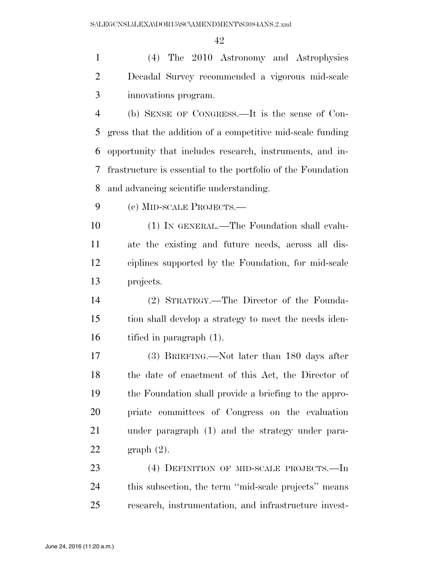(4) The 2010 Astronomy and Astrophysics Decadal Survey recommended a vigorous mid-scale innovations program.

 (b) SENSE OF CONGRESS.—It is the sense of Con- gress that the addition of a competitive mid-scale funding opportunity that includes research, instruments, and in- frastructure is essential to the portfolio of the Foundation and advancing scientific understanding.

(c) MID-SCALE PROJECTS.—

 (1) IN GENERAL.—The Foundation shall evalu- ate the existing and future needs, across all dis- ciplines supported by the Foundation, for mid-scale projects.

 (2) STRATEGY.—The Director of the Founda- tion shall develop a strategy to meet the needs iden-tified in paragraph (1).

 (3) BRIEFING.—Not later than 180 days after the date of enactment of this Act, the Director of the Foundation shall provide a briefing to the appro- priate committees of Congress on the evaluation under paragraph (1) and the strategy under para-graph (2).

 (4) DEFINITION OF MID-SCALE PROJECTS.—In this subsection, the term ''mid-scale projects'' means research, instrumentation, and infrastructure invest-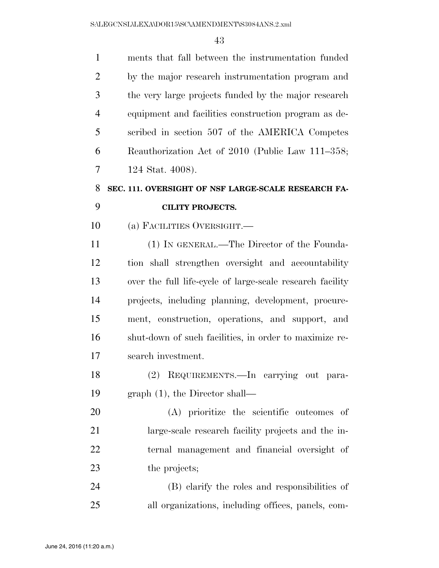| 8 | SEC. 111. OVERSIGHT OF NSF LARGE-SCALE RESEARCH FA-  |
|---|------------------------------------------------------|
| 7 | 124 Stat. 4008).                                     |
| 6 | Reauthorization Act of 2010 (Public Law 111–358;     |
| 5 | scribed in section 507 of the AMERICA Competes       |
| 4 | equipment and facilities construction program as de- |
| 3 | the very large projects funded by the major research |
| 2 | by the major research instrumentation program and    |
|   | ments that fall between the instrumentation funded   |

### **CILITY PROJECTS.**

(a) FACILITIES OVERSIGHT.—

 (1) IN GENERAL.—The Director of the Founda- tion shall strengthen oversight and accountability over the full life-cycle of large-scale research facility projects, including planning, development, procure- ment, construction, operations, and support, and shut-down of such facilities, in order to maximize re-search investment.

 (2) REQUIREMENTS.—In carrying out para-graph (1), the Director shall—

 (A) prioritize the scientific outcomes of large-scale research facility projects and the in- ternal management and financial oversight of the projects;

 (B) clarify the roles and responsibilities of all organizations, including offices, panels, com-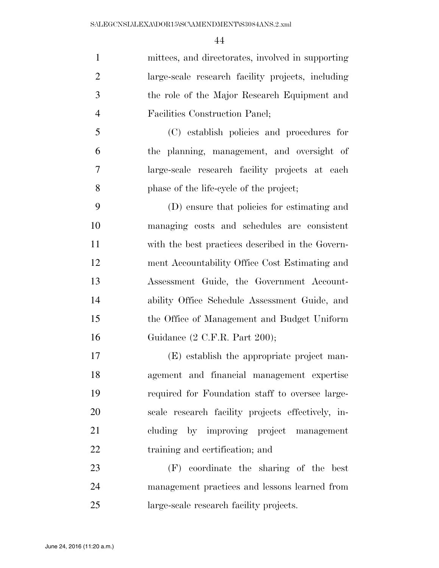mittees, and directorates, involved in supporting large-scale research facility projects, including the role of the Major Research Equipment and Facilities Construction Panel;

 (C) establish policies and procedures for the planning, management, and oversight of large-scale research facility projects at each phase of the life-cycle of the project;

 (D) ensure that policies for estimating and managing costs and schedules are consistent with the best practices described in the Govern- ment Accountability Office Cost Estimating and Assessment Guide, the Government Account- ability Office Schedule Assessment Guide, and the Office of Management and Budget Uniform Guidance (2 C.F.R. Part 200);

 (E) establish the appropriate project man- agement and financial management expertise required for Foundation staff to oversee large- scale research facility projects effectively, in- cluding by improving project management 22 training and certification; and

 (F) coordinate the sharing of the best management practices and lessons learned from large-scale research facility projects.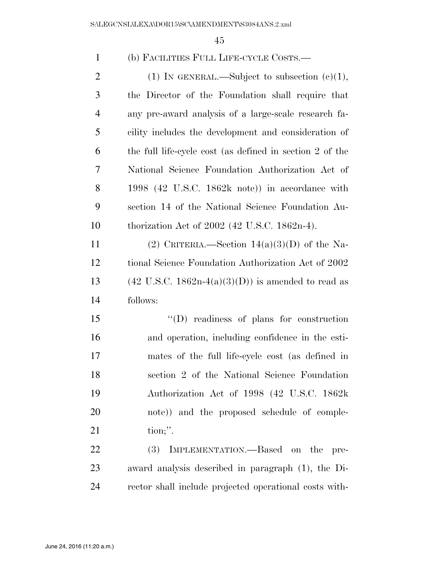| $\mathbf{1}$   | (b) FACILITIES FULL LIFE-CYCLE COSTS.—                                   |
|----------------|--------------------------------------------------------------------------|
| $\overline{2}$ | (1) IN GENERAL.—Subject to subsection $(e)(1)$ ,                         |
| 3              | the Director of the Foundation shall require that                        |
| $\overline{4}$ | any pre-award analysis of a large-scale research fa-                     |
| 5              | cility includes the development and consideration of                     |
| 6              | the full life-cycle cost (as defined in section 2 of the                 |
| 7              | National Science Foundation Authorization Act of                         |
| 8              | 1998 $(42 \text{ U.S.C. } 1862\text{k} \text{ note})$ in accordance with |
| 9              | section 14 of the National Science Foundation Au-                        |
| 10             | thorization Act of $2002$ (42 U.S.C. 1862n-4).                           |
| 11             | (2) CRITERIA.—Section $14(a)(3)(D)$ of the Na-                           |
| 12             | tional Science Foundation Authorization Act of 2002                      |
| 13             | $(42 \text{ U.S.C. } 1862n-4(a)(3)(D))$ is amended to read as            |
| 14             | follows:                                                                 |
| 15             | $\lq\lq$ readiness of plans for construction                             |
| 16             | and operation, including confidence in the esti-                         |
| 17             | mates of the full life-cycle cost (as defined in                         |
| 18             | section 2 of the National Science Foundation                             |
| 19             | Authorization Act of 1998 (42 U.S.C. 1862k)                              |
| 20             | note)) and the proposed schedule of comple-                              |
| 21             | $\text{tion};$ ".                                                        |
| 22             | (3)<br>IMPLEMENTATION.—Based on the pre-                                 |
| 23             | award analysis described in paragraph (1), the Di-                       |
| 24             | rector shall include projected operational costs with-                   |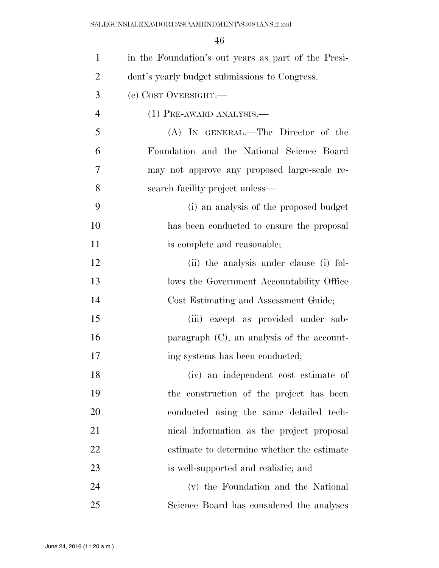| $\mathbf{1}$   | in the Foundation's out years as part of the Presi- |
|----------------|-----------------------------------------------------|
| $\overline{2}$ | dent's yearly budget submissions to Congress.       |
| 3              | (c) COST OVERSIGHT.                                 |
| $\overline{4}$ | (1) PRE-AWARD ANALYSIS.—                            |
| 5              | (A) IN GENERAL.—The Director of the                 |
| 6              | Foundation and the National Science Board           |
| 7              | may not approve any proposed large-scale re-        |
| 8              | search facility project unless—                     |
| 9              | (i) an analysis of the proposed budget              |
| 10             | has been conducted to ensure the proposal           |
| 11             | is complete and reasonable;                         |
| 12             | (ii) the analysis under clause (i) fol-             |
| 13             | lows the Government Accountability Office           |
| 14             | Cost Estimating and Assessment Guide;               |
| 15             | (iii) except as provided under sub-                 |
| 16             | paragraph $(C)$ , an analysis of the account-       |
| 17             | ing systems has been conducted;                     |
| 18             | (iv) an independent cost estimate of                |
| 19             | the construction of the project has been            |
| 20             | conducted using the same detailed tech-             |
| 21             | nical information as the project proposal           |
| 22             | estimate to determine whether the estimate          |
| 23             | is well-supported and realistic; and                |
| 24             | (v) the Foundation and the National                 |
| 25             | Science Board has considered the analyses           |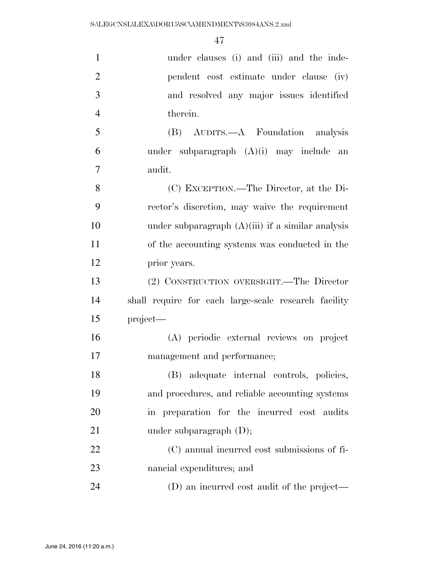| $\mathbf{1}$   | under clauses (i) and (iii) and the inde-            |
|----------------|------------------------------------------------------|
| $\overline{2}$ | pendent cost estimate under clause (iv)              |
| 3              | and resolved any major issues identified             |
| $\overline{4}$ | therein.                                             |
| 5              | (B) AUDITS.—A Foundation analysis                    |
| 6              | under subparagraph $(A)(i)$ may include an           |
| 7              | audit.                                               |
| 8              | (C) EXCEPTION.—The Director, at the Di-              |
| 9              | rector's discretion, may waive the requirement       |
| 10             | under subparagraph $(A)(iii)$ if a similar analysis  |
| 11             | of the accounting systems was conducted in the       |
| 12             | prior years.                                         |
| 13             | (2) CONSTRUCTION OVERSIGHT.—The Director             |
| 14             | shall require for each large-scale research facility |
| 15             | project—                                             |
| 16             | (A) periodic external reviews on project             |
| 17             | management and performance;                          |
| 18             | (B) adequate internal controls, policies,            |
| 19             | and procedures, and reliable accounting systems      |
| 20             | in preparation for the incurred cost audits          |
| 21             | under subparagraph $(D)$ ;                           |
| 22             | (C) annual incurred cost submissions of fi-          |
| 23             | nancial expenditures; and                            |
| 24             | (D) an incurred cost audit of the project—           |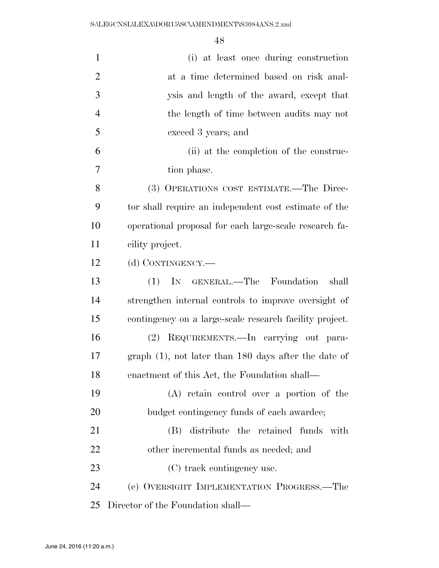| $\mathbf{1}$   | (i) at least once during construction                   |
|----------------|---------------------------------------------------------|
| $\overline{2}$ | at a time determined based on risk anal-                |
| 3              | ysis and length of the award, except that               |
| $\overline{4}$ | the length of time between audits may not               |
| 5              | exceed 3 years; and                                     |
| 6              | (ii) at the completion of the construc-                 |
| 7              | tion phase.                                             |
| 8              | (3) OPERATIONS COST ESTIMATE.—The Direc-                |
| 9              | tor shall require an independent cost estimate of the   |
| 10             | operational proposal for each large-scale research fa-  |
| 11             | cility project.                                         |
| 12             | (d) CONTINGENCY.—                                       |
| 13             | IN GENERAL.—The Foundation<br>shall<br>(1)              |
| 14             | strengthen internal controls to improve oversight of    |
| 15             | contingency on a large-scale research facility project. |
| 16             | (2) REQUIREMENTS.—In carrying out para-                 |
| 17             | $graph(1)$ , not later than 180 days after the date of  |
| 18             | enactment of this Act, the Foundation shall—            |
| 19             | (A) retain control over a portion of the                |
| 20             | budget contingency funds of each awardee;               |
| 21             | (B) distribute the retained funds with                  |
| 22             | other incremental funds as needed; and                  |
| 23             | (C) track contingency use.                              |
| 24             | (e) OVERSIGHT IMPLEMENTATION PROGRESS.—The              |
| 25             | Director of the Foundation shall—                       |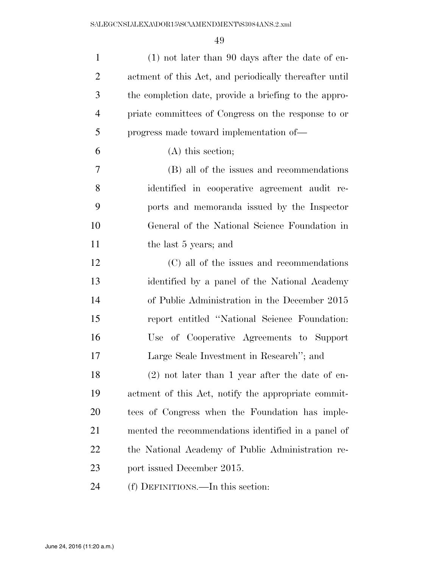| $\mathbf{1}$   | $(1)$ not later than 90 days after the date of en-     |
|----------------|--------------------------------------------------------|
| $\overline{2}$ | actment of this Act, and periodically thereafter until |
| 3              | the completion date, provide a briefing to the appro-  |
| $\overline{4}$ | priate committees of Congress on the response to or    |
| 5              | progress made toward implementation of—                |
| 6              | $(A)$ this section;                                    |
| 7              | (B) all of the issues and recommendations              |
| 8              | identified in cooperative agreement audit re-          |
| 9              | ports and memoranda issued by the Inspector            |
| 10             | General of the National Science Foundation in          |
| 11             | the last 5 years; and                                  |
| 12             | (C) all of the issues and recommendations              |
| 13             | identified by a panel of the National Academy          |
| 14             | of Public Administration in the December 2015          |
| 15             | report entitled "National Science Foundation:          |
| 16             | Use of Cooperative Agreements to Support               |
| 17             | Large Scale Investment in Research"; and               |
| 18             | $(2)$ not later than 1 year after the date of en-      |
| 19             | actment of this Act, notify the appropriate commit-    |
| 20             | tees of Congress when the Foundation has imple-        |
| 21             | mented the recommendations identified in a panel of    |
| 22             | the National Academy of Public Administration re-      |
| 23             | port issued December 2015.                             |
| 24             | (f) DEFINITIONS.—In this section:                      |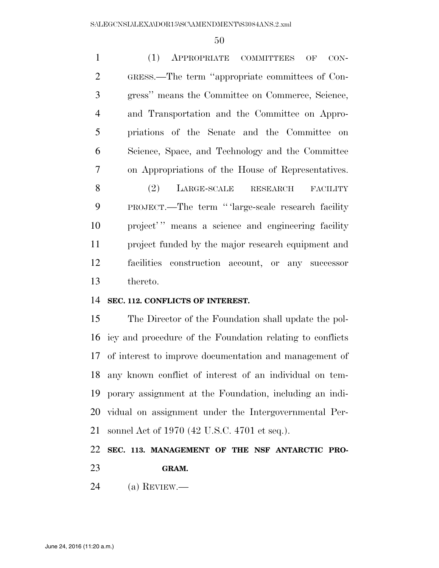(1) APPROPRIATE COMMITTEES OF CON- GRESS.—The term ''appropriate committees of Con- gress'' means the Committee on Commerce, Science, and Transportation and the Committee on Appro- priations of the Senate and the Committee on Science, Space, and Technology and the Committee on Appropriations of the House of Representatives. 8 (2) LARGE-SCALE RESEARCH FACILITY PROJECT.—The term '' 'large-scale research facility 10 project'" means a science and engineering facility project funded by the major research equipment and facilities construction account, or any successor thereto.

### **SEC. 112. CONFLICTS OF INTEREST.**

 The Director of the Foundation shall update the pol- icy and procedure of the Foundation relating to conflicts of interest to improve documentation and management of any known conflict of interest of an individual on tem- porary assignment at the Foundation, including an indi- vidual on assignment under the Intergovernmental Per-sonnel Act of 1970 (42 U.S.C. 4701 et seq.).

### **SEC. 113. MANAGEMENT OF THE NSF ANTARCTIC PRO-GRAM.**

(a) REVIEW.—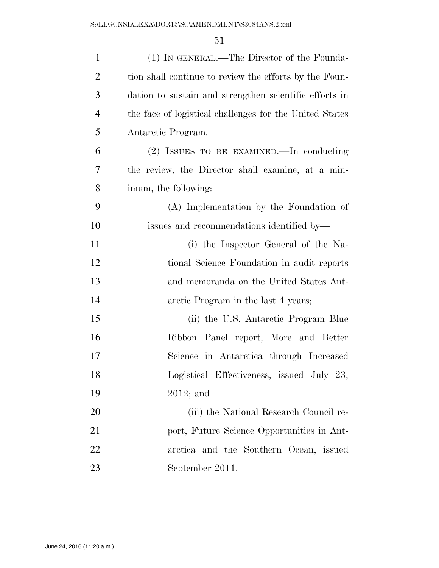| $\mathbf{1}$   | (1) IN GENERAL.—The Director of the Founda-             |
|----------------|---------------------------------------------------------|
| $\overline{2}$ | tion shall continue to review the efforts by the Foun-  |
| 3              | dation to sustain and strengthen scientific efforts in  |
| $\overline{4}$ | the face of logistical challenges for the United States |
| 5              | Antarctic Program.                                      |
| 6              | (2) ISSUES TO BE EXAMINED.—In conducting                |
| 7              | the review, the Director shall examine, at a min-       |
| 8              | imum, the following:                                    |
| 9              | (A) Implementation by the Foundation of                 |
| 10             | issues and recommendations identified by—               |
| 11             | (i) the Inspector General of the Na-                    |
| 12             | tional Science Foundation in audit reports              |
| 13             | and memoranda on the United States Ant-                 |
| 14             | arctic Program in the last 4 years;                     |
| 15             | (ii) the U.S. Antarctic Program Blue                    |
| 16             | Ribbon Panel report, More and Better                    |
| 17             | Science in Antarctica through Increased                 |
| 18             | Logistical Effectiveness, issued July 23,               |
| 19             | $2012$ ; and                                            |
| 20             | (iii) the National Research Council re-                 |
| 21             | port, Future Science Opportunities in Ant-              |
| 22             | arctica and the Southern Ocean, issued                  |
| 23             | September 2011.                                         |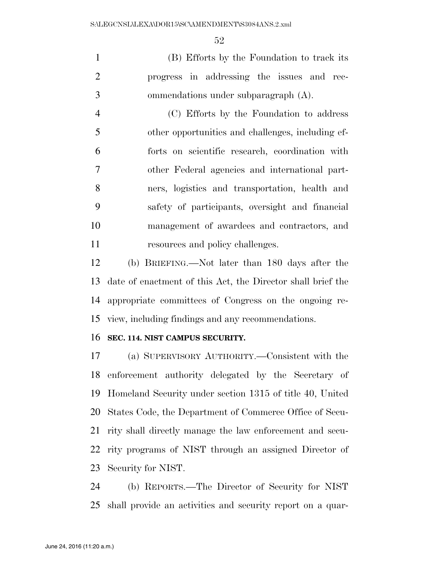(B) Efforts by the Foundation to track its progress in addressing the issues and rec-ommendations under subparagraph (A).

 (C) Efforts by the Foundation to address other opportunities and challenges, including ef- forts on scientific research, coordination with other Federal agencies and international part- ners, logistics and transportation, health and safety of participants, oversight and financial management of awardees and contractors, and 11 resources and policy challenges.

 (b) BRIEFING.—Not later than 180 days after the date of enactment of this Act, the Director shall brief the appropriate committees of Congress on the ongoing re-view, including findings and any recommendations.

### **SEC. 114. NIST CAMPUS SECURITY.**

 (a) SUPERVISORY AUTHORITY.—Consistent with the enforcement authority delegated by the Secretary of Homeland Security under section 1315 of title 40, United States Code, the Department of Commerce Office of Secu- rity shall directly manage the law enforcement and secu- rity programs of NIST through an assigned Director of Security for NIST.

 (b) REPORTS.—The Director of Security for NIST shall provide an activities and security report on a quar-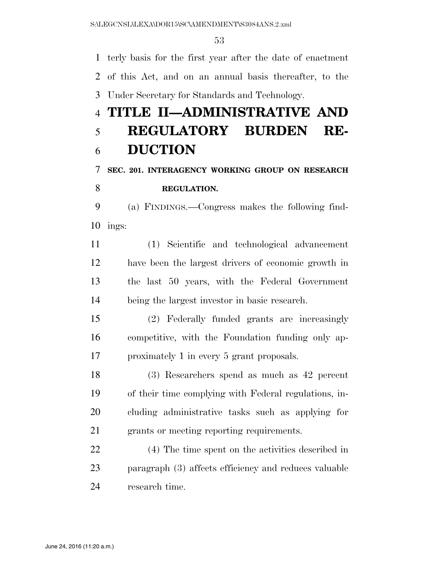terly basis for the first year after the date of enactment of this Act, and on an annual basis thereafter, to the Under Secretary for Standards and Technology.

# **TITLE II—ADMINISTRATIVE AND REGULATORY BURDEN RE-DUCTION**

## **SEC. 201. INTERAGENCY WORKING GROUP ON RESEARCH REGULATION.**

 (a) FINDINGS.—Congress makes the following find-ings:

 (1) Scientific and technological advancement have been the largest drivers of economic growth in the last 50 years, with the Federal Government being the largest investor in basic research.

 (2) Federally funded grants are increasingly competitive, with the Foundation funding only ap-proximately 1 in every 5 grant proposals.

 (3) Researchers spend as much as 42 percent of their time complying with Federal regulations, in- cluding administrative tasks such as applying for grants or meeting reporting requirements.

 (4) The time spent on the activities described in paragraph (3) affects efficiency and reduces valuable research time.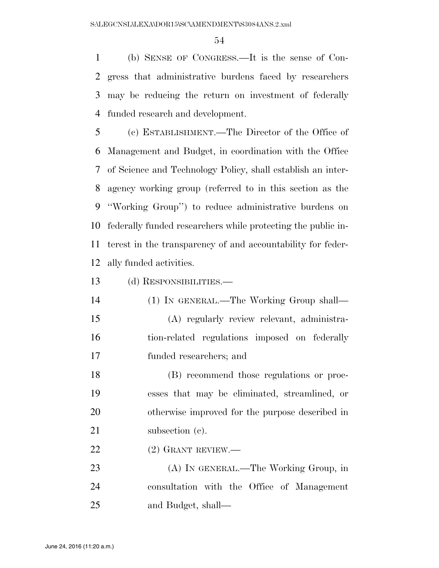(b) SENSE OF CONGRESS.—It is the sense of Con- gress that administrative burdens faced by researchers may be reducing the return on investment of federally funded research and development.

 (c) ESTABLISHMENT.—The Director of the Office of Management and Budget, in coordination with the Office of Science and Technology Policy, shall establish an inter- agency working group (referred to in this section as the ''Working Group'') to reduce administrative burdens on federally funded researchers while protecting the public in- terest in the transparency of and accountability for feder-ally funded activities.

(d) RESPONSIBILITIES.—

 (1) IN GENERAL.—The Working Group shall— (A) regularly review relevant, administra- tion-related regulations imposed on federally funded researchers; and

 (B) recommend those regulations or proc- esses that may be eliminated, streamlined, or otherwise improved for the purpose described in 21 subsection (c).

22 (2) GRANT REVIEW.—

 (A) IN GENERAL.—The Working Group, in consultation with the Office of Management and Budget, shall—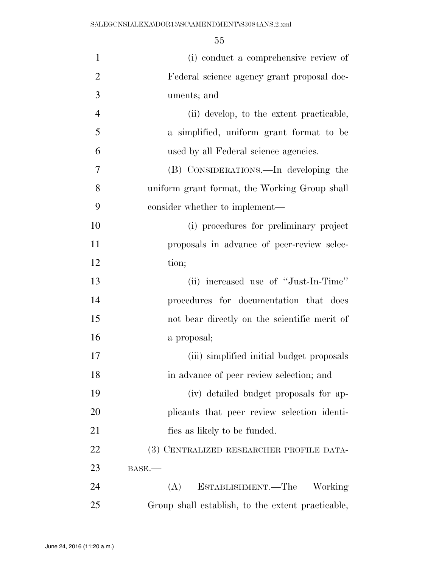| $\mathbf{1}$   | (i) conduct a comprehensive review of             |
|----------------|---------------------------------------------------|
| $\overline{2}$ | Federal science agency grant proposal doc-        |
| 3              | uments; and                                       |
| $\overline{4}$ | (ii) develop, to the extent practicable,          |
| 5              | a simplified, uniform grant format to be          |
| 6              | used by all Federal science agencies.             |
| 7              | (B) CONSIDERATIONS.—In developing the             |
| 8              | uniform grant format, the Working Group shall     |
| 9              | consider whether to implement—                    |
| 10             | (i) procedures for preliminary project            |
| 11             | proposals in advance of peer-review selec-        |
| 12             | tion;                                             |
| 13             | (ii) increased use of "Just-In-Time"              |
| 14             | procedures for documentation that does            |
| 15             | not bear directly on the scientific merit of      |
| 16             | a proposal;                                       |
| 17             | (iii) simplified initial budget proposals         |
| 18             | in advance of peer review selection; and          |
| 19             | (iv) detailed budget proposals for ap-            |
| 20             | plicants that peer review selection identi-       |
| 21             | fies as likely to be funded.                      |
| 22             | (3) CENTRALIZED RESEARCHER PROFILE DATA-          |
| 23             | BASE.                                             |
| 24             | ESTABLISHMENT.—The<br>(A)<br>Working              |
| 25             | Group shall establish, to the extent practicable, |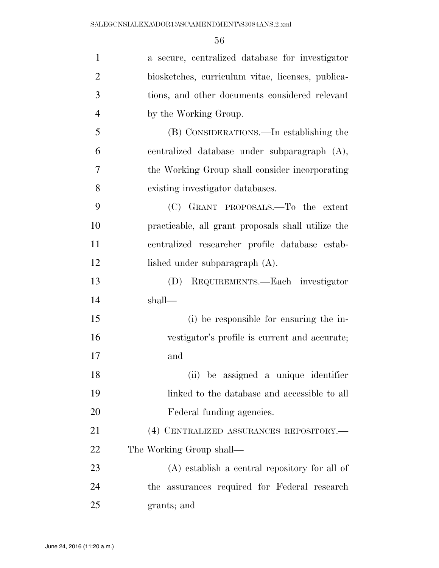| $\mathbf{1}$   | a secure, centralized database for investigator    |
|----------------|----------------------------------------------------|
| $\overline{2}$ | biosketches, curriculum vitae, licenses, publica-  |
| 3              | tions, and other documents considered relevant     |
| $\overline{4}$ | by the Working Group.                              |
| 5              | (B) CONSIDERATIONS.—In establishing the            |
| 6              | centralized database under subparagraph (A),       |
| 7              | the Working Group shall consider incorporating     |
| 8              | existing investigator databases.                   |
| 9              | (C) GRANT PROPOSALS.—To the extent                 |
| 10             | practicable, all grant proposals shall utilize the |
| 11             | centralized researcher profile database estab-     |
| 12             | lished under subparagraph (A).                     |
| 13             | REQUIREMENTS.-Each investigator<br>(D)             |
| 14             | shall—                                             |
| 15             | (i) be responsible for ensuring the in-            |
| 16             | vestigator's profile is current and accurate;      |
| 17             | and                                                |
| 18             | (ii) be assigned a unique identifier               |
| 19             | linked to the database and accessible to all       |
| 20             | Federal funding agencies.                          |
| 21             | (4) CENTRALIZED ASSURANCES REPOSITORY.-            |
| 22             | The Working Group shall—                           |
| 23             | $(A)$ establish a central repository for all of    |
| 24             | the assurances required for Federal research       |
| 25             | grants; and                                        |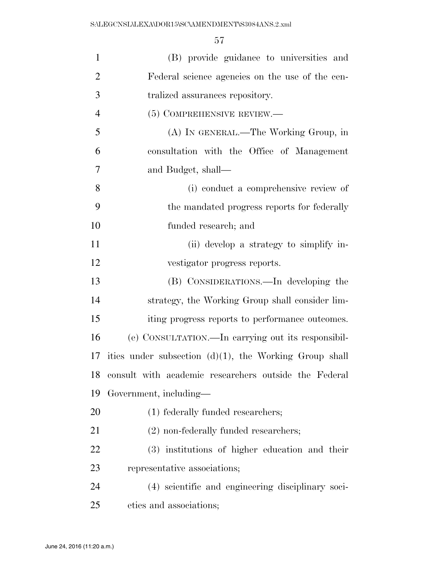| $\mathbf{1}$   | (B) provide guidance to universities and                  |
|----------------|-----------------------------------------------------------|
| $\mathfrak{2}$ | Federal science agencies on the use of the cen-           |
| 3              | tralized assurances repository.                           |
| $\overline{4}$ | (5) COMPREHENSIVE REVIEW.—                                |
| 5              | (A) IN GENERAL.—The Working Group, in                     |
| 6              | consultation with the Office of Management                |
| 7              | and Budget, shall—                                        |
| 8              | (i) conduct a comprehensive review of                     |
| 9              | the mandated progress reports for federally               |
| 10             | funded research; and                                      |
| 11             | (ii) develop a strategy to simplify in-                   |
| 12             | vestigator progress reports.                              |
| 13             | (B) CONSIDERATIONS.—In developing the                     |
| 14             | strategy, the Working Group shall consider lim-           |
| 15             | iting progress reports to performance outcomes.           |
| 16             | (e) CONSULTATION.—In carrying out its responsibil-        |
| 17             | ities under subsection $(d)(1)$ , the Working Group shall |
|                | 18 consult with academic researchers outside the Federal  |
| 19             | Government, including—                                    |
| 20             | (1) federally funded researchers;                         |
| 21             | $(2)$ non-federally funded researchers;                   |
| 22             | (3) institutions of higher education and their            |
| 23             | representative associations;                              |
| 24             | (4) scientific and engineering disciplinary soci-         |
| 25             | eties and associations;                                   |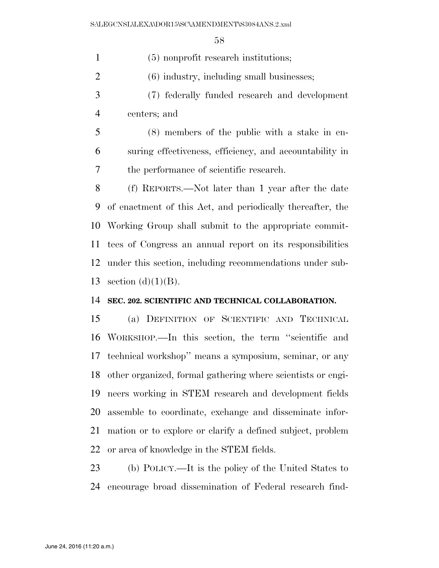(5) nonprofit research institutions;

(6) industry, including small businesses;

- (7) federally funded research and development centers; and
- (8) members of the public with a stake in en- suring effectiveness, efficiency, and accountability in the performance of scientific research.

 (f) REPORTS.—Not later than 1 year after the date of enactment of this Act, and periodically thereafter, the Working Group shall submit to the appropriate commit- tees of Congress an annual report on its responsibilities under this section, including recommendations under sub-13 section  $(d)(1)(B)$ .

### **SEC. 202. SCIENTIFIC AND TECHNICAL COLLABORATION.**

 (a) DEFINITION OF SCIENTIFIC AND TECHNICAL WORKSHOP.—In this section, the term ''scientific and technical workshop'' means a symposium, seminar, or any other organized, formal gathering where scientists or engi- neers working in STEM research and development fields assemble to coordinate, exchange and disseminate infor- mation or to explore or clarify a defined subject, problem or area of knowledge in the STEM fields.

 (b) POLICY.—It is the policy of the United States to encourage broad dissemination of Federal research find-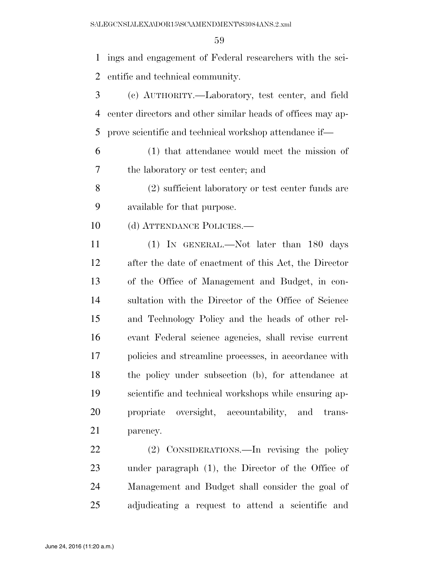ings and engagement of Federal researchers with the sci-entific and technical community.

- (c) AUTHORITY.—Laboratory, test center, and field center directors and other similar heads of offices may ap-prove scientific and technical workshop attendance if—
- (1) that attendance would meet the mission of the laboratory or test center; and
- (2) sufficient laboratory or test center funds are available for that purpose.
- 10 (d) ATTENDANCE POLICIES.—

 (1) IN GENERAL.—Not later than 180 days after the date of enactment of this Act, the Director of the Office of Management and Budget, in con- sultation with the Director of the Office of Science and Technology Policy and the heads of other rel- evant Federal science agencies, shall revise current policies and streamline processes, in accordance with the policy under subsection (b), for attendance at scientific and technical workshops while ensuring ap- propriate oversight, accountability, and trans-parency.

 (2) CONSIDERATIONS.—In revising the policy under paragraph (1), the Director of the Office of Management and Budget shall consider the goal of adjudicating a request to attend a scientific and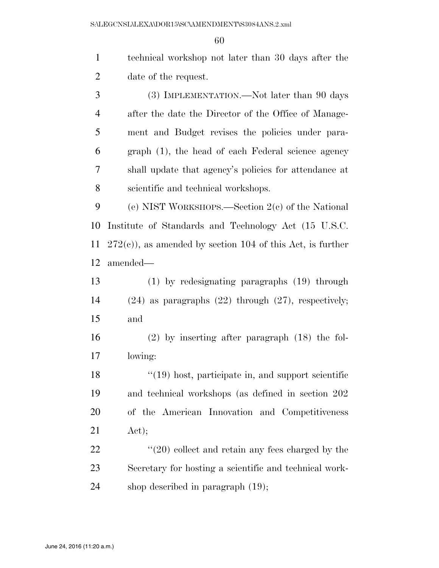technical workshop not later than 30 days after the date of the request. (3) IMPLEMENTATION.—Not later than 90 days after the date the Director of the Office of Manage- ment and Budget revises the policies under para- graph (1), the head of each Federal science agency shall update that agency's policies for attendance at scientific and technical workshops. (e) NIST WORKSHOPS.—Section 2(c) of the National Institute of Standards and Technology Act (15 U.S.C. 272(c)), as amended by section 104 of this Act, is further amended—

 (1) by redesignating paragraphs (19) through (24) as paragraphs (22) through (27), respectively; and

 (2) by inserting after paragraph (18) the fol-lowing:

18 ''(19) host, participate in, and support scientific and technical workshops (as defined in section 202 of the American Innovation and Competitiveness Act);

22 ''(20) collect and retain any fees charged by the Secretary for hosting a scientific and technical work-shop described in paragraph (19);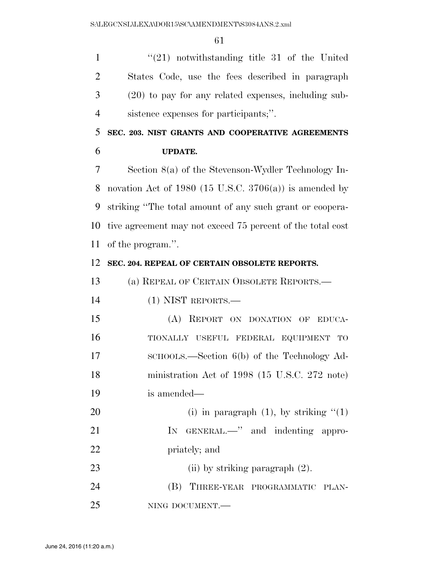''(21) notwithstanding title 31 of the United States Code, use the fees described in paragraph (20) to pay for any related expenses, including sub-sistence expenses for participants;''.

 **SEC. 203. NIST GRANTS AND COOPERATIVE AGREEMENTS UPDATE.** 

 Section 8(a) of the Stevenson-Wydler Technology In-8 novation Act of 1980 (15 U.S.C. 3706(a)) is amended by striking ''The total amount of any such grant or coopera- tive agreement may not exceed 75 percent of the total cost of the program.''.

### **SEC. 204. REPEAL OF CERTAIN OBSOLETE REPORTS.**

(a) REPEAL OF CERTAIN OBSOLETE REPORTS.—

(1) NIST REPORTS.—

 (A) REPORT ON DONATION OF EDUCA- TIONALLY USEFUL FEDERAL EQUIPMENT TO 17 SCHOOLS.—Section 6(b) of the Technology Ad- ministration Act of 1998 (15 U.S.C. 272 note) is amended—

20 (i) in paragraph  $(1)$ , by striking  $(1)$ 21 IN GENERAL.—" and indenting appro-priately; and

23 (ii) by striking paragraph  $(2)$ . 24 (B) THREE-YEAR PROGRAMMATIC PLAN-

NING DOCUMENT.—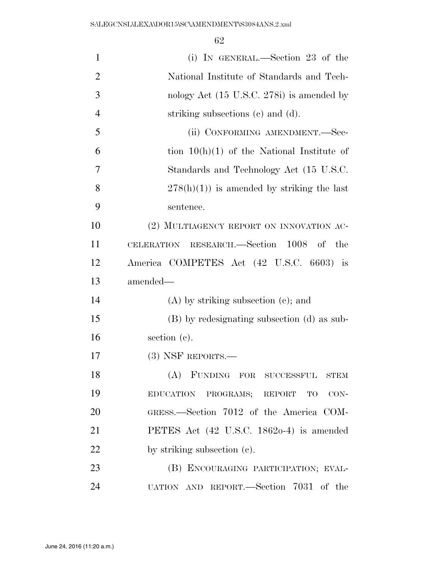| $\mathbf{1}$   | (i) IN GENERAL.—Section 23 of the                   |
|----------------|-----------------------------------------------------|
| $\overline{2}$ | National Institute of Standards and Tech-           |
| 3              | nology Act (15 U.S.C. 278i) is amended by           |
| $\overline{4}$ | striking subsections (c) and (d).                   |
| 5              | (ii) CONFORMING AMENDMENT.—Sec-                     |
| 6              | tion $10(h)(1)$ of the National Institute of        |
| 7              | Standards and Technology Act (15 U.S.C.             |
| 8              | $278(h)(1)$ is amended by striking the last         |
| 9              | sentence.                                           |
| 10             | (2) MULTIAGENCY REPORT ON INNOVATION AC-            |
| 11             | CELERATION RESEARCH.—Section 1008 of the            |
| 12             | America COMPETES Act (42 U.S.C. 6603) is            |
| 13             | amended-                                            |
| 14             | $(A)$ by striking subsection $(e)$ ; and            |
| 15             | (B) by redesignating subsection (d) as sub-         |
| 16             | section $(c)$ .                                     |
| 17             | $(3)$ NSF REPORTS.—                                 |
| 18             | (A) FUNDING FOR SUCCESSFUL<br>${\rm STEM}$          |
| 19             | EDUCATION PROGRAMS; REPORT TO CON-                  |
| 20             | GRESS.—Section 7012 of the America COM-             |
| 21             | PETES Act $(42 \text{ U.S.C. } 18620-4)$ is amended |
| 22             | by striking subsection (c).                         |
| 23             | (B) ENCOURAGING PARTICIPATION; EVAL-                |
| 24             | UATION AND REPORT.—Section 7031 of the              |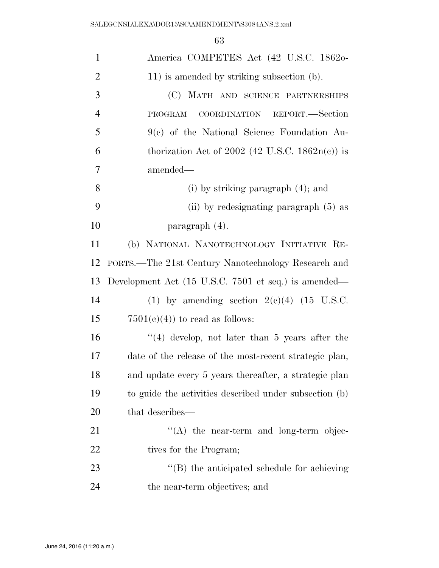| $\mathbf{1}$   | America COMPETES Act (42 U.S.C. 1862o-                 |
|----------------|--------------------------------------------------------|
| $\overline{2}$ | 11) is amended by striking subsection (b).             |
| 3              | (C) MATH AND SCIENCE PARTNERSHIPS                      |
| $\overline{4}$ | COORDINATION REPORT.-Section<br>PROGRAM                |
| 5              | $9(c)$ of the National Science Foundation Au-          |
| 6              | thorization Act of 2002 (42 U.S.C. $1862n(c)$ ) is     |
| 7              | amended-                                               |
| 8              | $(i)$ by striking paragraph $(4)$ ; and                |
| 9              | (ii) by redesignating paragraph (5) as                 |
| 10             | paragraph $(4)$ .                                      |
| 11             | (b) NATIONAL NANOTECHNOLOGY INITIATIVE RE-             |
| 12             | PORTS.—The 21st Century Nanotechnology Research and    |
| 13             | Development Act (15 U.S.C. 7501 et seq.) is amended—   |
| 14             | (1) by amending section $2(e)(4)$ (15 U.S.C.           |
| 15             | $7501(c)(4)$ to read as follows:                       |
| 16             | $(4)$ develop, not later than 5 years after the        |
| 17             | date of the release of the most-recent strategic plan, |
| 18             | and update every 5 years thereafter, a strategic plan  |
| 19             | to guide the activities described under subsection (b) |
|                |                                                        |
| 20             | that describes—                                        |
| 21             | $\lq\lq$ the near-term and long-term objec-            |
| 22             | tives for the Program;                                 |
| 23             | "(B) the anticipated schedule for achieving            |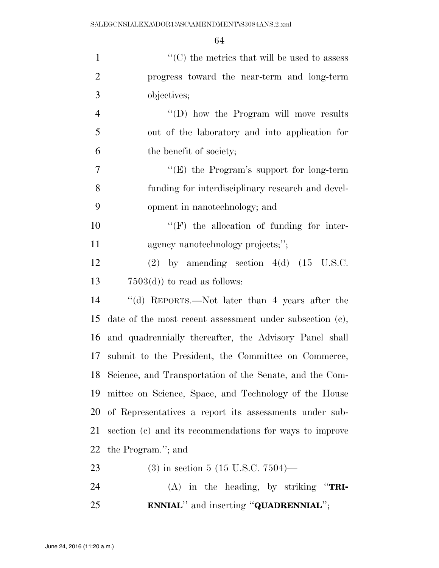| $\mathbf{1}$   | $\lq\lq$ <sup>*</sup> (C) the metrics that will be used to assess |
|----------------|-------------------------------------------------------------------|
| $\overline{2}$ | progress toward the near-term and long-term                       |
| 3              | objectives;                                                       |
| $\overline{4}$ | "(D) how the Program will move results                            |
| 5              | out of the laboratory and into application for                    |
| 6              | the benefit of society;                                           |
| 7              | "(E) the Program's support for long-term                          |
| 8              | funding for interdisciplinary research and devel-                 |
| 9              | opment in nanotechnology; and                                     |
| 10             | $``(F)$ the allocation of funding for inter-                      |
| 11             | agency nanotechnology projects;";                                 |
| 12             | $(2)$ by amending section $4(d)$ $(15 \text{ U.S.C.})$            |
| 13             | $7503(d)$ to read as follows:                                     |
| 14             | "(d) REPORTS.—Not later than 4 years after the                    |
| 15             | date of the most recent assessment under subsection $(c)$ ,       |
| 16             | and quadrennially thereafter, the Advisory Panel shall            |
| 17             | submit to the President, the Committee on Commerce,               |
| 18             | Science, and Transportation of the Senate, and the Com-           |
| 19             | mittee on Science, Space, and Technology of the House             |
| 20             | of Representatives a report its assessments under sub-            |
| 21             | section (c) and its recommendations for ways to improve           |
| 22             | the Program."; and                                                |
| 23             | $(3)$ in section 5 (15 U.S.C. 7504)—                              |
| 24             | $(A)$ in the heading, by striking "TRI-                           |
| 25             | <b>ENNIAL</b> " and inserting "QUADRENNIAL";                      |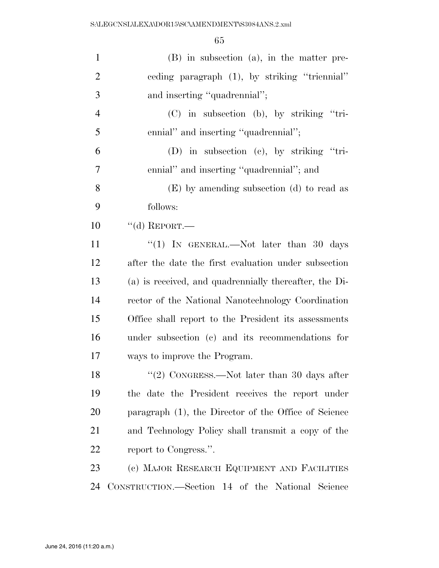| $\mathbf{1}$   | $(B)$ in subsection $(a)$ , in the matter pre-         |
|----------------|--------------------------------------------------------|
| $\overline{2}$ | ceding paragraph (1), by striking "triennial"          |
| 3              | and inserting "quadrennial";                           |
| $\overline{4}$ | $(C)$ in subsection (b), by striking "tri-             |
| 5              | ennial" and inserting "quadrennial";                   |
| 6              | $(D)$ in subsection $(c)$ , by striking "tri-          |
| 7              | ennial" and inserting "quadrennial"; and               |
| 8              | (E) by amending subsection (d) to read as              |
| 9              | follows:                                               |
| 10             | "(d) REPORT.—                                          |
| 11             | "(1) IN GENERAL.—Not later than 30 days                |
| 12             | after the date the first evaluation under subsection   |
| 13             | (a) is received, and quadrennially thereafter, the Di- |
| 14             | rector of the National Nanotechnology Coordination     |
| 15             | Office shall report to the President its assessments   |
| 16             | under subsection (c) and its recommendations for       |
| 17             | ways to improve the Program.                           |
| 18             | "(2) CONGRESS.—Not later than 30 days after            |
| 19             | the date the President receives the report under       |
| 20             | paragraph (1), the Director of the Office of Science   |
| 21             | and Technology Policy shall transmit a copy of the     |
| 22             | report to Congress.".                                  |
| 23             | (c) MAJOR RESEARCH EQUIPMENT AND FACILITIES            |
| 24             | CONSTRUCTION.—Section 14 of the National Science       |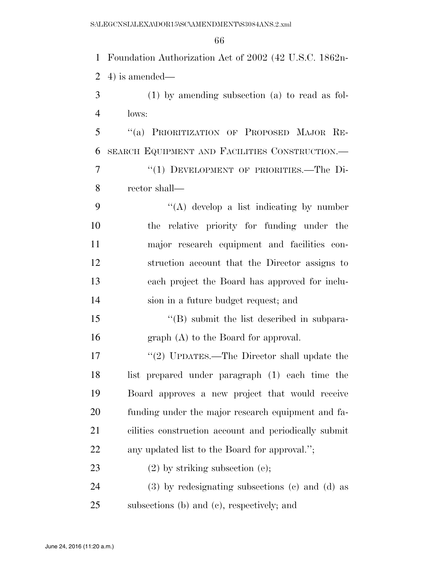Foundation Authorization Act of 2002 (42 U.S.C. 1862n- 4) is amended— (1) by amending subsection (a) to read as fol- lows: ''(a) PRIORITIZATION OF PROPOSED MAJOR RE- SEARCH EQUIPMENT AND FACILITIES CONSTRUCTION.— 7 "(1) DEVELOPMENT OF PRIORITIES.—The Di- rector shall—  $\langle (A) \rangle$  develop a list indicating by number the relative priority for funding under the major research equipment and facilities con- struction account that the Director assigns to each project the Board has approved for inclu- sion in a future budget request; and 15 "(B) submit the list described in subpara- graph (A) to the Board for approval. 17 "(2) UPDATES.—The Director shall update the list prepared under paragraph (1) each time the Board approves a new project that would receive funding under the major research equipment and fa- cilities construction account and periodically submit any updated list to the Board for approval.''; 23 (2) by striking subsection (e); (3) by redesignating subsections (c) and (d) as

subsections (b) and (c), respectively; and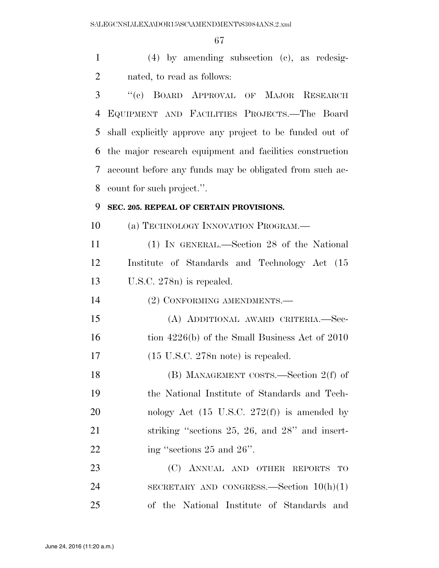(4) by amending subsection (c), as redesig-nated, to read as follows:

 ''(c) BOARD APPROVAL OF MAJOR RESEARCH EQUIPMENT AND FACILITIES PROJECTS.—The Board shall explicitly approve any project to be funded out of the major research equipment and facilities construction account before any funds may be obligated from such ac-count for such project.''.

### **SEC. 205. REPEAL OF CERTAIN PROVISIONS.**

10 (a) TECHNOLOGY INNOVATION PROGRAM.—

 (1) IN GENERAL.—Section 28 of the National Institute of Standards and Technology Act (15 U.S.C. 278n) is repealed.

(2) CONFORMING AMENDMENTS.—

 (A) ADDITIONAL AWARD CRITERIA.—Sec-16 tion 4226(b) of the Small Business Act of 2010 (15 U.S.C. 278n note) is repealed.

 (B) MANAGEMENT COSTS.—Section 2(f) of the National Institute of Standards and Tech-20 nology Act  $(15 \text{ U.S.C. } 272(\text{f}))$  is amended by 21 striking "sections 25, 26, and 28" and insert-22 ing "sections 25 and 26".

23 (C) ANNUAL AND OTHER REPORTS TO SECRETARY AND CONGRESS.—Section 10(h)(1) of the National Institute of Standards and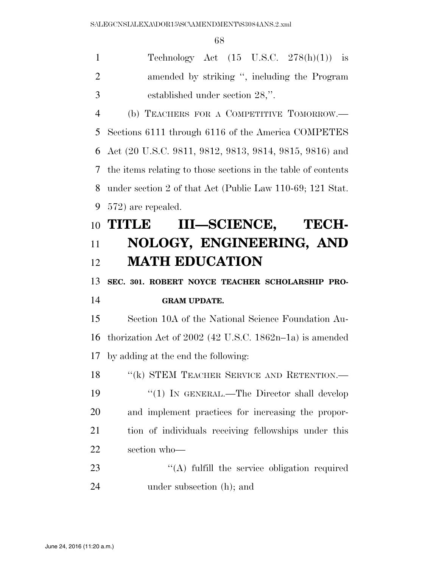$\overline{6}$ 

|                | 68                                                            |
|----------------|---------------------------------------------------------------|
| $\mathbf{1}$   | Technology Act $(15 \text{ U.S.C. } 278(h)(1))$ is            |
| $\overline{2}$ | amended by striking ", including the Program                  |
| 3              | established under section 28,".                               |
| $\overline{4}$ | (b) TEACHERS FOR A COMPETITIVE TOMORROW.—                     |
| 5              | Sections 6111 through 6116 of the America COMPETES            |
| 6              | Act (20 U.S.C. 9811, 9812, 9813, 9814, 9815, 9816) and        |
| 7              | the items relating to those sections in the table of contents |
| 8              | under section 2 of that Act (Public Law 110-69; 121 Stat.     |
| 9              | 572) are repealed.                                            |
| 10             | III-SCIENCE, TECH-<br><b>TITLE</b>                            |
| 11             | NOLOGY, ENGINEERING, AND                                      |
| 12             | <b>MATH EDUCATION</b>                                         |
| 13             | SEC. 301. ROBERT NOYCE TEACHER SCHOLARSHIP PRO-               |
| 14             | <b>GRAM UPDATE.</b>                                           |
| 15             | Section 10A of the National Science Foundation Au-            |
| 16             | thorization Act of $2002$ (42 U.S.C. 1862n-1a) is amended     |
|                | 17 by adding at the end the following:                        |
| 18             | "(k) STEM TEACHER SERVICE AND RETENTION.-                     |
| 19             | "(1) IN GENERAL.—The Director shall develop                   |
| 20             | and implement practices for increasing the propor-            |
| 21             | tion of individuals receiving fellowships under this          |
| 22             | section who-                                                  |
| 23             | $\lq\lq$ fulfill the service obligation required              |
| 24             | under subsection (h); and                                     |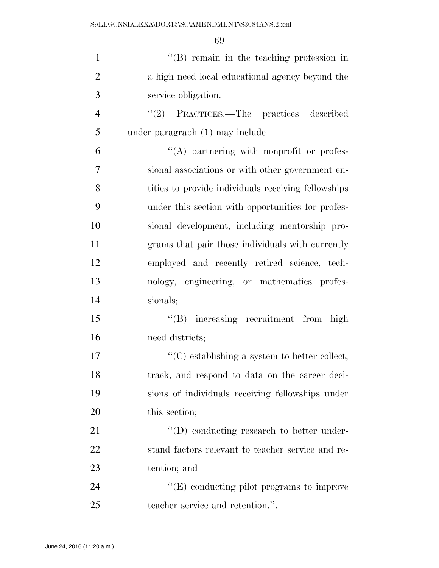| $\mathbf{1}$   | "(B) remain in the teaching profession in           |
|----------------|-----------------------------------------------------|
| $\overline{2}$ | a high need local educational agency beyond the     |
| 3              | service obligation.                                 |
| $\overline{4}$ | "(2) PRACTICES.—The practices described             |
| 5              | under paragraph (1) may include—                    |
| 6              | $\lq\lq$ partnering with nonprofit or profes-       |
| 7              | sional associations or with other government en-    |
| 8              | tities to provide individuals receiving fellowships |
| 9              | under this section with opportunities for profes-   |
| 10             | sional development, including mentorship pro-       |
| 11             | grams that pair those individuals with currently    |
| 12             | employed and recently retired science, tech-        |
| 13             | nology, engineering, or mathematics profes-         |
| 14             | sionals;                                            |
| 15             | "(B) increasing recruitment from high               |
| 16             | need districts;                                     |
| 17             | $\lq\lq$ establishing a system to better collect,   |
| 18             | track, and respond to data on the career deci-      |
| 19             | sions of individuals receiving fellowships under    |
| 20             | this section;                                       |
| 21             | $\lq\lq$ (D) conducting research to better under-   |
| 22             | stand factors relevant to teacher service and re-   |
| 23             | tention; and                                        |
| 24             | $\lq\lq(E)$ conducting pilot programs to improve    |
| 25             | teacher service and retention.".                    |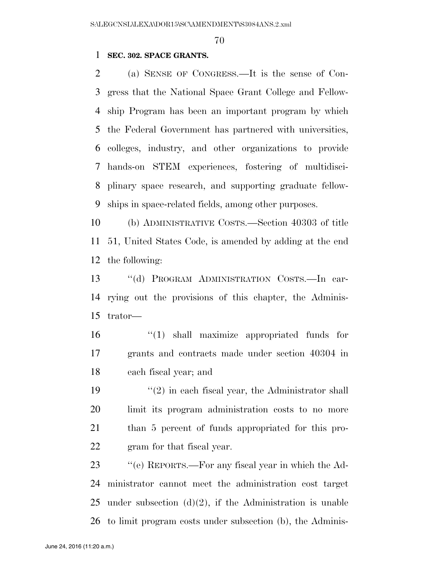### **SEC. 302. SPACE GRANTS.**

 (a) SENSE OF CONGRESS.—It is the sense of Con- gress that the National Space Grant College and Fellow- ship Program has been an important program by which the Federal Government has partnered with universities, colleges, industry, and other organizations to provide hands-on STEM experiences, fostering of multidisci- plinary space research, and supporting graduate fellow-ships in space-related fields, among other purposes.

 (b) ADMINISTRATIVE COSTS.—Section 40303 of title 51, United States Code, is amended by adding at the end the following:

 ''(d) PROGRAM ADMINISTRATION COSTS.—In car- rying out the provisions of this chapter, the Adminis-trator—

 ''(1) shall maximize appropriated funds for grants and contracts made under section 40304 in each fiscal year; and

 $\frac{1}{2}$  in each fiscal year, the Administrator shall limit its program administration costs to no more than 5 percent of funds appropriated for this pro-gram for that fiscal year.

 ''(e) REPORTS.—For any fiscal year in which the Ad- ministrator cannot meet the administration cost target 25 under subsection  $(d)(2)$ , if the Administration is unable to limit program costs under subsection (b), the Adminis-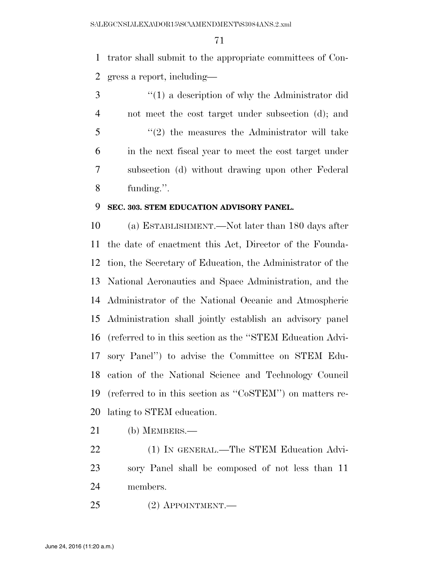trator shall submit to the appropriate committees of Con-gress a report, including—

 ''(1) a description of why the Administrator did not meet the cost target under subsection (d); and ''(2) the measures the Administrator will take in the next fiscal year to meet the cost target under subsection (d) without drawing upon other Federal funding.''.

### **SEC. 303. STEM EDUCATION ADVISORY PANEL.**

 (a) ESTABLISHMENT.—Not later than 180 days after the date of enactment this Act, Director of the Founda- tion, the Secretary of Education, the Administrator of the National Aeronautics and Space Administration, and the Administrator of the National Oceanic and Atmospheric Administration shall jointly establish an advisory panel (referred to in this section as the ''STEM Education Advi- sory Panel'') to advise the Committee on STEM Edu- cation of the National Science and Technology Council (referred to in this section as ''CoSTEM'') on matters re-lating to STEM education.

- (b) MEMBERS.—
- 22 (1) IN GENERAL.—The STEM Education Advi- sory Panel shall be composed of not less than 11 members.
- (2) APPOINTMENT.—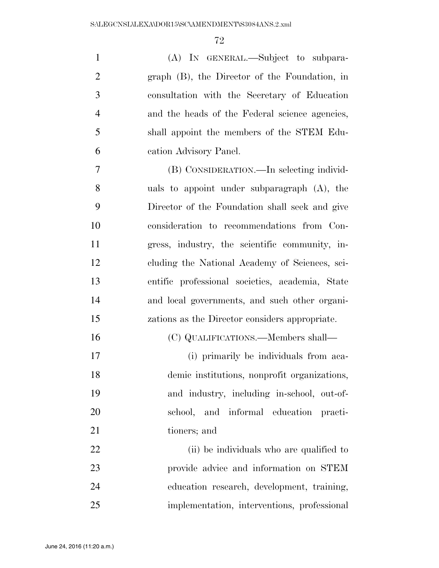| $\mathbf{1}$   | (A) IN GENERAL.—Subject to subpara-             |
|----------------|-------------------------------------------------|
| $\overline{2}$ | graph (B), the Director of the Foundation, in   |
| 3              | consultation with the Secretary of Education    |
| $\overline{4}$ | and the heads of the Federal science agencies,  |
| 5              | shall appoint the members of the STEM Edu-      |
| 6              | cation Advisory Panel.                          |
| $\overline{7}$ | (B) CONSIDERATION.—In selecting individ-        |
| 8              | uals to appoint under subparagraph (A), the     |
| 9              | Director of the Foundation shall seek and give  |
| 10             | consideration to recommendations from Con-      |
| 11             | gress, industry, the scientific community, in-  |
| 12             | cluding the National Academy of Sciences, sci-  |
| 13             | entific professional societies, academia, State |
| 14             | and local governments, and such other organi-   |
| 15             | zations as the Director considers appropriate.  |
| 16             | (C) QUALIFICATIONS.—Members shall—              |
| 17             | (i) primarily be individuals from aca-          |
| 18             | demic institutions, nonprofit organizations,    |
| 19             | and industry, including in-school, out-of-      |
| 20             | school, and informal education practi-          |
| 21             | tioners; and                                    |
| 22             | (ii) be individuals who are qualified to        |
| 23             | provide advice and information on STEM          |
| 24             | education research, development, training,      |
| 25             | implementation, interventions, professional     |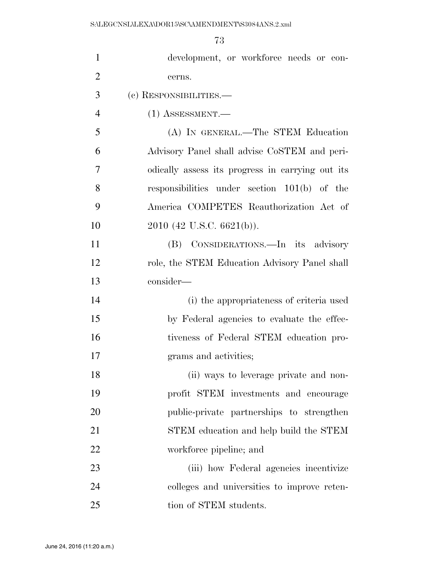| $\mathbf{1}$   | development, or workforce needs or con-          |
|----------------|--------------------------------------------------|
| $\overline{2}$ | cerns.                                           |
| 3              | (c) RESPONSIBILITIES.—                           |
| $\overline{4}$ | $(1)$ ASSESSMENT.—                               |
| 5              | (A) IN GENERAL.—The STEM Education               |
| 6              | Advisory Panel shall advise CoSTEM and peri-     |
| 7              | odically assess its progress in carrying out its |
| 8              | responsibilities under section $101(b)$ of the   |
| 9              | America COMPETES Reauthorization Act of          |
| 10             | $2010$ (42 U.S.C. 6621(b)).                      |
| 11             | (B) CONSIDERATIONS.—In its advisory              |
| 12             | role, the STEM Education Advisory Panel shall    |
| 13             | consider—                                        |
| 14             | (i) the appropriateness of criteria used         |
| 15             | by Federal agencies to evaluate the effec-       |
| 16             | tiveness of Federal STEM education pro-          |
| 17             | grams and activities;                            |
| 18             | (ii) ways to leverage private and non-           |
| 19             | profit STEM investments and encourage            |
| 20             | public-private partnerships to strengthen        |
| 21             | STEM education and help build the STEM           |
| 22             | workforce pipeline; and                          |
| 23             | (iii) how Federal agencies incentivize           |
| 24             | colleges and universities to improve reten-      |
| 25             | tion of STEM students.                           |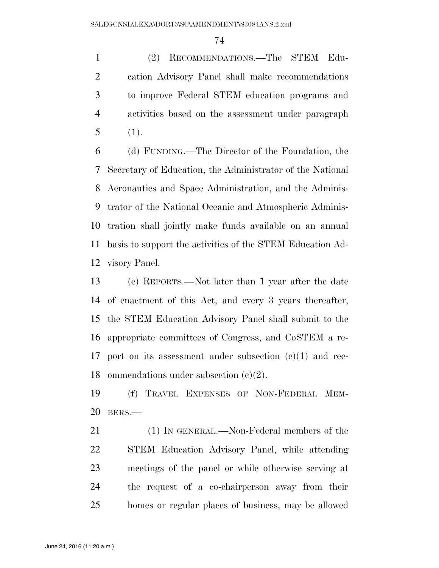(2) RECOMMENDATIONS.—The STEM Edu- cation Advisory Panel shall make recommendations to improve Federal STEM education programs and activities based on the assessment under paragraph (1).

 (d) FUNDING.—The Director of the Foundation, the Secretary of Education, the Administrator of the National Aeronautics and Space Administration, and the Adminis- trator of the National Oceanic and Atmospheric Adminis- tration shall jointly make funds available on an annual basis to support the activities of the STEM Education Ad-visory Panel.

 (e) REPORTS.—Not later than 1 year after the date of enactment of this Act, and every 3 years thereafter, the STEM Education Advisory Panel shall submit to the appropriate committees of Congress, and CoSTEM a re- port on its assessment under subsection (c)(1) and rec-ommendations under subsection (c)(2).

 (f) TRAVEL EXPENSES OF NON-FEDERAL MEM-BERS.—

 (1) IN GENERAL.—Non-Federal members of the STEM Education Advisory Panel, while attending meetings of the panel or while otherwise serving at the request of a co-chairperson away from their homes or regular places of business, may be allowed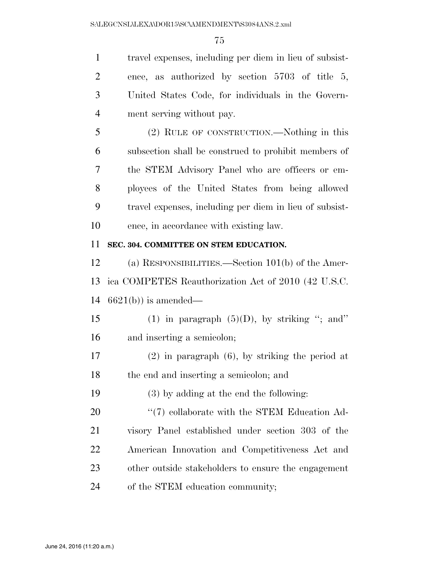travel expenses, including per diem in lieu of subsist- ence, as authorized by section 5703 of title 5, United States Code, for individuals in the Govern-ment serving without pay.

 (2) RULE OF CONSTRUCTION.—Nothing in this subsection shall be construed to prohibit members of the STEM Advisory Panel who are officers or em- ployees of the United States from being allowed travel expenses, including per diem in lieu of subsist-ence, in accordance with existing law.

#### **SEC. 304. COMMITTEE ON STEM EDUCATION.**

 (a) RESPONSIBILITIES.—Section 101(b) of the Amer- ica COMPETES Reauthorization Act of 2010 (42 U.S.C. 6621(b)) is amended—

15 (1) in paragraph  $(5)(D)$ , by striking "; and" and inserting a semicolon;

 (2) in paragraph (6), by striking the period at the end and inserting a semicolon; and

(3) by adding at the end the following:

 $\frac{1}{20}$  (7) collaborate with the STEM Education Ad- visory Panel established under section 303 of the American Innovation and Competitiveness Act and other outside stakeholders to ensure the engagement of the STEM education community;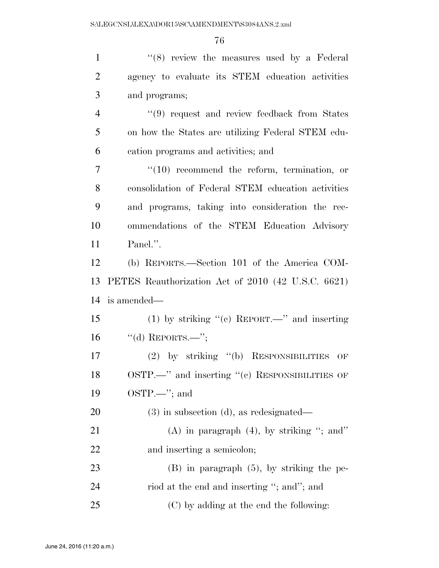| $\mathbf{1}$   | "(8) review the measures used by a Federal         |
|----------------|----------------------------------------------------|
| $\overline{2}$ | agency to evaluate its STEM education activities   |
| 3              | and programs;                                      |
| $\overline{4}$ | "(9) request and review feedback from States       |
| 5              | on how the States are utilizing Federal STEM edu-  |
| 6              | cation programs and activities; and                |
| $\overline{7}$ | $\lq(10)$ recommend the reform, termination, or    |
| 8              | consolidation of Federal STEM education activities |
| 9              | and programs, taking into consideration the rec-   |
| 10             | ommendations of the STEM Education Advisory        |
| 11             | Panel.".                                           |
| 12             | (b) REPORTS.—Section 101 of the America COM-       |
| 13             | PETES Reauthorization Act of 2010 (42 U.S.C. 6621) |
| 14             | is amended—                                        |
| 15             | (1) by striking "(c) REPORT.—" and inserting       |
| 16             | "(d) REPORTS.—";                                   |
| 17             | (2) by striking "(b) RESPONSIBILITIES OF           |
| 18             | $OSTP.$ and inserting "(c) RESPONSIBILITIES OF     |
| 19             | $OSTP. \rightarrow$ ; and                          |
| 20             | $(3)$ in subsection $(d)$ , as redesignated—       |
| 21             | (A) in paragraph $(4)$ , by striking "; and"       |
| <u>22</u>      | and inserting a semicolon;                         |
| 23             | $(B)$ in paragraph $(5)$ , by striking the pe-     |
| 24             | riod at the end and inserting "; and"; and         |
| 25             | (C) by adding at the end the following:            |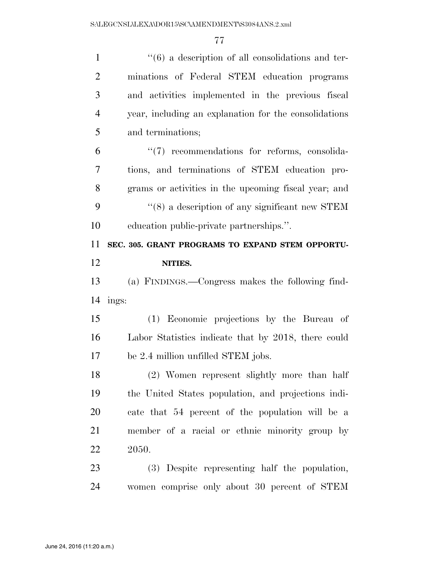| $\mathbf{1}$   | $``(6)$ a description of all consolidations and ter-       |
|----------------|------------------------------------------------------------|
| $\overline{2}$ | minations of Federal STEM education programs               |
| 3              | and activities implemented in the previous fiscal          |
| $\overline{4}$ | year, including an explanation for the consolidations      |
| 5              | and terminations;                                          |
| 6              | $\lq(7)$ recommendations for reforms, consolida-           |
| 7              | tions, and terminations of STEM education pro-             |
| 8              | grams or activities in the upcoming fiscal year; and       |
| 9              | $\cdot\cdot$ (8) a description of any significant new STEM |
| 10             | education public-private partnerships.".                   |
| 11             | SEC. 305. GRANT PROGRAMS TO EXPAND STEM OPPORTU-           |
| 12             | NITIES.                                                    |
|                |                                                            |
| 13             | (a) FINDINGS.—Congress makes the following find-           |
| 14             | ings:                                                      |
| 15             | (1) Economic projections by the Bureau of                  |
| 16             | Labor Statistics indicate that by 2018, there could        |
| 17             | be 2.4 million unfilled STEM jobs.                         |
| 18             | (2) Women represent slightly more than half                |
| 19             | the United States population, and projections indi-        |
| 20             | cate that 54 percent of the population will be a           |
| 21             | member of a racial or ethnic minority group by             |
| 22             | 2050.                                                      |
| 23             | (3) Despite representing half the population,              |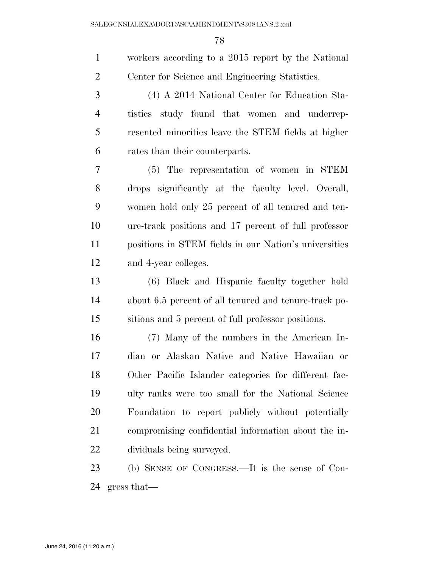| $\mathbf{1}$   | workers according to a 2015 report by the National    |
|----------------|-------------------------------------------------------|
| $\overline{2}$ | Center for Science and Engineering Statistics.        |
| 3              | (4) A 2014 National Center for Education Sta-         |
| $\overline{4}$ | tistics study found that women and underrep-          |
| 5              | resented minorities leave the STEM fields at higher   |
| 6              | rates than their counterparts.                        |
| 7              | (5) The representation of women in STEM               |
| 8              | drops significantly at the faculty level. Overall,    |
| 9              | women hold only 25 percent of all tenured and ten-    |
| 10             | ure-track positions and 17 percent of full professor  |
| 11             | positions in STEM fields in our Nation's universities |
| 12             | and 4-year colleges.                                  |
| 13             | (6) Black and Hispanic faculty together hold          |
| 14             | about 6.5 percent of all tenured and tenure-track po- |
| 15             | sitions and 5 percent of full professor positions.    |
| 16             | (7) Many of the numbers in the American In-           |
| 17             | dian or Alaskan Native and Native Hawaiian or         |
| 18             | Other Pacific Islander categories for different fac-  |
| 19             | ulty ranks were too small for the National Science    |
| 20             | Foundation to report publicly without potentially     |
| 21             | compromising confidential information about the in-   |
| 22             | dividuals being surveyed.                             |
| 23             | (b) SENSE OF CONGRESS.—It is the sense of Con-        |
| 24             | gress that                                            |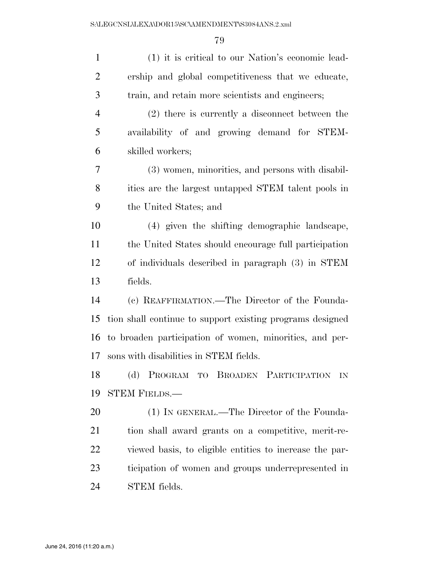| $\mathbf{1}$   | (1) it is critical to our Nation's economic lead-         |
|----------------|-----------------------------------------------------------|
| $\overline{2}$ | ership and global competitiveness that we educate,        |
| 3              | train, and retain more scientists and engineers;          |
| $\overline{4}$ | (2) there is currently a disconnect between the           |
| 5              | availability of and growing demand for STEM-              |
| 6              | skilled workers;                                          |
| 7              | (3) women, minorities, and persons with disabil-          |
| 8              | ities are the largest untapped STEM talent pools in       |
| 9              | the United States; and                                    |
| 10             | (4) given the shifting demographic landscape,             |
| 11             | the United States should encourage full participation     |
| 12             | of individuals described in paragraph (3) in STEM         |
| 13             | fields.                                                   |
| 14             | (c) REAFFIRMATION.—The Director of the Founda-            |
| 15             | tion shall continue to support existing programs designed |
| 16             | to broaden participation of women, minorities, and per-   |
| 17             | sons with disabilities in STEM fields.                    |
| 18             | (d) PROGRAM TO BROADEN PARTICIPATION IN                   |
| 19             | <b>STEM FIELDS.—</b>                                      |
| 20             | (1) IN GENERAL.—The Director of the Founda-               |
| 21             | tion shall award grants on a competitive, merit-re-       |
| 22             | viewed basis, to eligible entities to increase the par-   |
| 23             | ticipation of women and groups underrepresented in        |
| 24             | STEM fields.                                              |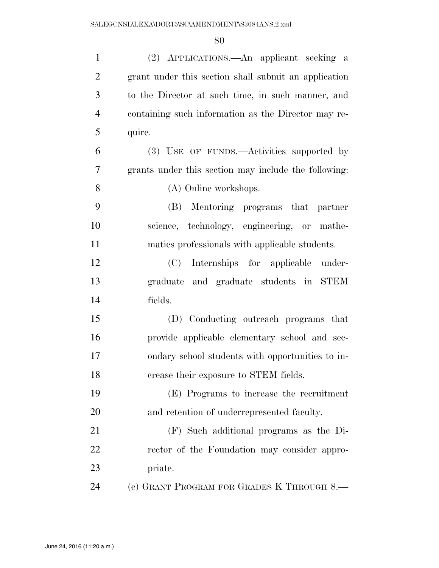| $\mathbf{1}$   | (2) APPLICATIONS.—An applicant seeking a             |
|----------------|------------------------------------------------------|
| $\overline{2}$ | grant under this section shall submit an application |
| 3              | to the Director at such time, in such manner, and    |
| $\overline{4}$ | containing such information as the Director may re-  |
| 5              | quire.                                               |
| 6              | (3) USE OF FUNDS.—Activities supported by            |
| $\tau$         | grants under this section may include the following: |
| 8              | (A) Online workshops.                                |
| 9              | Mentoring programs that<br>(B)<br>partner            |
| 10             | science, technology, engineering, or mathe-          |
| 11             | matics professionals with applicable students.       |
| 12             | (C) Internships for applicable under-                |
| 13             | graduate and graduate students in STEM               |
| 14             | fields.                                              |
| 15             | (D) Conducting outreach programs that                |
| 16             | provide applicable elementary school and sec-        |
| 17             | ondary school students with opportunities to in-     |
| 18             | crease their exposure to STEM fields.                |
| 19             | (E) Programs to increase the recruitment             |
| 20             | and retention of underrepresented faculty.           |
| 21             | (F) Such additional programs as the Di-              |
| 22             | rector of the Foundation may consider appro-         |
| 23             | priate.                                              |
| 24             | (e) GRANT PROGRAM FOR GRADES K THROUGH 8.—           |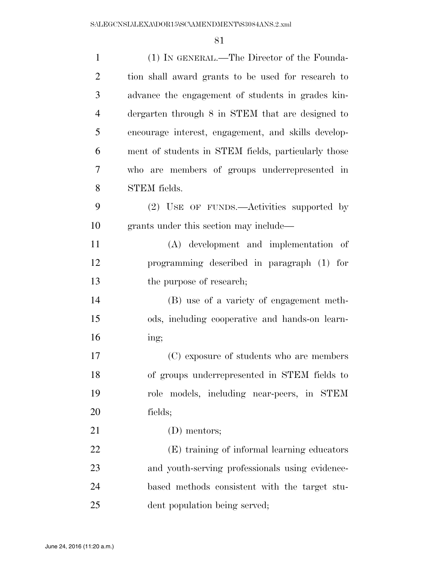| $\mathbf{1}$   | (1) IN GENERAL.—The Director of the Founda-         |
|----------------|-----------------------------------------------------|
| $\overline{2}$ | tion shall award grants to be used for research to  |
| 3              | advance the engagement of students in grades kin-   |
| $\overline{4}$ | dergarten through 8 in STEM that are designed to    |
| 5              | encourage interest, engagement, and skills develop- |
| 6              | ment of students in STEM fields, particularly those |
| 7              | who are members of groups underrepresented in       |
| 8              | STEM fields.                                        |
| 9              | (2) USE OF FUNDS.—Activities supported by           |
| 10             | grants under this section may include—              |
| 11             | (A) development and implementation of               |
| 12             | programming described in paragraph (1) for          |
| 13             | the purpose of research;                            |
| 14             | (B) use of a variety of engagement meth-            |
| 15             | ods, including cooperative and hands-on learn-      |
| 16             | ing;                                                |
| 17             | (C) exposure of students who are members            |
| 18             | of groups underrepresented in STEM fields to        |
| 19             | role models, including near-peers, in STEM          |
| 20             | fields;                                             |
| 21             | (D) mentors;                                        |
| 22             | (E) training of informal learning educators         |
| 23             | and youth-serving professionals using evidence-     |
| 24             | based methods consistent with the target stu-       |
| 25             | dent population being served;                       |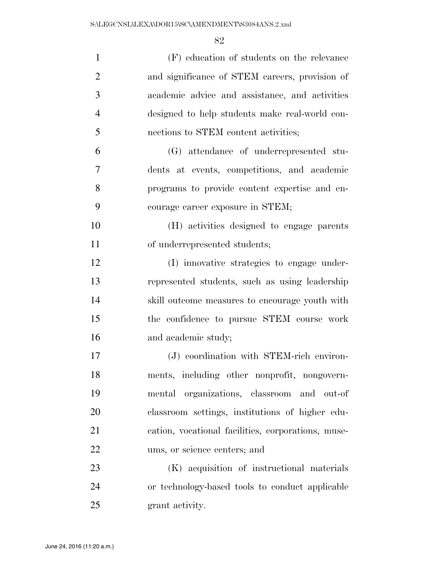| $\mathbf{1}$   | (F) education of students on the relevance         |
|----------------|----------------------------------------------------|
| $\overline{2}$ | and significance of STEM careers, provision of     |
| 3              | academic advice and assistance, and activities     |
| $\overline{4}$ | designed to help students make real-world con-     |
| 5              | nections to STEM content activities;               |
| 6              | (G) attendance of underrepresented stu-            |
| 7              | dents at events, competitions, and academic        |
| 8              | programs to provide content expertise and en-      |
| 9              | courage career exposure in STEM;                   |
| 10             | (H) activities designed to engage parents          |
| 11             | of underrepresented students;                      |
| 12             | (I) innovative strategies to engage under-         |
| 13             | represented students, such as using leadership     |
| 14             | skill outcome measures to encourage youth with     |
| 15             | the confidence to pursue STEM course work          |
| 16             | and academic study;                                |
| 17             | (J) coordination with STEM-rich environ-           |
| 18             | ments, including other nonprofit, nongovern-       |
| 19             | mental organizations, classroom and out-of         |
| 20             | classroom settings, institutions of higher edu-    |
| 21             | cation, vocational facilities, corporations, muse- |
| 22             | ums, or science centers; and                       |
| 23             | (K) acquisition of instructional materials         |
| 24             | or technology-based tools to conduct applicable    |
| 25             | grant activity.                                    |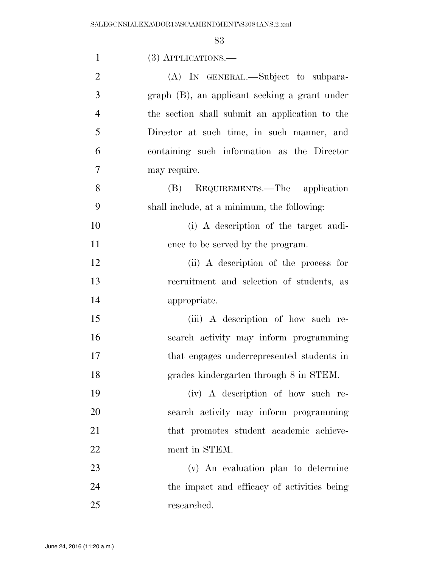| $\mathbf{1}$   | $(3)$ APPLICATIONS.—                           |
|----------------|------------------------------------------------|
| $\overline{2}$ | (A) IN GENERAL.—Subject to subpara-            |
| 3              | graph (B), an applicant seeking a grant under  |
| $\overline{4}$ | the section shall submit an application to the |
| 5              | Director at such time, in such manner, and     |
| 6              | containing such information as the Director    |
| 7              | may require.                                   |
| 8              | (B) REQUIREMENTS.—The application              |
| 9              | shall include, at a minimum, the following:    |
| 10             | (i) A description of the target audi-          |
| 11             | ence to be served by the program.              |
| 12             | (ii) A description of the process for          |
| 13             | recruitment and selection of students, as      |
| 14             | appropriate.                                   |
| 15             | (iii) A description of how such re-            |
| 16             | search activity may inform programming         |
| 17             | that engages underrepresented students in      |
| 18             | grades kindergarten through 8 in STEM.         |
| 19             | (iv) A description of how such re-             |
| 20             | search activity may inform programming         |
| 21             | that promotes student academic achieve-        |
| 22             | ment in STEM.                                  |
| 23             | (v) An evaluation plan to determine            |
| 24             | the impact and efficacy of activities being    |
| 25             | researched.                                    |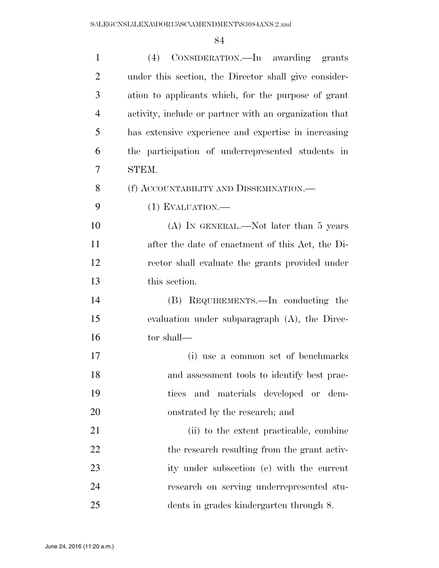| $\mathbf{1}$   | (4) CONSIDERATION.—In awarding grants                  |
|----------------|--------------------------------------------------------|
| $\overline{2}$ | under this section, the Director shall give consider-  |
| 3              | ation to applicants which, for the purpose of grant    |
| $\overline{4}$ | activity, include or partner with an organization that |
| 5              | has extensive experience and expertise in increasing   |
| 6              | the participation of underrepresented students in      |
| 7              | STEM.                                                  |
| 8              | (f) ACCOUNTABILITY AND DISSEMINATION.—                 |
| 9              | $(1)$ EVALUATION.—                                     |
| 10             | $(A)$ In GENERAL.—Not later than 5 years               |
| 11             | after the date of enactment of this Act, the Di-       |
| 12             | rector shall evaluate the grants provided under        |
| 13             | this section.                                          |
| 14             | (B) REQUIREMENTS.—In conducting the                    |
| 15             | evaluation under subparagraph $(A)$ , the Direc-       |
| 16             | tor shall—                                             |
| 17             | (i) use a common set of benchmarks                     |
| 18             | and assessment tools to identify best prac-            |
| 19             | and materials developed or dem-<br>tices               |
| 20             | onstrated by the research; and                         |
| 21             | (ii) to the extent practicable, combine                |
| 22             | the research resulting from the grant activ-           |
| 23             | ity under subsection (e) with the current              |
| 24             | research on serving underrepresented stu-              |
| 25             | dents in grades kindergarten through 8.                |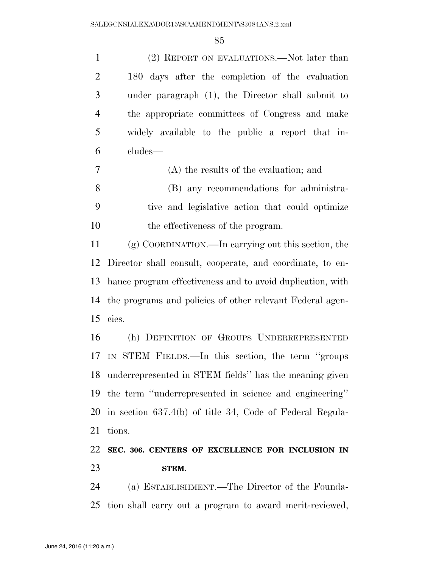(2) REPORT ON EVALUATIONS.—Not later than 180 days after the completion of the evaluation under paragraph (1), the Director shall submit to the appropriate committees of Congress and make widely available to the public a report that in-cludes—

 (A) the results of the evaluation; and (B) any recommendations for administra- tive and legislative action that could optimize the effectiveness of the program.

 (g) COORDINATION.—In carrying out this section, the Director shall consult, cooperate, and coordinate, to en- hance program effectiveness and to avoid duplication, with the programs and policies of other relevant Federal agen-cies.

 (h) DEFINITION OF GROUPS UNDERREPRESENTED IN STEM FIELDS.—In this section, the term ''groups underrepresented in STEM fields'' has the meaning given the term ''underrepresented in science and engineering'' in section 637.4(b) of title 34, Code of Federal Regula-tions.

## **SEC. 306. CENTERS OF EXCELLENCE FOR INCLUSION IN STEM.**

 (a) ESTABLISHMENT.—The Director of the Founda-tion shall carry out a program to award merit-reviewed,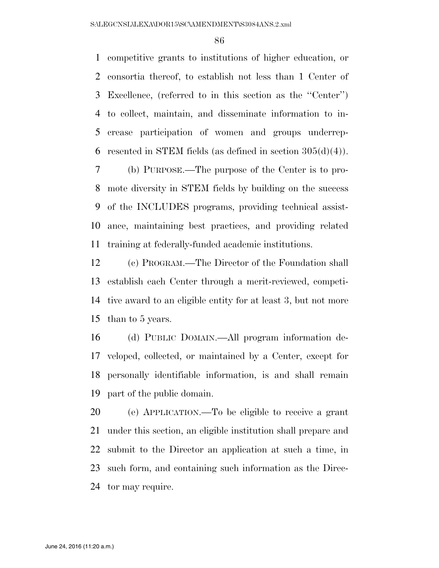competitive grants to institutions of higher education, or consortia thereof, to establish not less than 1 Center of Excellence, (referred to in this section as the ''Center'') to collect, maintain, and disseminate information to in- crease participation of women and groups underrep-6 resented in STEM fields (as defined in section  $305(d)(4)$ ).

 (b) PURPOSE.—The purpose of the Center is to pro- mote diversity in STEM fields by building on the success of the INCLUDES programs, providing technical assist- ance, maintaining best practices, and providing related training at federally-funded academic institutions.

 (c) PROGRAM.—The Director of the Foundation shall establish each Center through a merit-reviewed, competi- tive award to an eligible entity for at least 3, but not more than to 5 years.

 (d) PUBLIC DOMAIN.—All program information de- veloped, collected, or maintained by a Center, except for personally identifiable information, is and shall remain part of the public domain.

 (e) APPLICATION.—To be eligible to receive a grant under this section, an eligible institution shall prepare and submit to the Director an application at such a time, in such form, and containing such information as the Direc-tor may require.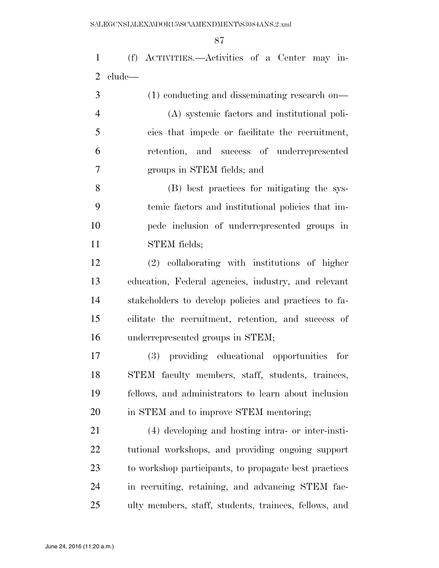(f) ACTIVITIES.—Activities of a Center may in-clude—

| 3              | $(1)$ conducting and disseminating research on- |
|----------------|-------------------------------------------------|
| $\overline{4}$ | (A) systemic factors and institutional poli-    |
| 5              | cies that impede or facilitate the recruitment, |
| 6              | retention, and success of underrepresented      |
|                | groups in STEM fields; and                      |

 (B) best practices for mitigating the sys- temic factors and institutional policies that im- pede inclusion of underrepresented groups in STEM fields;

 (2) collaborating with institutions of higher education, Federal agencies, industry, and relevant stakeholders to develop policies and practices to fa- cilitate the recruitment, retention, and success of underrepresented groups in STEM;

 (3) providing educational opportunities for STEM faculty members, staff, students, trainees, fellows, and administrators to learn about inclusion in STEM and to improve STEM mentoring;

 (4) developing and hosting intra- or inter-insti- tutional workshops, and providing ongoing support to workshop participants, to propagate best practices in recruiting, retaining, and advancing STEM fac-ulty members, staff, students, trainees, fellows, and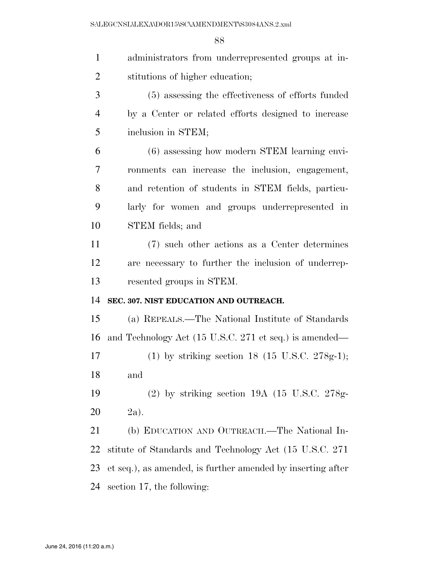| $\mathbf{1}$   | administrators from underrepresented groups at in-          |
|----------------|-------------------------------------------------------------|
| $\overline{2}$ | stitutions of higher education;                             |
| 3              | (5) assessing the effectiveness of efforts funded           |
| $\overline{4}$ | by a Center or related efforts designed to increase         |
| 5              | inclusion in STEM;                                          |
| 6              | (6) assessing how modern STEM learning envi-                |
| 7              | ronments can increase the inclusion, engagement,            |
| 8              | and retention of students in STEM fields, particu-          |
| 9              | larly for women and groups underrepresented in              |
| 10             | STEM fields; and                                            |
| 11             | (7) such other actions as a Center determines               |
| 12             | are necessary to further the inclusion of underrep-         |
| 13             | resented groups in STEM.                                    |
| 14             | SEC. 307. NIST EDUCATION AND OUTREACH.                      |
| 15             | (a) REPEALS.—The National Institute of Standards            |
| 16             | and Technology Act (15 U.S.C. 271 et seq.) is amended—      |
| 17             | (1) by striking section 18 (15 U.S.C. 278g-1);              |
| 18             | and                                                         |
| 19             | $(2)$ by striking section 19A $(15 \text{ U.S.C. } 278g$    |
| 20             | $2a$ ).                                                     |
| 21             | (b) EDUCATION AND OUTREACH.—The National In-                |
| 22             | stitute of Standards and Technology Act (15 U.S.C. 271)     |
| 23             | et seq.), as amended, is further amended by inserting after |
| 24             | section 17, the following:                                  |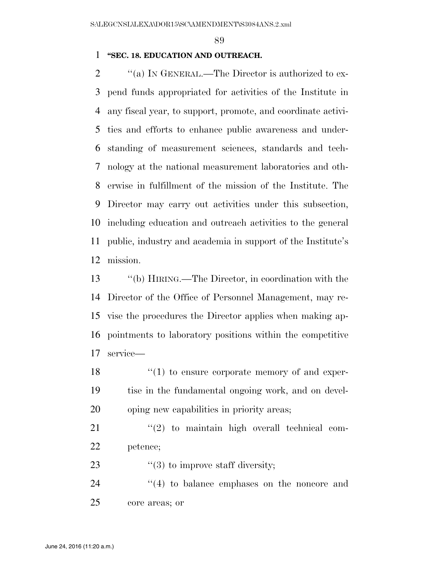### **''SEC. 18. EDUCATION AND OUTREACH.**

 $\gamma$  (a) In GENERAL.—The Director is authorized to ex- pend funds appropriated for activities of the Institute in any fiscal year, to support, promote, and coordinate activi- ties and efforts to enhance public awareness and under- standing of measurement sciences, standards and tech- nology at the national measurement laboratories and oth- erwise in fulfillment of the mission of the Institute. The Director may carry out activities under this subsection, including education and outreach activities to the general public, industry and academia in support of the Institute's mission.

 ''(b) HIRING.—The Director, in coordination with the Director of the Office of Personnel Management, may re- vise the procedures the Director applies when making ap- pointments to laboratory positions within the competitive service—

18  $\frac{1}{2}$  (1) to ensure corporate memory of and exper- tise in the fundamental ongoing work, and on devel-oping new capabilities in priority areas;

  $\qquad$   $\qquad$   $\qquad$   $\qquad$   $\qquad$   $\qquad$   $\qquad$   $\qquad$   $\qquad$   $\qquad$   $\qquad$   $\qquad$   $\qquad$   $\qquad$   $\qquad$   $\qquad$   $\qquad$   $\qquad$   $\qquad$   $\qquad$   $\qquad$   $\qquad$   $\qquad$   $\qquad$   $\qquad$   $\qquad$   $\qquad$   $\qquad$   $\qquad$   $\qquad$   $\qquad$   $\qquad$   $\qquad$   $\qquad$   $\qquad$   $\qquad$  petence;

23  $\frac{1}{2}$  (3) to improve staff diversity;

24 ''(4) to balance emphases on the noncore and core areas; or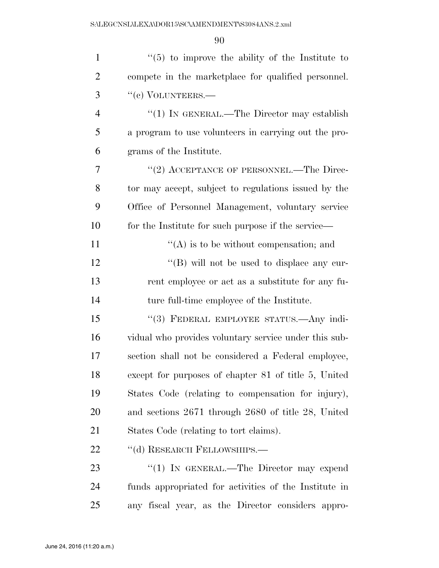| $\mathbf{1}$   | $\lq(5)$ to improve the ability of the Institute to   |
|----------------|-------------------------------------------------------|
| $\overline{2}$ | compete in the marketplace for qualified personnel.   |
| 3              | "(c) VOLUNTEERS.—                                     |
| $\overline{4}$ | "(1) IN GENERAL.—The Director may establish           |
| 5              | a program to use volunteers in carrying out the pro-  |
| 6              | grams of the Institute.                               |
| 7              | "(2) ACCEPTANCE OF PERSONNEL.—The Direc-              |
| 8              | tor may accept, subject to regulations issued by the  |
| 9              | Office of Personnel Management, voluntary service     |
| 10             | for the Institute for such purpose if the service—    |
| 11             | $\lq\lq$ is to be without compensation; and           |
| 12             | "(B) will not be used to displace any cur-            |
| 13             | rent employee or act as a substitute for any fu-      |
| 14             | ture full-time employee of the Institute.             |
| 15             | "(3) FEDERAL EMPLOYEE STATUS.—Any indi-               |
| 16             | vidual who provides voluntary service under this sub- |
| 17             | section shall not be considered a Federal employee,   |
| 18             | except for purposes of chapter 81 of title 5, United  |
| 19             | States Code (relating to compensation for injury),    |
| <b>20</b>      | and sections 2671 through 2680 of title 28, United    |
| 21             | States Code (relating to tort claims).                |
| 22             | "(d) RESEARCH FELLOWSHIPS.-                           |
| 23             | "(1) IN GENERAL.—The Director may expend              |
| 24             | funds appropriated for activities of the Institute in |
| 25             | any fiscal year, as the Director considers appro-     |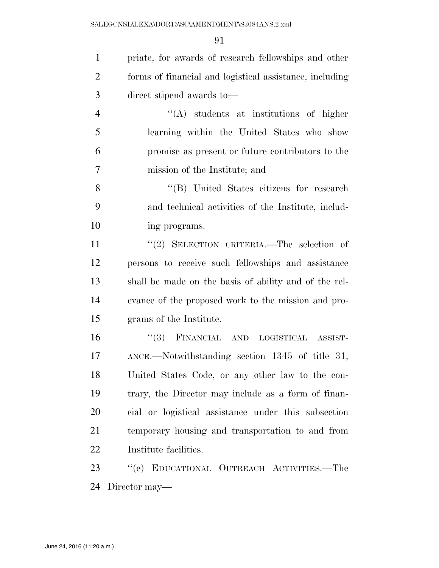priate, for awards of research fellowships and other forms of financial and logistical assistance, including direct stipend awards to—

 ''(A) students at institutions of higher learning within the United States who show promise as present or future contributors to the mission of the Institute; and

 ''(B) United States citizens for research and technical activities of the Institute, includ-ing programs.

11 ''(2) SELECTION CRITERIA.—The selection of persons to receive such fellowships and assistance shall be made on the basis of ability and of the rel- evance of the proposed work to the mission and pro-grams of the Institute.

 ''(3) FINANCIAL AND LOGISTICAL ASSIST- ANCE.—Notwithstanding section 1345 of title 31, United States Code, or any other law to the con- trary, the Director may include as a form of finan- cial or logistical assistance under this subsection temporary housing and transportation to and from Institute facilities.

 ''(e) EDUCATIONAL OUTREACH ACTIVITIES.—The Director may—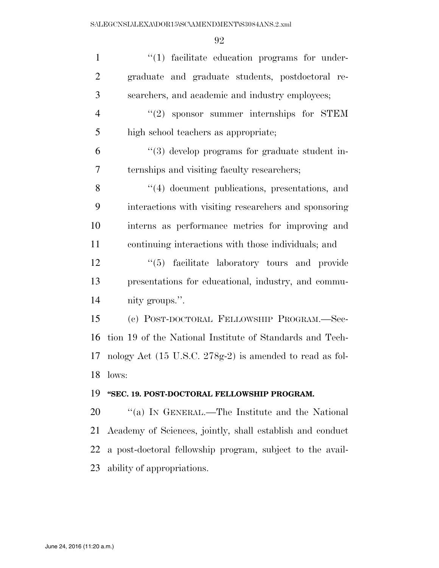| $\mathbf{1}$   | $\lq(1)$ facilitate education programs for under-         |
|----------------|-----------------------------------------------------------|
| $\overline{2}$ | graduate and graduate students, postdoctoral re-          |
| 3              | searchers, and academic and industry employees;           |
| $\overline{4}$ | $"(2)$ sponsor summer internships for STEM                |
| 5              | high school teachers as appropriate;                      |
| 6              | $\lq(3)$ develop programs for graduate student in-        |
| 7              | ternships and visiting faculty researchers;               |
| 8              | "(4) document publications, presentations, and            |
| 9              | interactions with visiting researchers and sponsoring     |
| 10             | interns as performance metrics for improving and          |
| 11             | continuing interactions with those individuals; and       |
| 12             | "(5) facilitate laboratory tours and provide              |
| 13             | presentations for educational, industry, and commu-       |
| 14             | nity groups.".                                            |
| 15             | (c) POST-DOCTORAL FELLOWSHIP PROGRAM.-Sec-                |
| 16             | tion 19 of the National Institute of Standards and Tech-  |
| 17             | nology Act (15 U.S.C. 278g-2) is amended to read as fol-  |
| 18             | lows:                                                     |
| 19             | "SEC. 19. POST-DOCTORAL FELLOWSHIP PROGRAM.               |
| 20             | "(a) IN GENERAL.—The Institute and the National           |
| 21             | Academy of Sciences, jointly, shall establish and conduct |
| 22             | a post-doctoral fellowship program, subject to the avail- |
| 23             | ability of appropriations.                                |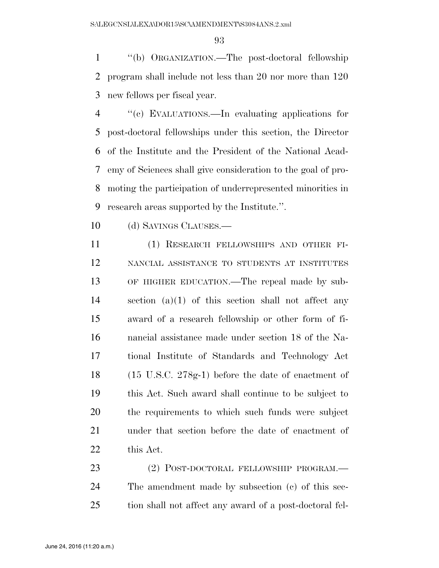''(b) ORGANIZATION.—The post-doctoral fellowship program shall include not less than 20 nor more than 120 new fellows per fiscal year.

 ''(c) EVALUATIONS.—In evaluating applications for post-doctoral fellowships under this section, the Director of the Institute and the President of the National Acad- emy of Sciences shall give consideration to the goal of pro- moting the participation of underrepresented minorities in research areas supported by the Institute.''.

10 (d) SAVINGS CLAUSES.—

 (1) RESEARCH FELLOWSHIPS AND OTHER FI- NANCIAL ASSISTANCE TO STUDENTS AT INSTITUTES OF HIGHER EDUCATION.—The repeal made by sub- section (a)(1) of this section shall not affect any award of a research fellowship or other form of fi- nancial assistance made under section 18 of the Na- tional Institute of Standards and Technology Act (15 U.S.C. 278g-1) before the date of enactment of this Act. Such award shall continue to be subject to the requirements to which such funds were subject under that section before the date of enactment of this Act.

23 (2) POST-DOCTORAL FELLOWSHIP PROGRAM.— The amendment made by subsection (c) of this sec-tion shall not affect any award of a post-doctoral fel-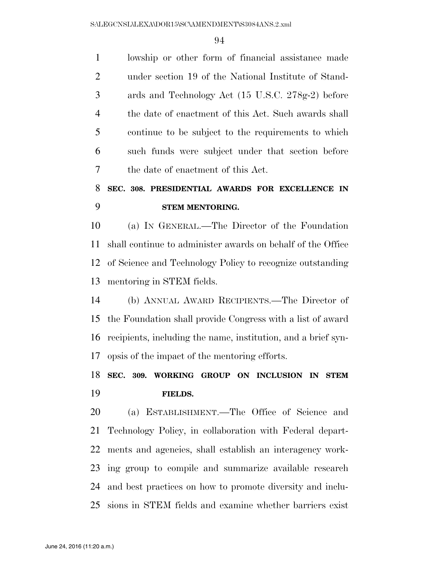lowship or other form of financial assistance made under section 19 of the National Institute of Stand- ards and Technology Act (15 U.S.C. 278g-2) before the date of enactment of this Act. Such awards shall continue to be subject to the requirements to which such funds were subject under that section before the date of enactment of this Act.

# **SEC. 308. PRESIDENTIAL AWARDS FOR EXCELLENCE IN STEM MENTORING.**

 (a) IN GENERAL.—The Director of the Foundation shall continue to administer awards on behalf of the Office of Science and Technology Policy to recognize outstanding mentoring in STEM fields.

 (b) ANNUAL AWARD RECIPIENTS.—The Director of the Foundation shall provide Congress with a list of award recipients, including the name, institution, and a brief syn-opsis of the impact of the mentoring efforts.

# **SEC. 309. WORKING GROUP ON INCLUSION IN STEM FIELDS.**

 (a) ESTABLISHMENT.—The Office of Science and Technology Policy, in collaboration with Federal depart- ments and agencies, shall establish an interagency work- ing group to compile and summarize available research and best practices on how to promote diversity and inclu-sions in STEM fields and examine whether barriers exist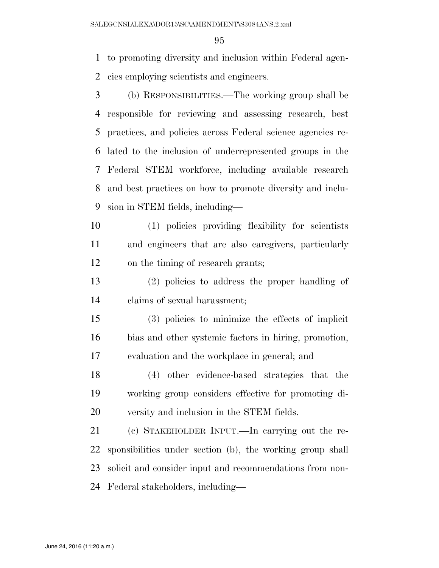to promoting diversity and inclusion within Federal agen-cies employing scientists and engineers.

- (b) RESPONSIBILITIES.—The working group shall be responsible for reviewing and assessing research, best practices, and policies across Federal science agencies re- lated to the inclusion of underrepresented groups in the Federal STEM workforce, including available research and best practices on how to promote diversity and inclu-sion in STEM fields, including—
- (1) policies providing flexibility for scientists and engineers that are also caregivers, particularly on the timing of research grants;
- (2) policies to address the proper handling of claims of sexual harassment;
- (3) policies to minimize the effects of implicit bias and other systemic factors in hiring, promotion, evaluation and the workplace in general; and
- (4) other evidence-based strategies that the working group considers effective for promoting di-versity and inclusion in the STEM fields.
- (c) STAKEHOLDER INPUT.—In carrying out the re- sponsibilities under section (b), the working group shall solicit and consider input and recommendations from non-Federal stakeholders, including—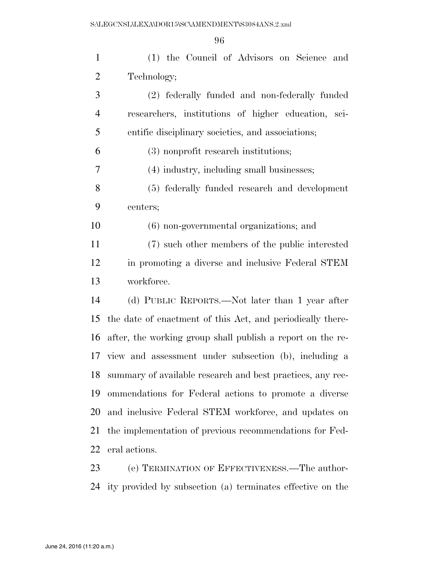| $\mathbf{1}$   | (1) the Council of Advisors on Science and                                       |
|----------------|----------------------------------------------------------------------------------|
| $\overline{2}$ | Technology;                                                                      |
| 3              | (2) federally funded and non-federally funded                                    |
| 4              | researchers, institutions of higher education, sci-                              |
| 5              | entific disciplinary societies, and associations;                                |
| 6              | (3) nonprofit research institutions;                                             |
| 7              | (4) industry, including small businesses;                                        |
| 8              | (5) federally funded research and development                                    |
| 9              | centers;                                                                         |
| 10             | $(6)$ non-governmental organizations; and                                        |
| 11             | (7) such other members of the public interested                                  |
| 12             | in promoting a diverse and inclusive Federal STEM                                |
| 13             | workforce.                                                                       |
| 14             | (d) PUBLIC REPORTS.—Not later than 1 year after                                  |
| 15             | the date of enactment of this Act, and periodically there-                       |
| 16             | after, the working group shall publish a report on the re-                       |
|                | 17 view and assessment under subsection (b), including a                         |
| 18             | summary of available research and best practices, any rec-                       |
| 19             | ommendations for Federal actions to promote a diverse                            |
| 20             | and inclusive Federal STEM workforce, and updates on                             |
| 21             | the implementation of previous recommendations for Fed-                          |
| 22             | eral actions.                                                                    |
| $\bigcap$      | $\left(\cdot\right)$ Heppen $\left(\cdot\right)$ and Heppen $\left(\cdot\right)$ |

 (e) TERMINATION OF EFFECTIVENESS.—The author-ity provided by subsection (a) terminates effective on the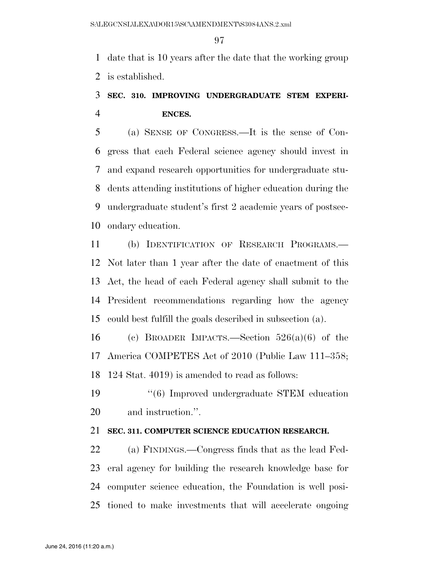date that is 10 years after the date that the working group is established.

## **SEC. 310. IMPROVING UNDERGRADUATE STEM EXPERI-ENCES.**

 (a) SENSE OF CONGRESS.—It is the sense of Con- gress that each Federal science agency should invest in and expand research opportunities for undergraduate stu- dents attending institutions of higher education during the undergraduate student's first 2 academic years of postsec-ondary education.

 (b) IDENTIFICATION OF RESEARCH PROGRAMS.— Not later than 1 year after the date of enactment of this Act, the head of each Federal agency shall submit to the President recommendations regarding how the agency could best fulfill the goals described in subsection (a).

16 (c) BROADER IMPACTS.—Section  $526(a)(6)$  of the America COMPETES Act of 2010 (Public Law 111–358; 124 Stat. 4019) is amended to read as follows:

 ''(6) Improved undergraduate STEM education and instruction.''.

## **SEC. 311. COMPUTER SCIENCE EDUCATION RESEARCH.**

 (a) FINDINGS.—Congress finds that as the lead Fed- eral agency for building the research knowledge base for computer science education, the Foundation is well posi-tioned to make investments that will accelerate ongoing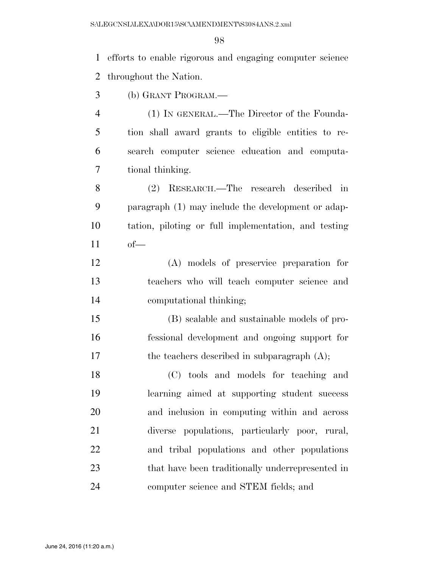efforts to enable rigorous and engaging computer science throughout the Nation.

(b) GRANT PROGRAM.—

 (1) IN GENERAL.—The Director of the Founda- tion shall award grants to eligible entities to re- search computer science education and computa-tional thinking.

 (2) RESEARCH.—The research described in paragraph (1) may include the development or adap- tation, piloting or full implementation, and testing of—

 (A) models of preservice preparation for teachers who will teach computer science and computational thinking;

 (B) scalable and sustainable models of pro- fessional development and ongoing support for 17 the teachers described in subparagraph  $(A)$ ;

 (C) tools and models for teaching and learning aimed at supporting student success and inclusion in computing within and across diverse populations, particularly poor, rural, and tribal populations and other populations that have been traditionally underrepresented in computer science and STEM fields; and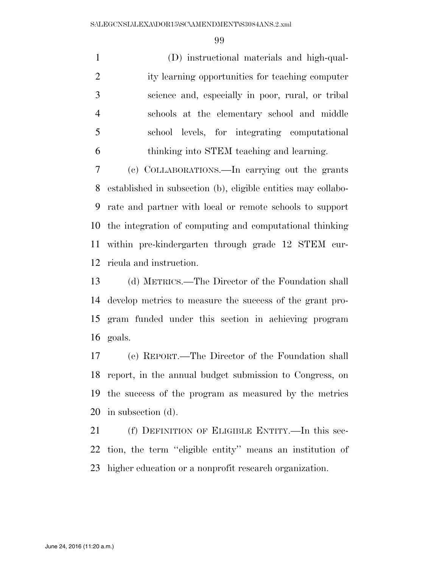(D) instructional materials and high-qual- ity learning opportunities for teaching computer science and, especially in poor, rural, or tribal schools at the elementary school and middle school levels, for integrating computational thinking into STEM teaching and learning.

 (c) COLLABORATIONS.—In carrying out the grants established in subsection (b), eligible entities may collabo- rate and partner with local or remote schools to support the integration of computing and computational thinking within pre-kindergarten through grade 12 STEM cur-ricula and instruction.

 (d) METRICS.—The Director of the Foundation shall develop metrics to measure the success of the grant pro- gram funded under this section in achieving program goals.

 (e) REPORT.—The Director of the Foundation shall report, in the annual budget submission to Congress, on the success of the program as measured by the metrics in subsection (d).

 (f) DEFINITION OF ELIGIBLE ENTITY.—In this sec- tion, the term ''eligible entity'' means an institution of higher education or a nonprofit research organization.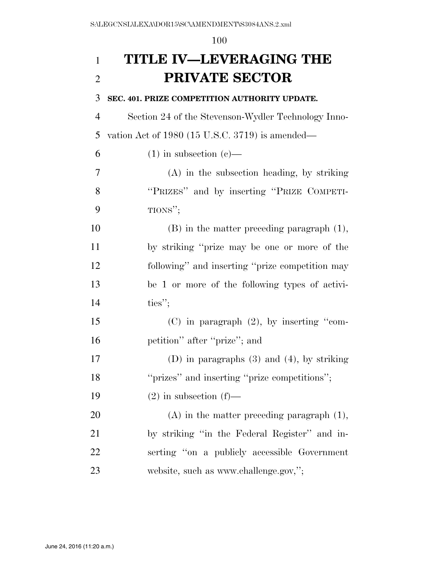# **TITLE IV—LEVERAGING THE PRIVATE SECTOR**

#### **SEC. 401. PRIZE COMPETITION AUTHORITY UPDATE.**

 Section 24 of the Stevenson-Wydler Technology Inno-vation Act of 1980 (15 U.S.C. 3719) is amended—

6 (1) in subsection (c)—

 (A) in the subsection heading, by striking ''PRIZES'' and by inserting ''PRIZE COMPETI-TIONS'';

 (B) in the matter preceding paragraph (1), by striking ''prize may be one or more of the following'' and inserting ''prize competition may be 1 or more of the following types of activi-14 ties";

 (C) in paragraph (2), by inserting ''com-petition'' after ''prize''; and

 (D) in paragraphs (3) and (4), by striking ''prizes'' and inserting ''prize competitions'';

19  $(2)$  in subsection  $(f)$ —

 (A) in the matter preceding paragraph (1), by striking ''in the Federal Register'' and in- serting ''on a publicly accessible Government 23 website, such as www.challenge.gov,";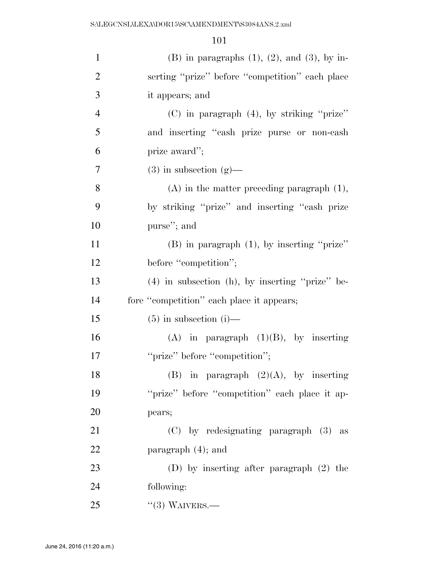| $\mathbf{1}$   | $(B)$ in paragraphs $(1)$ , $(2)$ , and $(3)$ , by in- |
|----------------|--------------------------------------------------------|
| $\overline{2}$ | serting "prize" before "competition" each place        |
| 3              | it appears; and                                        |
| $\overline{4}$ | (C) in paragraph (4), by striking "prize"              |
| 5              | and inserting "cash prize purse or non-cash            |
| 6              | prize award";                                          |
| 7              | $(3)$ in subsection $(g)$ —                            |
| 8              | $(A)$ in the matter preceding paragraph $(1)$ ,        |
| 9              | by striking "prize" and inserting "cash prize          |
| 10             | purse"; and                                            |
| 11             | $(B)$ in paragraph $(1)$ , by inserting "prize"        |
| 12             | before "competition";                                  |
| 13             | $(4)$ in subsection $(h)$ , by inserting "prize" be-   |
| 14             | fore "competition" each place it appears;              |
| 15             | $(5)$ in subsection (i)—                               |
| 16             | $(A)$ in paragraph $(1)(B)$ , by inserting             |
| 17             | "prize" before "competition";                          |
| 18             | (B)<br>in paragraph $(2)(A)$ , by inserting            |
| 19             | "prize" before "competition" each place it ap-         |
| 20             | pears;                                                 |
| 21             | $(C)$ by redesignating paragraph $(3)$ as              |
| 22             | paragraph $(4)$ ; and                                  |
| 23             | (D) by inserting after paragraph $(2)$ the             |
| 24             | following:                                             |
| 25             | $\lq(3)$ WAIVERS.—                                     |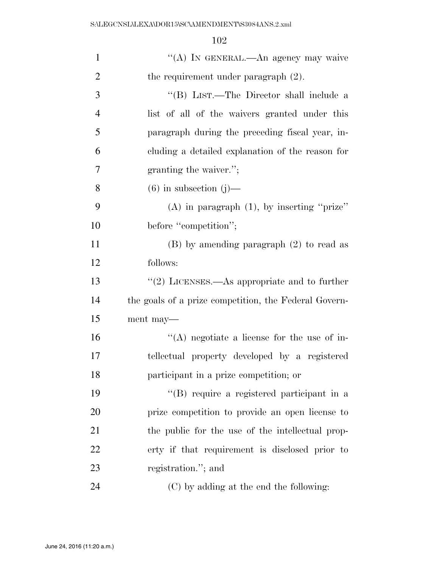| $\mathbf{1}$   | "(A) IN GENERAL.—An agency may waive                         |
|----------------|--------------------------------------------------------------|
| $\overline{2}$ | the requirement under paragraph $(2)$ .                      |
| 3              | "(B) LIST.—The Director shall include a                      |
| $\overline{4}$ | list of all of the waivers granted under this                |
| 5              | paragraph during the preceding fiscal year, in-              |
| 6              | cluding a detailed explanation of the reason for             |
| 7              | granting the waiver.";                                       |
| 8              | $(6)$ in subsection $(j)$ —                                  |
| 9              | $(A)$ in paragraph $(1)$ , by inserting "prize"              |
| 10             | before "competition";                                        |
| 11             | $(B)$ by amending paragraph $(2)$ to read as                 |
| 12             | follows:                                                     |
| 13             | $\cdot\cdot\cdot(2)$ LICENSES.—As appropriate and to further |
| 14             | the goals of a prize competition, the Federal Govern-        |
| 15             | ment may—                                                    |
| 16             | $\lq\lq$ negotiate a license for the use of in-              |
| 17             | tellectual property developed by a registered                |
| 18             | participant in a prize competition; or                       |
| 19             | "(B) require a registered participant in a                   |
| 20             | prize competition to provide an open license to              |
| 21             | the public for the use of the intellectual prop-             |
| 22             | erty if that requirement is disclosed prior to               |
| 23             | registration."; and                                          |
| 24             | (C) by adding at the end the following:                      |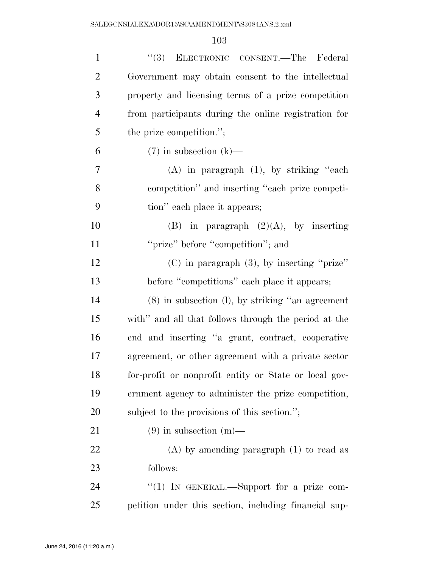| $\mathbf{1}$   | "(3) ELECTRONIC CONSENT.—The Federal                  |
|----------------|-------------------------------------------------------|
| $\overline{2}$ | Government may obtain consent to the intellectual     |
| 3              | property and licensing terms of a prize competition   |
| 4              | from participants during the online registration for  |
| 5              | the prize competition.";                              |
| 6              | $(7)$ in subsection $(k)$ —                           |
| 7              | $(A)$ in paragraph $(1)$ , by striking "each          |
| 8              | competition" and inserting "each prize competi-       |
| 9              | tion" each place it appears;                          |
| 10             | (B) in paragraph $(2)(A)$ , by inserting              |
| 11             | "prize" before "competition"; and                     |
| 12             | $(C)$ in paragraph $(3)$ , by inserting "prize"       |
| 13             | before "competitions" each place it appears;          |
| 14             | $(8)$ in subsection $(l)$ , by striking "an agreement |
| 15             | with" and all that follows through the period at the  |
| 16             | end and inserting "a grant, contract, cooperative     |
| 17             | agreement, or other agreement with a private sector   |
| 18             | for-profit or nonprofit entity or State or local gov- |
| 19             | ernment agency to administer the prize competition,   |
| 20             | subject to the provisions of this section.";          |
| 21             | $(9)$ in subsection $(m)$ —                           |
| 22             | $(A)$ by amending paragraph $(1)$ to read as          |
| 23             | follows:                                              |
| 24             | "(1) IN GENERAL.—Support for a prize com-             |
| 25             | petition under this section, including financial sup- |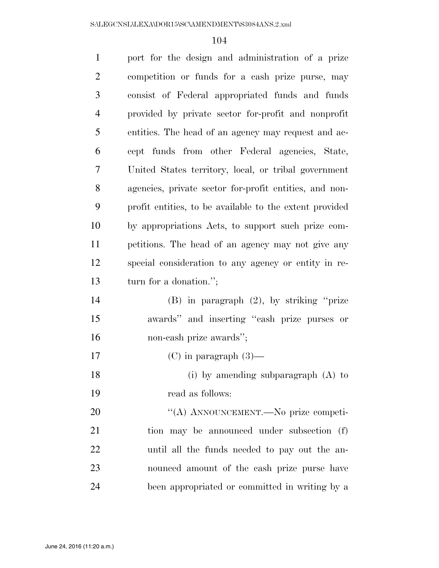| $\mathbf{1}$   | port for the design and administration of a prize       |
|----------------|---------------------------------------------------------|
| $\overline{2}$ | competition or funds for a cash prize purse, may        |
| 3              | consist of Federal appropriated funds and funds         |
| $\overline{4}$ | provided by private sector for-profit and nonprofit     |
| 5              | entities. The head of an agency may request and ac-     |
| 6              | cept funds from other Federal agencies, State,          |
| 7              | United States territory, local, or tribal government    |
| $8\,$          | agencies, private sector for-profit entities, and non-  |
| 9              | profit entities, to be available to the extent provided |
| 10             | by appropriations Acts, to support such prize com-      |
| 11             | petitions. The head of an agency may not give any       |
| 12             | special consideration to any agency or entity in re-    |
| 13             | turn for a donation.";                                  |
| 14             | (B) in paragraph $(2)$ , by striking "prize             |
| 15             | awards" and inserting "cash prize purses or             |
| 16             | non-cash prize awards";                                 |
| 17             | $(C)$ in paragraph $(3)$ —                              |
| 18             | (i) by amending subparagraph $(A)$ to                   |
| 19             | read as follows:                                        |
| 20             | "(A) ANNOUNCEMENT.—No prize competi-                    |
| 21             | tion may be announced under subsection (f)              |
| 22             | until all the funds needed to pay out the an-           |
| 23             | nounced amount of the cash prize purse have             |
| 24             | been appropriated or committed in writing by a          |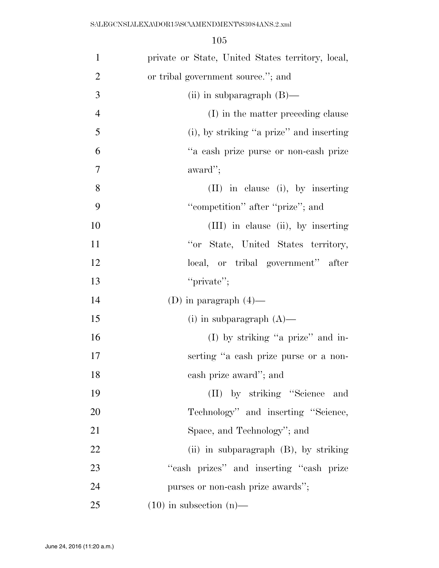| $\mathbf{1}$   | private or State, United States territory, local, |
|----------------|---------------------------------------------------|
| $\overline{2}$ | or tribal government source."; and                |
| 3              | (ii) in subparagraph $(B)$ —                      |
| $\overline{4}$ | (I) in the matter preceding clause                |
| 5              | (i), by striking "a prize" and inserting          |
| 6              | "a cash prize purse or non-cash prize             |
| $\tau$         | award";                                           |
| 8              | (II) in clause (i), by inserting                  |
| 9              | "competition" after "prize"; and                  |
| 10             | (III) in clause (ii), by inserting                |
| 11             | "or State, United States territory,               |
| 12             | local, or tribal government" after                |
| 13             | "private";                                        |
| 14             | (D) in paragraph $(4)$ —                          |
| 15             | (i) in subparagraph $(A)$ —                       |
| 16             | (I) by striking "a prize" and in-                 |
| 17             | serting "a cash prize purse or a non-             |
| 18             | cash prize award"; and                            |
| 19             | (II) by striking "Science and                     |
| 20             | Technology" and inserting "Science,               |
| 21             | Space, and Technology"; and                       |
| 22             | (ii) in subparagraph (B), by striking             |
| 23             | "cash prizes" and inserting "cash prize           |
| 24             | purses or non-cash prize awards";                 |
| 25             | $(10)$ in subsection $(n)$ —                      |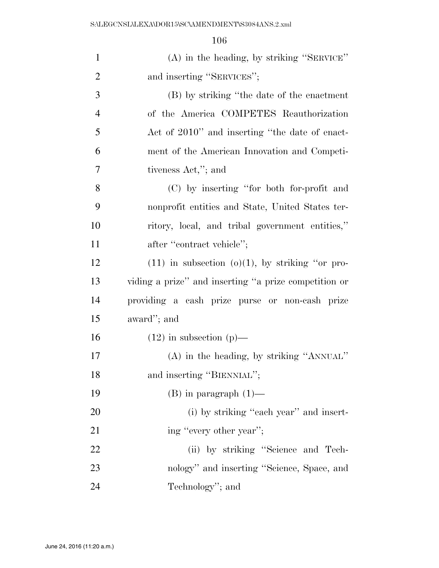| $\mathbf{1}$   | (A) in the heading, by striking "SERVICE"             |
|----------------|-------------------------------------------------------|
| $\overline{2}$ | and inserting "SERVICES";                             |
| 3              | (B) by striking "the date of the enactment            |
| $\overline{4}$ | of the America COMPETES Reauthorization               |
| 5              | Act of 2010" and inserting "the date of enact-        |
| 6              | ment of the American Innovation and Competi-          |
| 7              | tiveness Act,"; and                                   |
| 8              | (C) by inserting "for both for-profit and             |
| 9              | nonprofit entities and State, United States ter-      |
| 10             | ritory, local, and tribal government entities,"       |
| 11             | after "contract vehicle";                             |
| 12             | $(11)$ in subsection $(0)(1)$ , by striking "or pro-  |
| 13             | viding a prize" and inserting "a prize competition or |
| 14             | providing a cash prize purse or non-cash prize        |
| 15             | award"; and                                           |
| 16             | $(12)$ in subsection $(p)$ —                          |
| 17             | $(A)$ in the heading, by striking "ANNUAL"            |
| 18             | and inserting "BIENNIAL";                             |
| 19             | $(B)$ in paragraph $(1)$ —                            |
| <b>20</b>      | (i) by striking "each year" and insert-               |
| 21             | ing "every other year";                               |
| 22             | (ii) by striking "Science and Tech-                   |
| 23             | nology" and inserting "Science, Space, and            |
| 24             | Technology"; and                                      |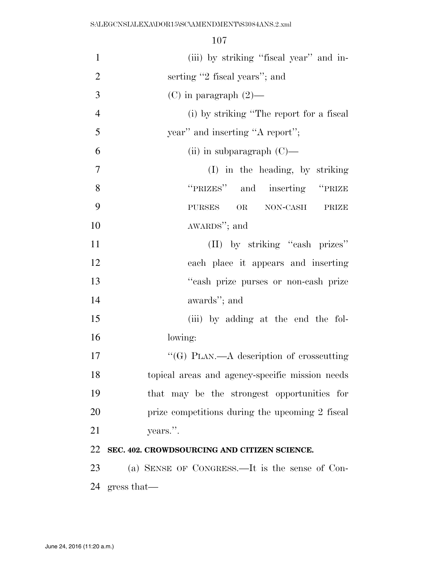| $\mathbf{1}$   | (iii) by striking "fiscal year" and in-         |
|----------------|-------------------------------------------------|
| $\overline{2}$ | serting "2 fiscal years"; and                   |
| 3              | $(C)$ in paragraph $(2)$ —                      |
| $\overline{4}$ | (i) by striking "The report for a fiscal        |
| 5              | year" and inserting "A report";                 |
| 6              | (ii) in subparagraph $(C)$ —                    |
| $\tau$         | (I) in the heading, by striking                 |
| 8              | "PRIZES" and inserting "PRIZE                   |
| 9              | NON-CASH<br>OR<br><b>PURSES</b><br>PRIZE        |
| 10             | AWARDS"; and                                    |
| 11             | (II) by striking "cash prizes"                  |
| 12             | each place it appears and inserting             |
| 13             | "cash prize purses or non-cash prize            |
| 14             | awards"; and                                    |
| 15             | (iii) by adding at the end the fol-             |
| 16             | lowing:                                         |
| 17             | "(G) PLAN.—A description of crosscutting        |
| 18             | topical areas and agency-specific mission needs |
| 19             | that may be the strongest opportunities for     |
| 20             | prize competitions during the upcoming 2 fiscal |
| 21             | years.".                                        |
| 22             | SEC. 402. CROWDSOURCING AND CITIZEN SCIENCE.    |
| 23             | (a) SENSE OF CONGRESS.—It is the sense of Con-  |
| 24             | gress that                                      |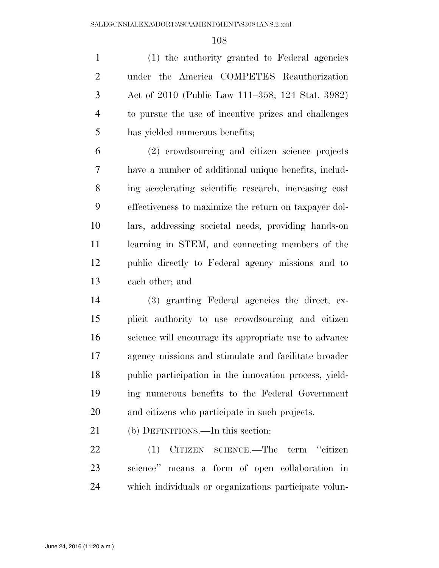(1) the authority granted to Federal agencies under the America COMPETES Reauthorization Act of 2010 (Public Law 111–358; 124 Stat. 3982) to pursue the use of incentive prizes and challenges has yielded numerous benefits;

 (2) crowdsourcing and citizen science projects have a number of additional unique benefits, includ- ing accelerating scientific research, increasing cost effectiveness to maximize the return on taxpayer dol- lars, addressing societal needs, providing hands-on learning in STEM, and connecting members of the public directly to Federal agency missions and to each other; and

 (3) granting Federal agencies the direct, ex- plicit authority to use crowdsourcing and citizen science will encourage its appropriate use to advance agency missions and stimulate and facilitate broader public participation in the innovation process, yield- ing numerous benefits to the Federal Government and citizens who participate in such projects.

(b) DEFINITIONS.—In this section:

 (1) CITIZEN SCIENCE.—The term ''citizen science'' means a form of open collaboration in which individuals or organizations participate volun-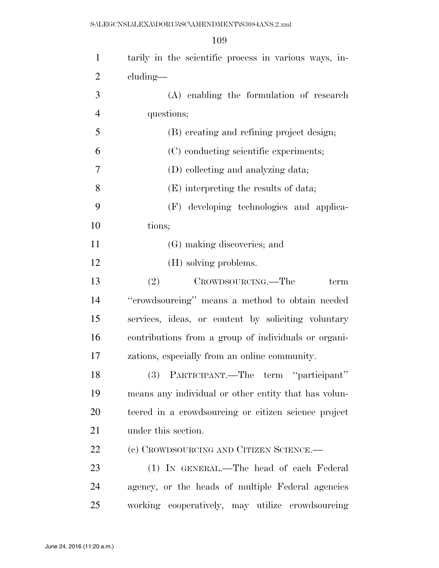| $\mathbf{1}$   | tarily in the scientific process in various ways, in- |
|----------------|-------------------------------------------------------|
| $\overline{2}$ | cluding—                                              |
| 3              | (A) enabling the formulation of research              |
| $\overline{4}$ | questions;                                            |
| 5              | (B) creating and refining project design;             |
| 6              | (C) conducting scientific experiments;                |
| 7              | (D) collecting and analyzing data;                    |
| 8              | (E) interpreting the results of data;                 |
| 9              | (F) developing technologies and applica-              |
| 10             | tions;                                                |
| 11             | (G) making discoveries; and                           |
| 12             | (H) solving problems.                                 |
| 13             | (2)<br>CROWDSOURCING.—The<br>term                     |
| 14             | "crowdsourcing" means a method to obtain needed       |
| 15             | services, ideas, or content by soliciting voluntary   |
| 16             | contributions from a group of individuals or organi-  |
| 17             | zations, especially from an online community.         |
| 18             | (3) PARTICIPANT.—The term "participant"               |
| 19             | means any individual or other entity that has volun-  |
| 20             | teered in a crowdsourcing or citizen science project  |
| 21             | under this section.                                   |
| 22             | (c) CROWDSOURCING AND CITIZEN SCIENCE.—               |
| 23             | (1) IN GENERAL.—The head of each Federal              |
| 24             | agency, or the heads of multiple Federal agencies     |
| 25             | working cooperatively, may utilize crowdsourcing      |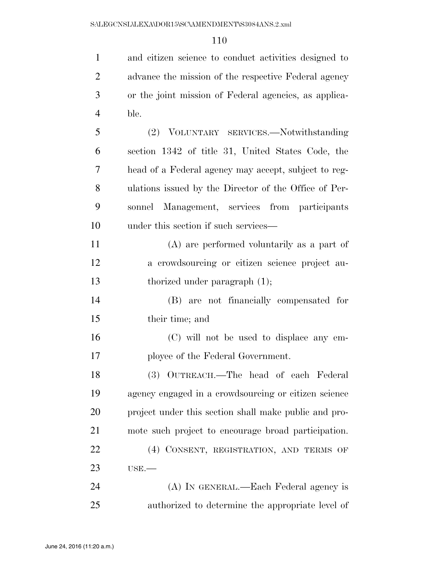and citizen science to conduct activities designed to

| $\overline{2}$ | advance the mission of the respective Federal agency  |
|----------------|-------------------------------------------------------|
| 3              | or the joint mission of Federal agencies, as applica- |
| $\overline{4}$ | ble.                                                  |
| 5              | (2) VOLUNTARY SERVICES.—Notwithstanding               |
| 6              | section 1342 of title 31, United States Code, the     |
| 7              | head of a Federal agency may accept, subject to reg-  |
| 8              | ulations issued by the Director of the Office of Per- |
| 9              | sonnel Management, services from participants         |
| 10             | under this section if such services—                  |
| 11             | (A) are performed voluntarily as a part of            |
| 12             | a crowdsourcing or citizen science project au-        |
| 13             | thorized under paragraph $(1)$ ;                      |
| 14             | (B) are not financially compensated for               |
| 15             | their time; and                                       |
| 16             | (C) will not be used to displace any em-              |
| 17             | ployee of the Federal Government.                     |
| 18             | (3) OUTREACH.—The head of each Federal                |
| 19             | agency engaged in a crowdsourcing or citizen science  |
| 20             | project under this section shall make public and pro- |
| 21             | mote such project to encourage broad participation.   |
| 22             | (4) CONSENT, REGISTRATION, AND TERMS OF               |
| 23             | USE.                                                  |
| 24             | (A) IN GENERAL.—Each Federal agency is                |
| 25             | authorized to determine the appropriate level of      |
|                |                                                       |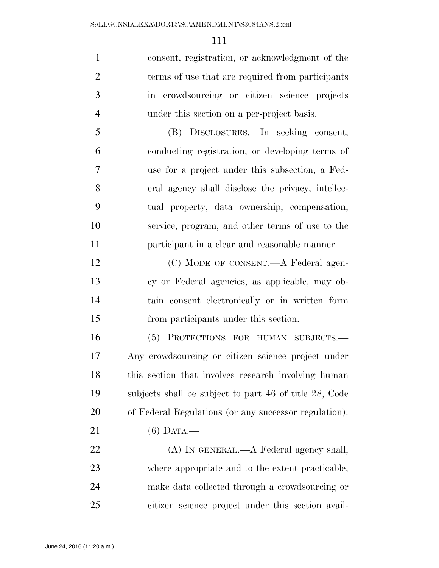consent, registration, or acknowledgment of the terms of use that are required from participants in crowdsourcing or citizen science projects under this section on a per-project basis.

 (B) DISCLOSURES.—In seeking consent, conducting registration, or developing terms of use for a project under this subsection, a Fed- eral agency shall disclose the privacy, intellec- tual property, data ownership, compensation, service, program, and other terms of use to the participant in a clear and reasonable manner.

12 (C) MODE OF CONSENT.—A Federal agen- cy or Federal agencies, as applicable, may ob- tain consent electronically or in written form from participants under this section.

 (5) PROTECTIONS FOR HUMAN SUBJECTS.— Any crowdsourcing or citizen science project under 18 this section that involves research involving human subjects shall be subject to part 46 of title 28, Code of Federal Regulations (or any successor regulation).

(6) DATA.—

22 (A) IN GENERAL.—A Federal agency shall, where appropriate and to the extent practicable, make data collected through a crowdsourcing or citizen science project under this section avail-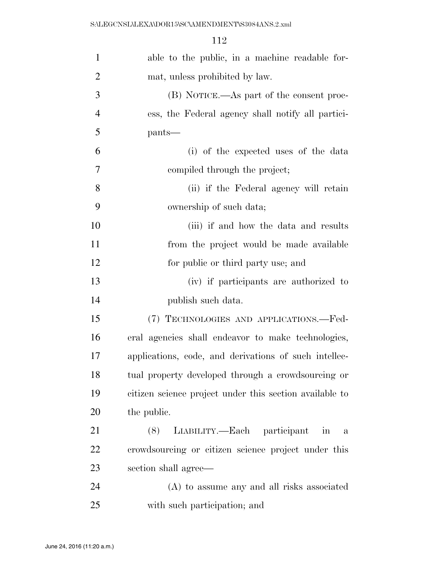| $\mathbf{1}$   | able to the public, in a machine readable for-           |
|----------------|----------------------------------------------------------|
| $\overline{2}$ | mat, unless prohibited by law.                           |
| 3              | (B) NOTICE.—As part of the consent proc-                 |
| $\overline{4}$ | ess, the Federal agency shall notify all partici-        |
| 5              | pants—                                                   |
| 6              | (i) of the expected uses of the data                     |
| 7              | compiled through the project;                            |
| 8              | (ii) if the Federal agency will retain                   |
| 9              | ownership of such data;                                  |
| 10             | (iii) if and how the data and results                    |
| 11             | from the project would be made available                 |
| 12             | for public or third party use; and                       |
| 13             | (iv) if participants are authorized to                   |
| 14             | publish such data.                                       |
| 15             | (7) TECHNOLOGIES AND APPLICATIONS.—Fed-                  |
| 16             | eral agencies shall endeavor to make technologies,       |
| 17             | applications, code, and derivations of such intellec-    |
| 18             | tual property developed through a crowdsourcing or       |
| 19             | citizen science project under this section available to  |
| 20             | the public.                                              |
| 21             | LIABILITY.—Each participant<br>(8)<br>in<br>$\mathbf{a}$ |
| 22             | crowdsourcing or citizen science project under this      |
| 23             | section shall agree—                                     |
| 24             | (A) to assume any and all risks associated               |
| 25             | with such participation; and                             |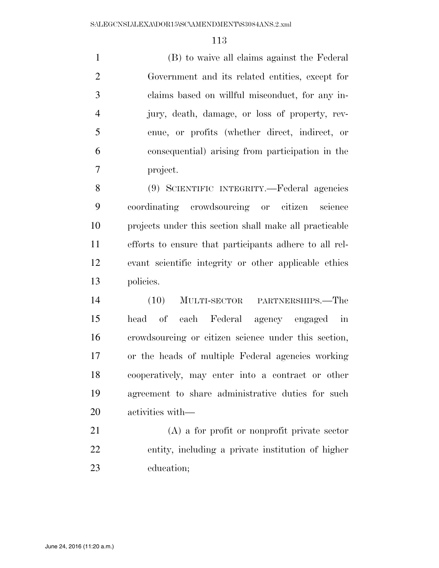(B) to waive all claims against the Federal Government and its related entities, except for claims based on willful misconduct, for any in- jury, death, damage, or loss of property, rev- enue, or profits (whether direct, indirect, or consequential) arising from participation in the project.

 (9) SCIENTIFIC INTEGRITY.—Federal agencies coordinating crowdsourcing or citizen science projects under this section shall make all practicable efforts to ensure that participants adhere to all rel- evant scientific integrity or other applicable ethics policies.

 (10) MULTI-SECTOR PARTNERSHIPS.—The head of each Federal agency engaged in crowdsourcing or citizen science under this section, or the heads of multiple Federal agencies working cooperatively, may enter into a contract or other agreement to share administrative duties for such activities with—

 (A) a for profit or nonprofit private sector entity, including a private institution of higher education;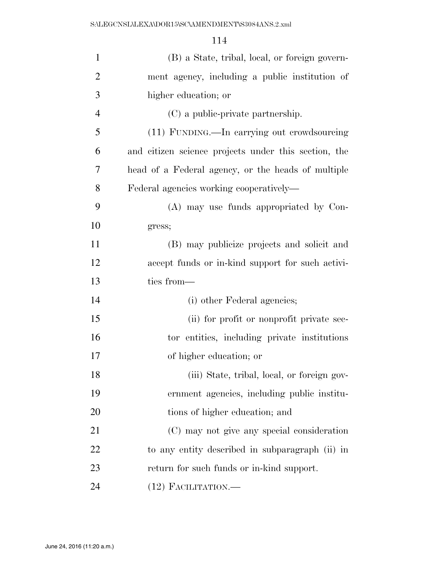| $\mathbf{1}$   | (B) a State, tribal, local, or foreign govern-       |
|----------------|------------------------------------------------------|
| $\overline{2}$ | ment agency, including a public institution of       |
| 3              | higher education; or                                 |
| $\overline{4}$ | (C) a public-private partnership.                    |
| 5              | (11) FUNDING.—In carrying out crowdsourcing          |
| 6              | and citizen science projects under this section, the |
| 7              | head of a Federal agency, or the heads of multiple   |
| 8              | Federal agencies working cooperatively—              |
| 9              | (A) may use funds appropriated by Con-               |
| 10             | gress;                                               |
| 11             | (B) may publicize projects and solicit and           |
| 12             | accept funds or in-kind support for such activi-     |
| 13             | ties from-                                           |
| 14             | (i) other Federal agencies;                          |
| 15             | (ii) for profit or nonprofit private sec-            |
| 16             | tor entities, including private institutions         |
| 17             | of higher education; or                              |
| 18             | (iii) State, tribal, local, or foreign gov-          |
| 19             | ernment agencies, including public institu-          |
| 20             | tions of higher education; and                       |
| 21             | (C) may not give any special consideration           |
| 22             | to any entity described in subparagraph (ii) in      |
| 23             | return for such funds or in-kind support.            |
| 24             | $(12)$ FACILITATION.—                                |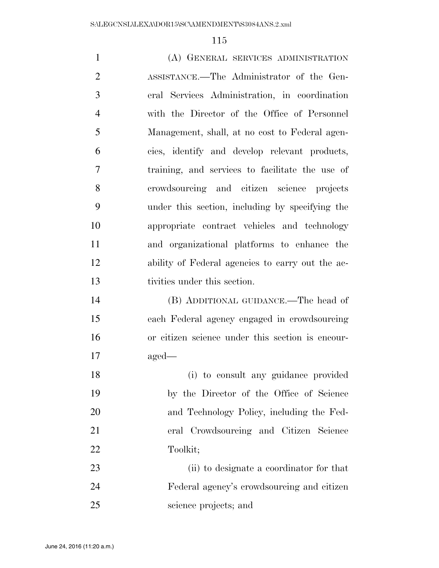| $\mathbf{1}$   | (A) GENERAL SERVICES ADMINISTRATION              |
|----------------|--------------------------------------------------|
| $\overline{2}$ | ASSISTANCE.—The Administrator of the Gen-        |
| 3              | eral Services Administration, in coordination    |
| $\overline{4}$ | with the Director of the Office of Personnel     |
| 5              | Management, shall, at no cost to Federal agen-   |
| 6              | cies, identify and develop relevant products,    |
| 7              | training, and services to facilitate the use of  |
| 8              | crowdsourcing and citizen science projects       |
| 9              | under this section, including by specifying the  |
| 10             | appropriate contract vehicles and technology     |
| 11             | and organizational platforms to enhance the      |
| 12             | ability of Federal agencies to carry out the ac- |
| 13             | tivities under this section.                     |
| 14             | (B) ADDITIONAL GUIDANCE.—The head of             |
| 15             | each Federal agency engaged in crowdsourcing     |
| 16             | or citizen science under this section is encour- |
| 17             | $\text{aged}$ —                                  |
| 18             | (i) to consult any guidance provided             |
| 19             | by the Director of the Office of Science         |
| 20             | and Technology Policy, including the Fed-        |
| 21             | eral Crowdsourcing and Citizen Science           |
| 22             | Toolkit;                                         |
| 23             | (ii) to designate a coordinator for that         |
| 24             | Federal agency's crowdsourcing and citizen       |
| 25             | science projects; and                            |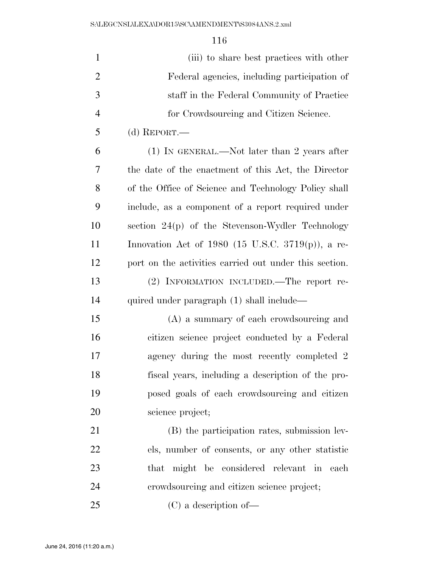| $\mathbf{1}$   | (iii) to share best practices with other               |
|----------------|--------------------------------------------------------|
| $\overline{2}$ | Federal agencies, including participation of           |
| 3              | staff in the Federal Community of Practice             |
| $\overline{4}$ | for Crowdsourcing and Citizen Science.                 |
| 5              | (d) REPORT.—                                           |
| 6              | $(1)$ In GENERAL.—Not later than 2 years after         |
| 7              | the date of the enactment of this Act, the Director    |
| 8              | of the Office of Science and Technology Policy shall   |
| 9              | include, as a component of a report required under     |
| 10             | section 24(p) of the Stevenson-Wydler Technology       |
| 11             | Innovation Act of 1980 (15 U.S.C. 3719 $(p)$ ), a re-  |
| 12             | port on the activities carried out under this section. |
| 13             | (2) INFORMATION INCLUDED.—The report re-               |
| 14             | quired under paragraph (1) shall include—              |
| 15             | (A) a summary of each crowdsourcing and                |
| 16             | citizen science project conducted by a Federal         |
| 17             | agency during the most recently completed 2            |
| 18             | fiscal years, including a description of the pro-      |
| 19             | posed goals of each crowdsourcing and citizen          |
| 20             | science project;                                       |
| 21             | (B) the participation rates, submission lev-           |
| 22             | els, number of consents, or any other statistic        |
| 23             | that might be considered relevant in<br>each           |
| 24             | crowdsourcing and citizen science project;             |
| 25             | $(C)$ a description of —                               |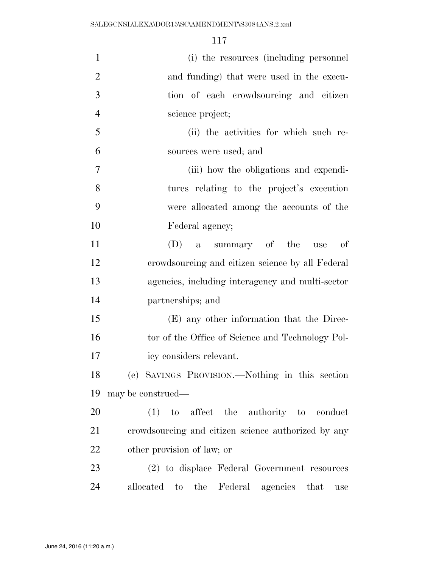| $\mathbf{1}$   | (i) the resources (including personnel                           |
|----------------|------------------------------------------------------------------|
| $\overline{2}$ | and funding) that were used in the execu-                        |
| 3              | tion of each crowdsourcing and citizen                           |
| $\overline{4}$ | science project;                                                 |
| 5              | (ii) the activities for which such re-                           |
| 6              | sources were used; and                                           |
| $\overline{7}$ | (iii) how the obligations and expendi-                           |
| 8              | tures relating to the project's execution                        |
| 9              | were allocated among the accounts of the                         |
| 10             | Federal agency;                                                  |
| 11             | summary of the<br>$(D)$ a<br>of<br>use                           |
| 12             | crowdsourcing and citizen science by all Federal                 |
| 13             | agencies, including interagency and multi-sector                 |
| 14             | partnerships; and                                                |
| 15             | (E) any other information that the Direc-                        |
| 16             | tor of the Office of Science and Technology Pol-                 |
| 17             | icy considers relevant.                                          |
| 18             | (e) SAVINGS PROVISION.—Nothing in this section                   |
| 19             | may be construed—                                                |
| 20             | $(1)$ to affect the authority to conduct                         |
| 21             | crowdsourcing and citizen science authorized by any              |
| 22             | other provision of law; or                                       |
| 23             | (2) to displace Federal Government resources                     |
| 24             | Federal agencies that<br>allocated<br>the<br>$\mathbf{t}$<br>use |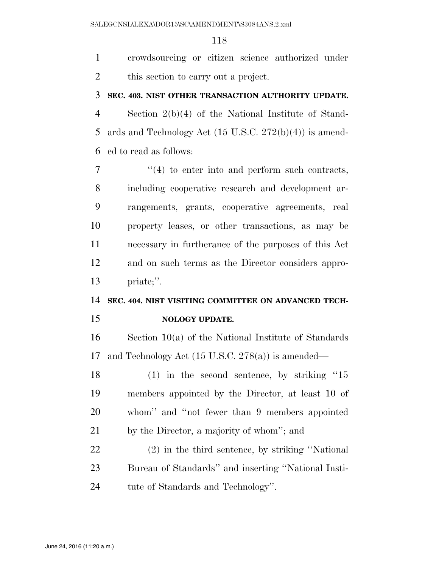crowdsourcing or citizen science authorized under this section to carry out a project.

#### **SEC. 403. NIST OTHER TRANSACTION AUTHORITY UPDATE.**

 Section 2(b)(4) of the National Institute of Stand- ards and Technology Act (15 U.S.C. 272(b)(4)) is amend-ed to read as follows:

 $\frac{1}{4}$  to enter into and perform such contracts, including cooperative research and development ar- rangements, grants, cooperative agreements, real property leases, or other transactions, as may be necessary in furtherance of the purposes of this Act and on such terms as the Director considers appro-priate;''.

## **SEC. 404. NIST VISITING COMMITTEE ON ADVANCED TECH-**

#### **NOLOGY UPDATE.**

 Section 10(a) of the National Institute of Standards and Technology Act (15 U.S.C. 278(a)) is amended—

 (1) in the second sentence, by striking ''15 members appointed by the Director, at least 10 of whom'' and ''not fewer than 9 members appointed by the Director, a majority of whom''; and

 (2) in the third sentence, by striking ''National Bureau of Standards'' and inserting ''National Insti-tute of Standards and Technology''.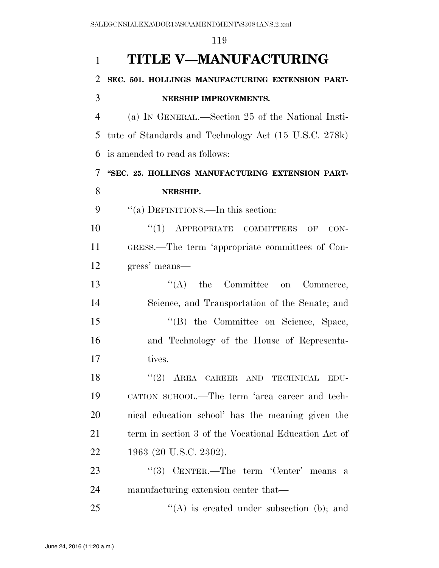| $\mathbf{1}$   | <b>TITLE V-MANUFACTURING</b>                          |
|----------------|-------------------------------------------------------|
| $\overline{2}$ | SEC. 501. HOLLINGS MANUFACTURING EXTENSION PART-      |
| 3              | NERSHIP IMPROVEMENTS.                                 |
| $\overline{4}$ | (a) IN GENERAL.—Section 25 of the National Insti-     |
| 5              | tute of Standards and Technology Act (15 U.S.C. 278k) |
| 6              | is amended to read as follows:                        |
| 7              | "SEC. 25. HOLLINGS MANUFACTURING EXTENSION PART-      |
| 8              | NERSHIP.                                              |
| 9              | "(a) DEFINITIONS.—In this section:                    |
| 10             | $``(1)$ APPROPRIATE COMMITTEES OF<br>$CON-$           |
| 11             | GRESS.—The term 'appropriate committees of Con-       |
| 12             | gress' means—                                         |
| 13             | $\lq\lq$ (A) the Committee on<br>Commerce,            |
| 14             | Science, and Transportation of the Senate; and        |
| 15             | "(B) the Committee on Science, Space,                 |
| 16             | and Technology of the House of Representa-            |
| 17             | tives.                                                |
| 18             | $``(2)$ AREA CAREER AND TECHNICAL<br>EDU-             |
| 19             | CATION SCHOOL.—The term 'area career and tech-        |
| 20             | nical education school' has the meaning given the     |
| 21             | term in section 3 of the Vocational Education Act of  |
| 22             | 1963 (20 U.S.C. 2302).                                |
| 23             | $(3)$ CENTER.—The term 'Center' means<br>a            |
| 24             | manufacturing extension center that—                  |
| 25             | $\lq\lq$ is created under subsection (b); and         |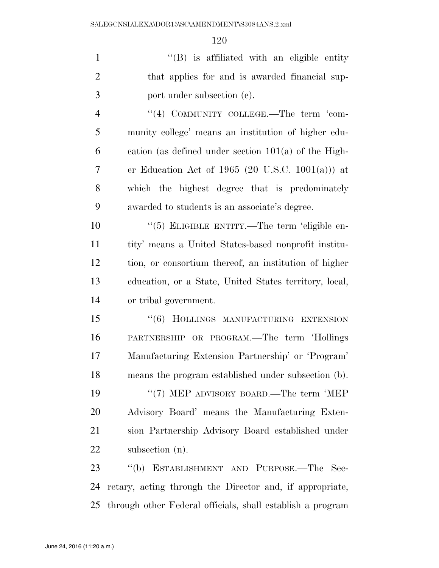1 ''(B) is affiliated with an eligible entity that applies for and is awarded financial sup-port under subsection (e).

4 "(4) COMMUNITY COLLEGE.—The term 'com- munity college' means an institution of higher edu- cation (as defined under section 101(a) of the High-7 er Education Act of 1965 (20 U.S.C. 1001(a))) at which the highest degree that is predominately awarded to students is an associate's degree.

 $(5)$  ELIGIBLE ENTITY.—The term 'eligible en- tity' means a United States-based nonprofit institu- tion, or consortium thereof, an institution of higher education, or a State, United States territory, local, or tribal government.

15 "(6) HOLLINGS MANUFACTURING EXTENSION PARTNERSHIP OR PROGRAM.—The term 'Hollings Manufacturing Extension Partnership' or 'Program' means the program established under subsection (b). 19 "(7) MEP ADVISORY BOARD.—The term 'MEP Advisory Board' means the Manufacturing Exten- sion Partnership Advisory Board established under subsection (n).

 ''(b) ESTABLISHMENT AND PURPOSE.—The Sec- retary, acting through the Director and, if appropriate, through other Federal officials, shall establish a program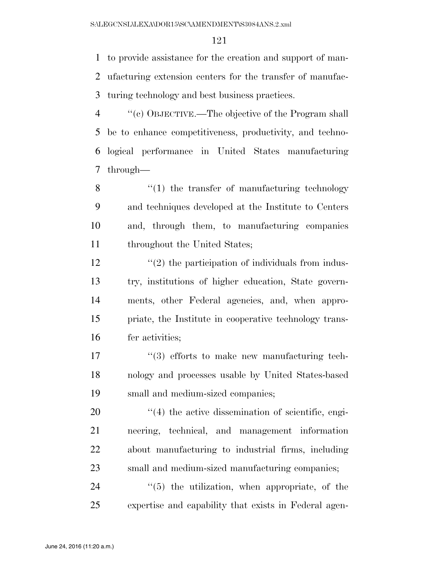to provide assistance for the creation and support of man- ufacturing extension centers for the transfer of manufac-turing technology and best business practices.

 ''(c) OBJECTIVE.—The objective of the Program shall be to enhance competitiveness, productivity, and techno- logical performance in United States manufacturing through—

 ''(1) the transfer of manufacturing technology and techniques developed at the Institute to Centers and, through them, to manufacturing companies throughout the United States;

 $\frac{12}{2}$  ''(2) the participation of individuals from indus- try, institutions of higher education, State govern- ments, other Federal agencies, and, when appro- priate, the Institute in cooperative technology trans-fer activities;

17  $\frac{17}{2}$   $\frac{17}{2}$  efforts to make new manufacturing tech- nology and processes usable by United States-based small and medium-sized companies;

 $\frac{1}{4}$  the active dissemination of scientific, engi- neering, technical, and management information about manufacturing to industrial firms, including small and medium-sized manufacturing companies;

24  $(5)$  the utilization, when appropriate, of the expertise and capability that exists in Federal agen-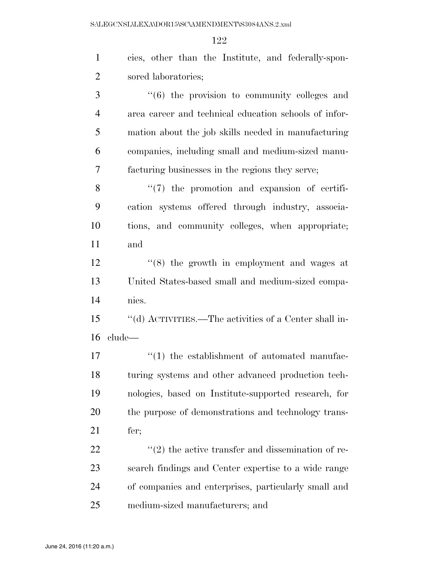| $\mathbf{1}$   | cies, other than the Institute, and federally-spon-   |
|----------------|-------------------------------------------------------|
| $\overline{2}$ | sored laboratories;                                   |
| 3              | "(6) the provision to community colleges and          |
| $\overline{4}$ | area career and technical education schools of infor- |
| 5              | mation about the job skills needed in manufacturing   |
| 6              | companies, including small and medium-sized manu-     |
| 7              | facturing businesses in the regions they serve;       |
| 8              | "(7) the promotion and expansion of certifi-          |
| 9              | cation systems offered through industry, associa-     |
| 10             | tions, and community colleges, when appropriate;      |
| 11             | and                                                   |
| 12             | "(8) the growth in employment and wages at            |
| 13             | United States-based small and medium-sized compa-     |
| 14             | nies.                                                 |
| 15             | "(d) ACTIVITIES.—The activities of a Center shall in- |
| 16             | clude—                                                |
| 17             | "(1) the establishment of automated manufac-          |
| 18             | turing systems and other advanced production tech-    |
| 19             | nologies, based on Institute-supported research, for  |
| 20             | the purpose of demonstrations and technology trans-   |
| 21             | fer;                                                  |
| 22             | $f'(2)$ the active transfer and dissemination of re-  |
| 23             | search findings and Center expertise to a wide range  |
| 24             | of companies and enterprises, particularly small and  |
| 25             | medium-sized manufacturers; and                       |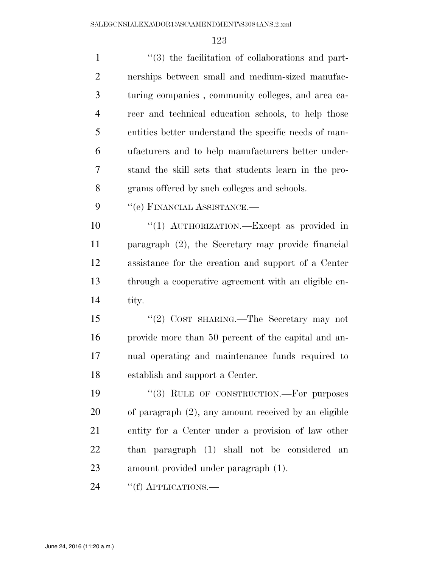| $\mathbf{1}$   | $\cdot\cdot\cdot(3)$ the facilitation of collaborations and part- |
|----------------|-------------------------------------------------------------------|
| $\overline{2}$ | nerships between small and medium-sized manufac-                  |
| 3              | turing companies, community colleges, and area ca-                |
| $\overline{4}$ | reer and technical education schools, to help those               |
| 5              | entities better understand the specific needs of man-             |
| 6              | ufacturers and to help manufacturers better under-                |
| 7              | stand the skill sets that students learn in the pro-              |
| 8              | grams offered by such colleges and schools.                       |
| 9              | "(e) FINANCIAL ASSISTANCE.—                                       |
| 10             | "(1) AUTHORIZATION. - Except as provided in                       |
| 11             | paragraph (2), the Secretary may provide financial                |
| 12             | assistance for the creation and support of a Center               |
| 13             | through a cooperative agreement with an eligible en-              |
| 14             | tity.                                                             |
| 15             | "(2) COST SHARING.—The Secretary may not                          |
| 16             | provide more than 50 percent of the capital and an-               |
| 17             | nual operating and maintenance funds required to                  |
| 18             | establish and support a Center.                                   |
| 19             | "(3) RULE OF CONSTRUCTION.—For purposes                           |
| 20             | of paragraph $(2)$ , any amount received by an eligible           |
| 21             | entity for a Center under a provision of law other                |
| 22             | than paragraph (1) shall not be considered<br>an                  |
| 23             | amount provided under paragraph (1).                              |
| $\mathcal{L}$  |                                                                   |

24 "(f) APPLICATIONS.—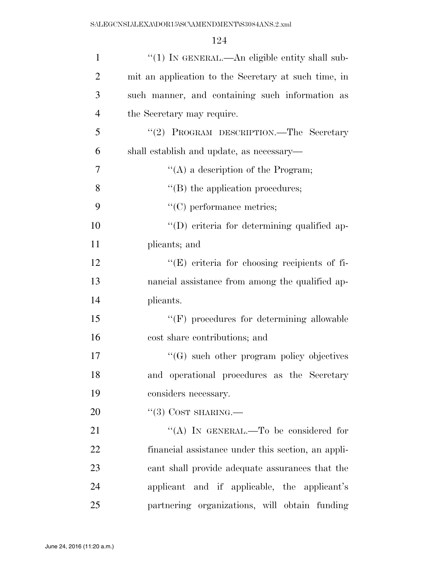| $\mathbf{1}$   | " $(1)$ In GENERAL.—An eligible entity shall sub-    |
|----------------|------------------------------------------------------|
| $\overline{2}$ | mit an application to the Secretary at such time, in |
| 3              | such manner, and containing such information as      |
| $\overline{4}$ | the Secretary may require.                           |
| 5              | "(2) PROGRAM DESCRIPTION.—The Secretary              |
| 6              | shall establish and update, as necessary—            |
| $\tau$         | "(A) a description of the Program;                   |
| 8              | $\lq\lq$ the application procedures;                 |
| 9              | $"$ (C) performance metrics;                         |
| 10             | "(D) criteria for determining qualified ap-          |
| 11             | plicants; and                                        |
| 12             | $\lq\lq$ criteria for choosing recipients of fi-     |
| 13             | nancial assistance from among the qualified ap-      |
| 14             | plicants.                                            |
| 15             | $``(F)$ procedures for determining allowable         |
| 16             | cost share contributions; and                        |
| 17             | $\lq\lq(G)$ such other program policy objectives     |
| 18             | and operational procedures as the Secretary          |
| 19             | considers necessary.                                 |
| 20             | $\lq(3)$ COST SHARING.—                              |
| 21             | "(A) IN GENERAL.—To be considered for                |
| 22             | financial assistance under this section, an appli-   |
| 23             | cant shall provide adequate assurances that the      |
| 24             | applicant and if applicable, the applicant's         |
| 25             | partnering organizations, will obtain funding        |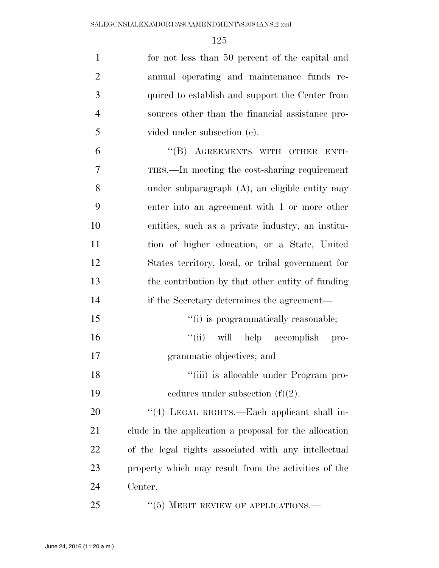| $\mathbf{1}$   | for not less than 50 percent of the capital and        |
|----------------|--------------------------------------------------------|
| $\overline{2}$ | annual operating and maintenance funds re-             |
| 3              | quired to establish and support the Center from        |
| $\overline{4}$ | sources other than the financial assistance pro-       |
| 5              | vided under subsection (e).                            |
| 6              | "(B) AGREEMENTS WITH OTHER ENTI-                       |
| 7              | TIES.—In meeting the cost-sharing requirement          |
| 8              | under subparagraph $(A)$ , an eligible entity may      |
| 9              | enter into an agreement with 1 or more other           |
| 10             | entities, such as a private industry, an institu-      |
| 11             | tion of higher education, or a State, United           |
| 12             | States territory, local, or tribal government for      |
| 13             | the contribution by that other entity of funding       |
| 14             | if the Secretary determines the agreement—             |
| 15             | "(i) is programmatically reasonable;                   |
| 16             | "(ii) will help accomplish pro-                        |
| 17             | grammatic objectives; and                              |
| 18             | "(iii) is allocable under Program pro-                 |
| 19             | cedures under subsection $(f)(2)$ .                    |
| 20             | "(4) LEGAL RIGHTS.—Each applicant shall in-            |
| 21             | clude in the application a proposal for the allocation |
| 22             | of the legal rights associated with any intellectual   |
| 23             | property which may result from the activities of the   |
| 24             | Center.                                                |
| 25             | $\cdot\cdot$ (5) MERIT REVIEW OF APPLICATIONS.—        |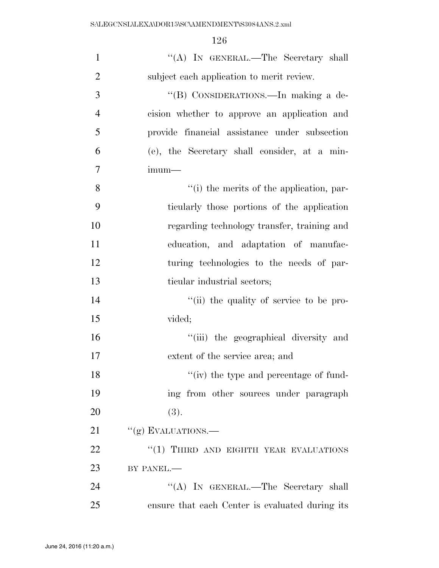| $\mathbf{1}$   | "(A) IN GENERAL.—The Secretary shall            |
|----------------|-------------------------------------------------|
| $\overline{2}$ | subject each application to merit review.       |
| 3              | "(B) CONSIDERATIONS.—In making a de-            |
| $\overline{4}$ | cision whether to approve an application and    |
| 5              | provide financial assistance under subsection   |
| 6              | (e), the Secretary shall consider, at a min-    |
| 7              | $imum-$                                         |
| 8              | "(i) the merits of the application, par-        |
| 9              | ticularly those portions of the application     |
| 10             | regarding technology transfer, training and     |
| 11             | education, and adaptation of manufac-           |
| 12             | turing technologies to the needs of par-        |
| 13             | ticular industrial sectors;                     |
| 14             | "(ii) the quality of service to be pro-         |
| 15             | vided;                                          |
| 16             | "(iii) the geographical diversity and           |
| 17             | extent of the service area; and                 |
| 18             | "(iv) the type and percentage of fund-          |
| 19             | ing from other sources under paragraph          |
| 20             | (3).                                            |
| 21             | $``(g)$ EVALUATIONS.—                           |
| 22             | "(1) THIRD AND EIGHTH YEAR EVALUATIONS          |
| 23             | BY PANEL.-                                      |
| 24             | "(A) IN GENERAL.—The Secretary shall            |
| 25             | ensure that each Center is evaluated during its |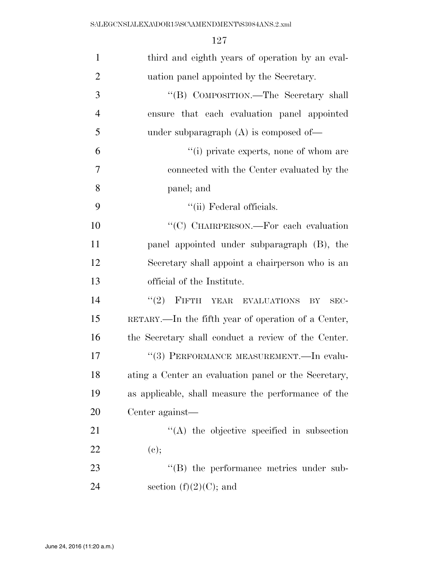| $\mathbf{1}$   | third and eighth years of operation by an eval-      |
|----------------|------------------------------------------------------|
| $\overline{2}$ | uation panel appointed by the Secretary.             |
| 3              | "(B) COMPOSITION.—The Secretary shall                |
| $\overline{4}$ | ensure that each evaluation panel appointed          |
| 5              | under subparagraph $(A)$ is composed of-             |
| 6              | "(i) private experts, none of whom are               |
| 7              | connected with the Center evaluated by the           |
| 8              | panel; and                                           |
| 9              | "(ii) Federal officials.                             |
| 10             | "(C) CHAIRPERSON.—For each evaluation                |
| 11             | panel appointed under subparagraph (B), the          |
| 12             | Secretary shall appoint a chairperson who is an      |
| 13             | official of the Institute.                           |
| 14             | FIFTH YEAR EVALUATIONS BY<br>(2)<br>SEC-             |
| 15             | RETARY.—In the fifth year of operation of a Center,  |
| 16             | the Secretary shall conduct a review of the Center.  |
| 17             | "(3) PERFORMANCE MEASUREMENT.—In evalu-              |
| 18             | ating a Center an evaluation panel or the Secretary, |
| 19             | as applicable, shall measure the performance of the  |
| 20             | Center against—                                      |
| 21             | $\lq\lq$ the objective specified in subsection       |
| <u>22</u>      | (e);                                                 |
| 23             | "(B) the performance metrics under sub-              |
| 24             | section $(f)(2)(C)$ ; and                            |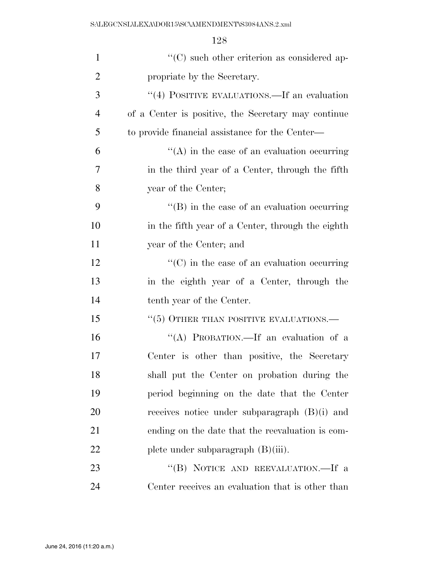| $\mathbf{1}$   | $\lq\lq$ such other criterion as considered ap-         |
|----------------|---------------------------------------------------------|
| $\overline{2}$ | propriate by the Secretary.                             |
| 3              | "(4) POSITIVE EVALUATIONS.—If an evaluation             |
| 4              | of a Center is positive, the Secretary may continue     |
| 5              | to provide financial assistance for the Center—         |
| 6              | $\lq\lq$ in the case of an evaluation occurring         |
| 7              | in the third year of a Center, through the fifth        |
| 8              | year of the Center;                                     |
| 9              | $\lq\lq$ (B) in the case of an evaluation occurring     |
| 10             | in the fifth year of a Center, through the eighth       |
| 11             | year of the Center; and                                 |
| 12             | $\cdot\cdot$ (C) in the case of an evaluation occurring |
| 13             | in the eighth year of a Center, through the             |
| 14             | tenth year of the Center.                               |
| 15             | $``(5)$ OTHER THAN POSITIVE EVALUATIONS.—               |
| 16             | "(A) PROBATION.—If an evaluation of a                   |
| 17             | Center is other than positive, the Secretary            |
| 18             | shall put the Center on probation during the            |
| 19             | period beginning on the date that the Center            |
| 20             | receives notice under subparagraph $(B)(i)$ and         |
| 21             | ending on the date that the reevaluation is com-        |
| 22             | plete under subparagraph $(B)(iii)$ .                   |
| 23             | "(B) NOTICE AND REEVALUATION.—If a                      |
| 24             | Center receives an evaluation that is other than        |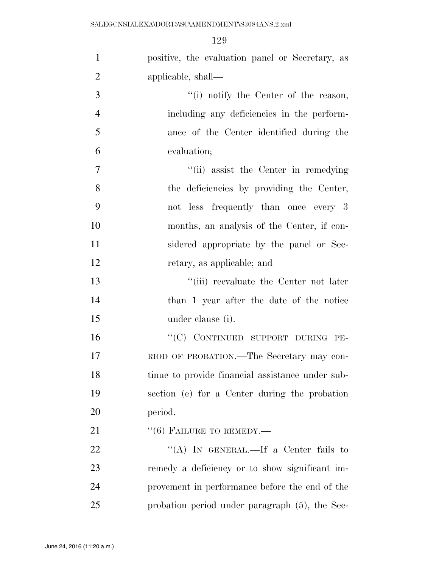| $\mathbf{1}$   | positive, the evaluation panel or Secretary, as  |
|----------------|--------------------------------------------------|
| $\overline{2}$ | applicable, shall-                               |
| 3              | "(i) notify the Center of the reason,            |
| $\overline{4}$ | including any deficiencies in the perform-       |
| 5              | ance of the Center identified during the         |
| 6              | evaluation;                                      |
| $\overline{7}$ | "(ii) assist the Center in remedying             |
| 8              | the deficiencies by providing the Center,        |
| 9              | not less frequently than once every 3            |
| 10             | months, an analysis of the Center, if con-       |
| 11             | sidered appropriate by the panel or Sec-         |
| 12             | retary, as applicable; and                       |
| 13             | "(iii) reevaluate the Center not later           |
| 14             | than 1 year after the date of the notice         |
| 15             | under clause (i).                                |
| 16             | "(C) CONTINUED SUPPORT DURING PE-                |
| 17             | RIOD OF PROBATION.—The Secretary may con-        |
| 18             | tinue to provide financial assistance under sub- |
| 19             | section (e) for a Center during the probation    |
| 20             | period.                                          |
| 21             | $``(6)$ FAILURE TO REMEDY.—                      |
| 22             | "(A) IN GENERAL.—If a Center fails to            |
| 23             | remedy a deficiency or to show significant im-   |
| 24             | provement in performance before the end of the   |
| 25             | probation period under paragraph (5), the Sec-   |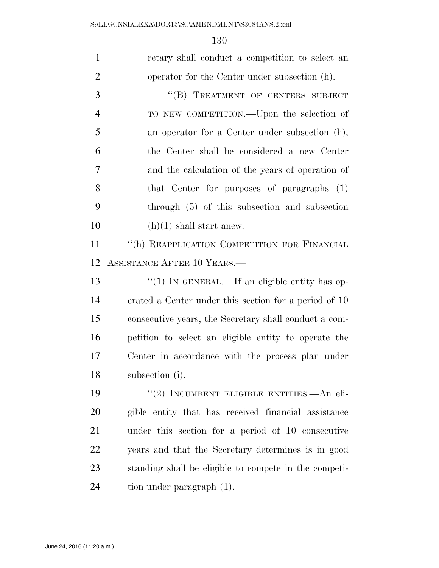| $\mathbf{1}$   | retary shall conduct a competition to select an       |
|----------------|-------------------------------------------------------|
| $\overline{2}$ | operator for the Center under subsection (h).         |
| 3              | "(B) TREATMENT OF CENTERS SUBJECT                     |
| $\overline{4}$ | TO NEW COMPETITION.—Upon the selection of             |
| 5              | an operator for a Center under subsection (h),        |
| 6              | the Center shall be considered a new Center           |
| 7              | and the calculation of the years of operation of      |
| 8              | that Center for purposes of paragraphs (1)            |
| 9              | through $(5)$ of this subsection and subsection       |
| 10             | $(h)(1)$ shall start anew.                            |
| 11             | "(h) REAPPLICATION COMPETITION FOR FINANCIAL          |
| 12             | ASSISTANCE AFTER 10 YEARS.—                           |
| 13             | "(1) IN GENERAL.—If an eligible entity has op-        |
| 14             | erated a Center under this section for a period of 10 |
| 15             | consecutive years, the Secretary shall conduct a com- |
| 16             | petition to select an eligible entity to operate the  |
| 17             | Center in accordance with the process plan under      |
| 18             | subsection (i).                                       |
| 19             | "(2) INCUMBENT ELIGIBLE ENTITIES.—An eli-             |
| 20             | gible entity that has received financial assistance   |
| 21             | under this section for a period of 10 consecutive     |
| 22             | years and that the Secretary determines is in good    |
| 23             | standing shall be eligible to compete in the competi- |
| 24             | tion under paragraph (1).                             |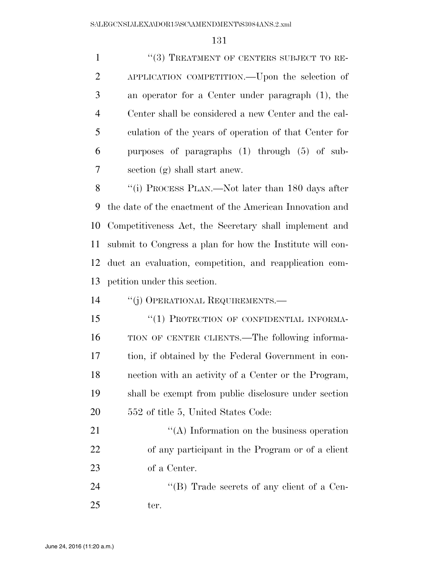1 ''(3) TREATMENT OF CENTERS SUBJECT TO RE- APPLICATION COMPETITION.—Upon the selection of an operator for a Center under paragraph (1), the Center shall be considered a new Center and the cal- culation of the years of operation of that Center for purposes of paragraphs (1) through (5) of sub- section (g) shall start anew. ''(i) PROCESS PLAN.—Not later than 180 days after the date of the enactment of the American Innovation and Competitiveness Act, the Secretary shall implement and submit to Congress a plan for how the Institute will con- duct an evaluation, competition, and reapplication com- petition under this section. ''(j) OPERATIONAL REQUIREMENTS.— 15 "(1) PROTECTION OF CONFIDENTIAL INFORMA- TION OF CENTER CLIENTS.—The following informa- tion, if obtained by the Federal Government in con- nection with an activity of a Center or the Program, shall be exempt from public disclosure under section 552 of title 5, United States Code: 21 ''(A) Information on the business operation of any participant in the Program or of a client

of a Center.

24  $\text{``(B)}$  Trade secrets of any client of a Cen-ter.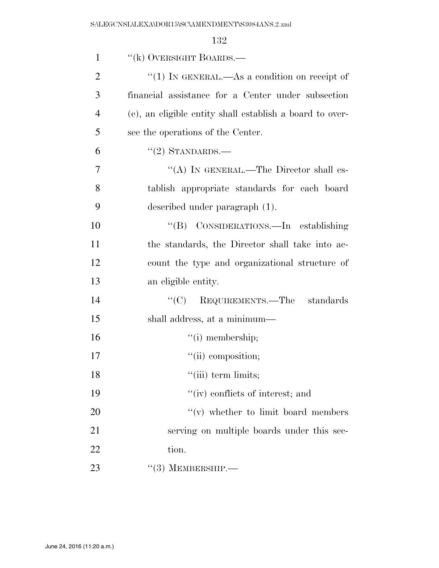| $\mathbf{1}$   | "(k) OVERSIGHT BOARDS.—                                  |
|----------------|----------------------------------------------------------|
| $\overline{2}$ | "(1) IN GENERAL.—As a condition on receipt of            |
| 3              | financial assistance for a Center under subsection       |
| $\overline{4}$ | (e), an eligible entity shall establish a board to over- |
| 5              | see the operations of the Center.                        |
| 6              | $"(2)$ STANDARDS.—                                       |
| $\overline{7}$ | "(A) IN GENERAL.—The Director shall es-                  |
| 8              | tablish appropriate standards for each board             |
| 9              | described under paragraph (1).                           |
| 10             | "(B) CONSIDERATIONS.—In establishing                     |
| 11             | the standards, the Director shall take into ac-          |
| 12             | count the type and organizational structure of           |
| 13             | an eligible entity.                                      |
| 14             | ``(C)<br>REQUIREMENTS.—The standards                     |
| 15             | shall address, at a minimum—                             |
| 16             | $``(i)$ membership;                                      |
| 17             | $``(ii)$ composition;                                    |
| 18             | "(iii) term limits;                                      |
| 19             | "(iv) conflicts of interest; and                         |
| 20             | $f'(v)$ whether to limit board members                   |
| 21             | serving on multiple boards under this sec-               |
| 22             | tion.                                                    |
| 23             | $\cdot\cdot(3)$ MEMBERSHIP.—                             |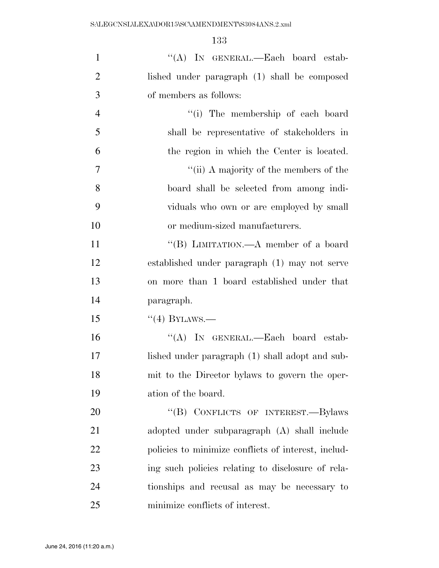| $\mathbf{1}$   | "(A) IN GENERAL.—Each board estab-                  |
|----------------|-----------------------------------------------------|
| $\overline{2}$ | lished under paragraph (1) shall be composed        |
| 3              | of members as follows:                              |
| $\overline{4}$ | "(i) The membership of each board                   |
| 5              | shall be representative of stakeholders in          |
| 6              | the region in which the Center is located.          |
| $\overline{7}$ | "(ii) A majority of the members of the              |
| 8              | board shall be selected from among indi-            |
| 9              | viduals who own or are employed by small            |
| 10             | or medium-sized manufacturers.                      |
| 11             | "(B) LIMITATION.—A member of a board                |
| 12             | established under paragraph (1) may not serve       |
| 13             | on more than 1 board established under that         |
| 14             | paragraph.                                          |
| 15             | $``(4)$ BYLAWS.—                                    |
| 16             | "(A) IN GENERAL.—Each board estab-                  |
| 17             | lished under paragraph (1) shall adopt and sub-     |
| 18             | mit to the Director bylaws to govern the oper-      |
| 19             | ation of the board.                                 |
| 20             | "(B) CONFLICTS OF INTEREST.-Bylaws                  |
| 21             | adopted under subparagraph (A) shall include        |
| 22             | policies to minimize conflicts of interest, includ- |
| 23             | ing such policies relating to disclosure of rela-   |
| 24             | tionships and recusal as may be necessary to        |
| 25             | minimize conflicts of interest.                     |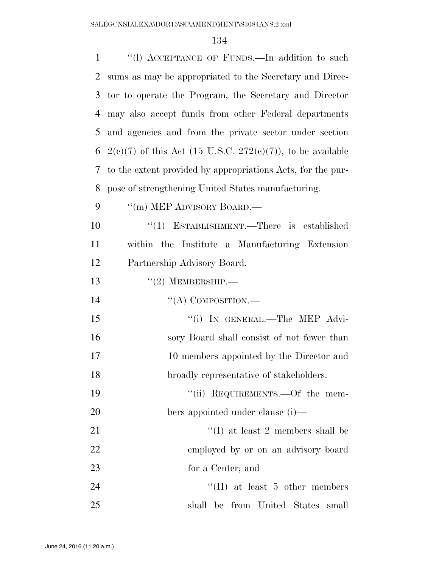| $\mathbf{1}$ | "(1) ACCEPTANCE OF FUNDS.—In addition to such                |
|--------------|--------------------------------------------------------------|
| 2            | sums as may be appropriated to the Secretary and Direc-      |
| 3            | tor to operate the Program, the Secretary and Director       |
| 4            | may also accept funds from other Federal departments         |
| 5            | and agencies and from the private sector under section       |
| 6            | $2(c)(7)$ of this Act (15 U.S.C. 272(c)(7)), to be available |
| 7            | to the extent provided by appropriations Acts, for the pur-  |
| 8            | pose of strengthening United States manufacturing.           |
| 9            | $\lq\lq$ (m) MEP ADVISORY BOARD.—                            |
| 10           | "(1) ESTABLISHMENT.—There is established                     |
| 11           | within the Institute a Manufacturing Extension               |
| 12           | Partnership Advisory Board.                                  |
| 13           | $``(2)$ MEMBERSHIP.—                                         |
| 14           | "(A) COMPOSITION.—                                           |
| 15           | "(i) IN GENERAL.—The MEP Advi-                               |
| 16           | sory Board shall consist of not fewer than                   |
| 17           | 10 members appointed by the Director and                     |
| 18           | broadly representative of stakeholders.                      |
| 19           | "(ii) REQUIREMENTS.—Of the mem-                              |
| 20           | bers appointed under clause (i)—                             |
| 21           | $\lq\lq$ (I) at least 2 members shall be                     |
| 22           | employed by or on an advisory board                          |
| 23           | for a Center; and                                            |
| 24           | $\lq\lq$ (II) at least 5 other members                       |
| 25           | shall be from United States<br>small                         |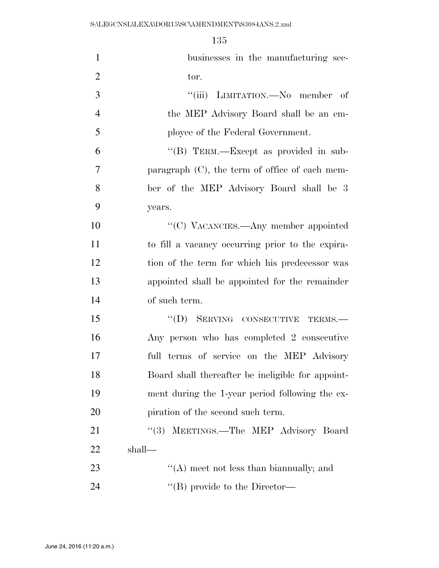| $\mathbf{1}$   | businesses in the manufacturing sec-              |
|----------------|---------------------------------------------------|
| $\overline{2}$ | tor.                                              |
| 3              | "(iii) LIMITATION.—No member of                   |
| $\overline{4}$ | the MEP Advisory Board shall be an em-            |
| 5              | ployee of the Federal Government.                 |
| 6              | "(B) TERM.—Except as provided in sub-             |
| $\overline{7}$ | paragraph $(C)$ , the term of office of each mem- |
| 8              | ber of the MEP Advisory Board shall be 3          |
| 9              | years.                                            |
| 10             | "(C) VACANCIES.—Any member appointed              |
| 11             | to fill a vacancy occurring prior to the expira-  |
| 12             | tion of the term for which his predecessor was    |
| 13             | appointed shall be appointed for the remainder    |
| 14             | of such term.                                     |
| 15             | "(D) SERVING CONSECUTIVE TERMS.-                  |
| 16             | Any person who has completed 2 consecutive        |
| 17             | full terms of service on the MEP Advisory         |
| 18             | Board shall thereafter be ineligible for appoint- |
| 19             | ment during the 1-year period following the ex-   |
| 20             | piration of the second such term.                 |
| 21             | (3)<br>MEETINGS.—The MEP Advisory Board           |
| 22             | shall—                                            |
| 23             | "(A) meet not less than bian mually; and          |
| 24             | "(B) provide to the Director-                     |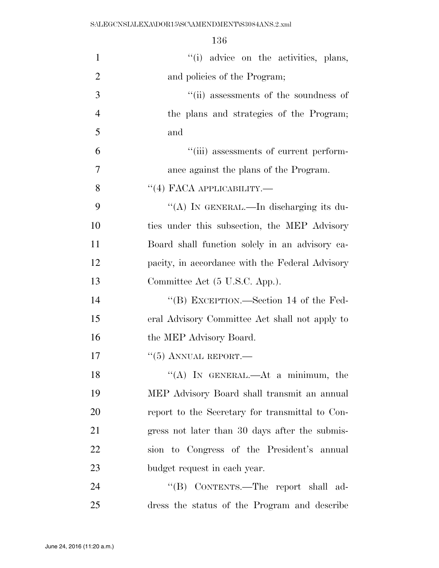| $\mathbf{1}$   | "(i) advice on the activities, plans,           |
|----------------|-------------------------------------------------|
| $\overline{2}$ | and policies of the Program;                    |
| 3              | "(ii) assessments of the soundness of           |
| $\overline{4}$ | the plans and strategies of the Program;        |
| 5              | and                                             |
| 6              | "(iii) assessments of current perform-          |
| 7              | ance against the plans of the Program.          |
| 8              | $\cdot$ (4) FACA APPLICABILITY.—                |
| 9              | "(A) IN GENERAL.—In discharging its du-         |
| 10             | ties under this subsection, the MEP Advisory    |
| 11             | Board shall function solely in an advisory ca-  |
| 12             | pacity, in accordance with the Federal Advisory |
| 13             | Committee Act (5 U.S.C. App.).                  |
| 14             | "(B) EXCEPTION.—Section 14 of the Fed-          |
| 15             | eral Advisory Committee Act shall not apply to  |
| 16             | the MEP Advisory Board.                         |
| 17             | $``(5)$ ANNUAL REPORT.—                         |
| 18             | "(A) IN GENERAL.—At a minimum, the              |
| 19             | MEP Advisory Board shall transmit an annual     |
| 20             | report to the Secretary for transmittal to Con- |
| 21             | gress not later than 30 days after the submis-  |
| 22             | sion to Congress of the President's annual      |
| 23             | budget request in each year.                    |
| 24             | "(B) CONTENTS.—The report shall ad-             |
| 25             | dress the status of the Program and describe    |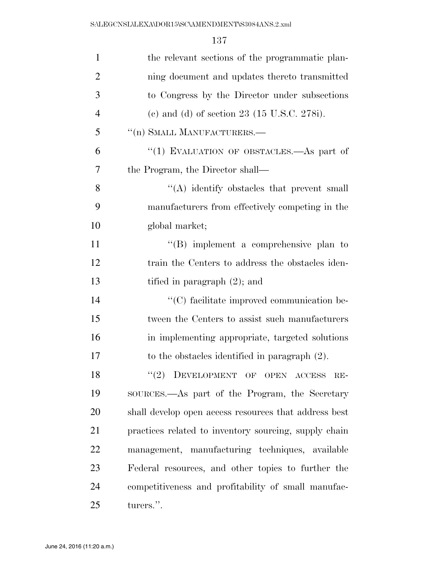| $\mathbf{1}$   | the relevant sections of the programmatic plan-         |
|----------------|---------------------------------------------------------|
| $\overline{2}$ | ning document and updates thereto transmitted           |
| 3              | to Congress by the Director under subsections           |
| $\overline{4}$ | (c) and (d) of section 23 $(15 \text{ U.S.C. } 278i)$ . |
| 5              | $\lq\lq$ (n) SMALL MANUFACTURERS.                       |
| 6              | "(1) EVALUATION OF OBSTACLES.—As part of                |
| 7              | the Program, the Director shall—                        |
| 8              | "(A) identify obstacles that prevent small              |
| 9              | manufacturers from effectively competing in the         |
| 10             | global market;                                          |
| 11             | $\lq\lq$ implement a comprehensive plan to              |
| 12             | train the Centers to address the obstacles iden-        |
| 13             | tified in paragraph $(2)$ ; and                         |
| 14             | "(C) facilitate improved communication be-              |
| 15             | tween the Centers to assist such manufacturers          |
| 16             | in implementing appropriate, targeted solutions         |
| 17             | to the obstacles identified in paragraph $(2)$ .        |
| 18             | "(2) DEVELOPMENT OF OPEN ACCESS<br>RE-                  |
| 19             | SOURCES.—As part of the Program, the Secretary          |
| 20             | shall develop open access resources that address best   |
| 21             | practices related to inventory sourcing, supply chain   |
| 22             | management, manufacturing techniques, available         |
| 23             | Federal resources, and other topics to further the      |
| 24             | competitiveness and profitability of small manufac-     |
| 25             | turers.".                                               |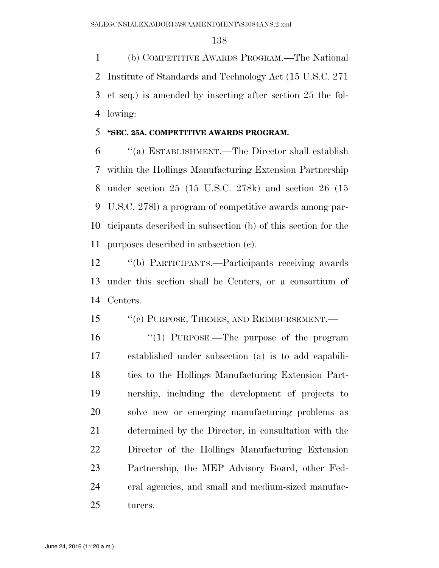(b) COMPETITIVE AWARDS PROGRAM.—The National Institute of Standards and Technology Act (15 U.S.C. 271 et seq.) is amended by inserting after section 25 the fol-lowing:

#### **''SEC. 25A. COMPETITIVE AWARDS PROGRAM.**

 ''(a) ESTABLISHMENT.—The Director shall establish within the Hollings Manufacturing Extension Partnership under section 25 (15 U.S.C. 278k) and section 26 (15 U.S.C. 278l) a program of competitive awards among par- ticipants described in subsection (b) of this section for the purposes described in subsection (c).

 ''(b) PARTICIPANTS.—Participants receiving awards under this section shall be Centers, or a consortium of Centers.

#### 15 "(c) PURPOSE, THEMES, AND REIMBURSEMENT.—

16 "(1) PURPOSE.—The purpose of the program established under subsection (a) is to add capabili- ties to the Hollings Manufacturing Extension Part- nership, including the development of projects to solve new or emerging manufacturing problems as determined by the Director, in consultation with the Director of the Hollings Manufacturing Extension Partnership, the MEP Advisory Board, other Fed- eral agencies, and small and medium-sized manufac-turers.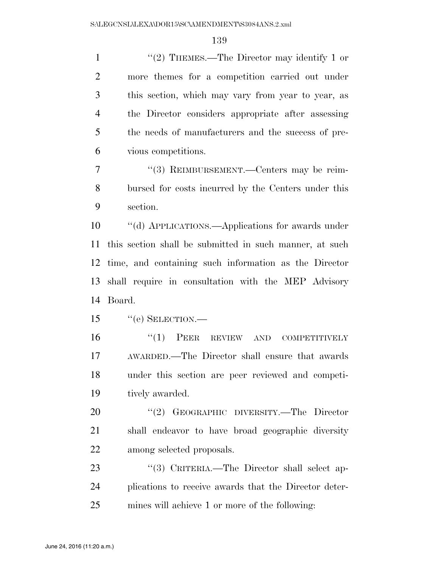1 "(2) THEMES.—The Director may identify 1 or more themes for a competition carried out under this section, which may vary from year to year, as the Director considers appropriate after assessing the needs of manufacturers and the success of pre-vious competitions.

 ''(3) REIMBURSEMENT.—Centers may be reim- bursed for costs incurred by the Centers under this section.

 ''(d) APPLICATIONS.—Applications for awards under this section shall be submitted in such manner, at such time, and containing such information as the Director shall require in consultation with the MEP Advisory Board.

15 "(e) SELECTION.—

 ''(1) PEER REVIEW AND COMPETITIVELY AWARDED.—The Director shall ensure that awards under this section are peer reviewed and competi-tively awarded.

20 "(2) GEOGRAPHIC DIVERSITY.—The Director shall endeavor to have broad geographic diversity among selected proposals.

23 "(3) CRITERIA.—The Director shall select ap- plications to receive awards that the Director deter-mines will achieve 1 or more of the following: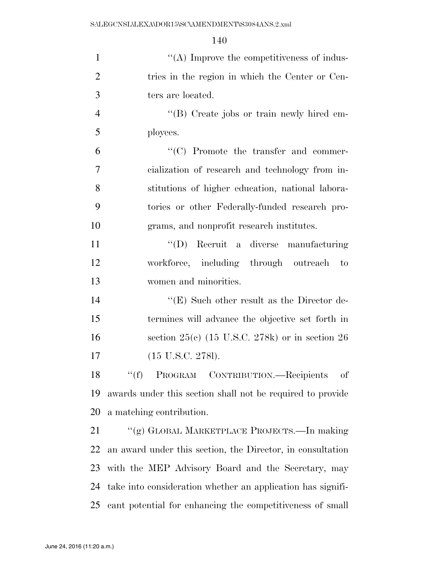| $\mathbf{1}$   | $\lq\lq$ . Improve the competitiveness of indus-            |
|----------------|-------------------------------------------------------------|
| $\overline{2}$ | tries in the region in which the Center or Cen-             |
| 3              | ters are located.                                           |
| $\overline{4}$ | "(B) Create jobs or train newly hired em-                   |
| 5              | ployees.                                                    |
| 6              | "(C) Promote the transfer and commer-                       |
| 7              | cialization of research and technology from in-             |
| 8              | stitutions of higher education, national labora-            |
| 9              | tories or other Federally-funded research pro-              |
| 10             | grams, and nonprofit research institutes.                   |
| 11             | "(D) Recruit a diverse manufacturing                        |
| 12             | workforce, including through outreach to                    |
| 13             | women and minorities.                                       |
| 14             | " $(E)$ Such other result as the Director de-               |
| 15             | termines will advance the objective set forth in            |
| 16             | section $25(c)$ (15 U.S.C. 278k) or in section 26           |
| 17             | $(15 \text{ U.S.C. } 278l).$                                |
| 18             | PROGRAM CONTRIBUTION.-Recipients<br>``(f)<br>οf             |
| 19             | awards under this section shall not be required to provide  |
| 20             | a matching contribution.                                    |
| 21             | "(g) GLOBAL MARKETPLACE PROJECTS.—In making                 |
| 22             | an award under this section, the Director, in consultation  |
| 23             | with the MEP Advisory Board and the Secretary, may          |
| 24             | take into consideration whether an application has signifi- |
| 25             | cant potential for enhancing the competitiveness of small   |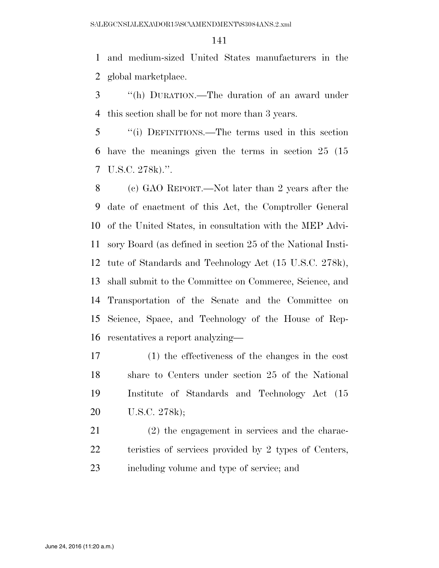and medium-sized United States manufacturers in the global marketplace.

 ''(h) DURATION.—The duration of an award under this section shall be for not more than 3 years.

 ''(i) DEFINITIONS.—The terms used in this section have the meanings given the terms in section 25 (15 U.S.C. 278k).''.

 (c) GAO REPORT.—Not later than 2 years after the date of enactment of this Act, the Comptroller General of the United States, in consultation with the MEP Advi- sory Board (as defined in section 25 of the National Insti- tute of Standards and Technology Act (15 U.S.C. 278k), shall submit to the Committee on Commerce, Science, and Transportation of the Senate and the Committee on Science, Space, and Technology of the House of Rep-resentatives a report analyzing—

 (1) the effectiveness of the changes in the cost share to Centers under section 25 of the National Institute of Standards and Technology Act (15 U.S.C. 278k);

 (2) the engagement in services and the charac-22 teristics of services provided by 2 types of Centers, including volume and type of service; and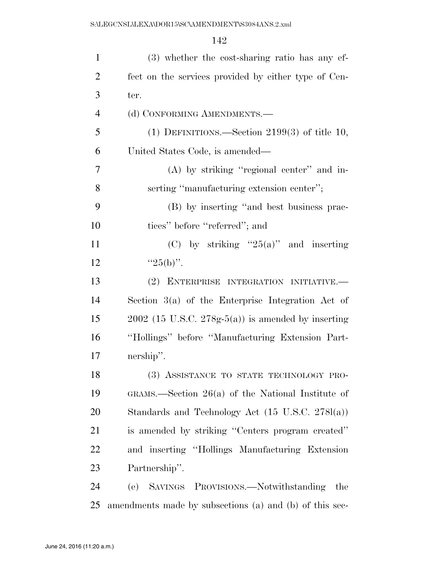| $\mathbf{1}$   | (3) whether the cost-sharing ratio has any ef-              |
|----------------|-------------------------------------------------------------|
| $\overline{2}$ | fect on the services provided by either type of Cen-        |
| 3              | ter.                                                        |
| $\overline{4}$ | (d) CONFORMING AMENDMENTS.—                                 |
| 5              | (1) DEFINITIONS.—Section $2199(3)$ of title 10,             |
| 6              | United States Code, is amended—                             |
| $\tau$         | (A) by striking "regional center" and in-                   |
| 8              | serting "manufacturing extension center";                   |
| 9              | (B) by inserting "and best business prac-                   |
| 10             | tices" before "referred"; and                               |
| 11             | (C) by striking " $25(a)$ " and inserting                   |
| 12             | " $25(b)$ ".                                                |
| 13             | (2) ENTERPRISE INTEGRATION INITIATIVE.—                     |
| 14             | Section $3(a)$ of the Enterprise Integration Act of         |
| 15             | $2002$ (15 U.S.C. 278g-5(a)) is amended by inserting        |
| 16             | "Hollings" before "Manufacturing Extension Part-            |
| 17             | nership".                                                   |
| 18             | (3) ASSISTANCE TO STATE TECHNOLOGY PRO-                     |
| 19             | GRAMS.—Section $26(a)$ of the National Institute of         |
| 20             | Standards and Technology Act $(15 \text{ U.S.C. } 278l(a))$ |
| 21             | is amended by striking "Centers program created"            |
| 22             | and inserting "Hollings Manufacturing Extension             |
| 23             | Partnership".                                               |
| 24             | SAVINGS PROVISIONS.-Notwithstanding<br>(e)<br>the           |
| 25             | amendments made by subsections (a) and (b) of this sec-     |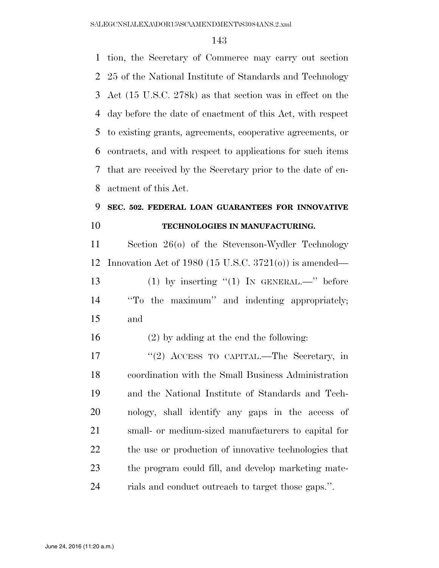tion, the Secretary of Commerce may carry out section 25 of the National Institute of Standards and Technology Act (15 U.S.C. 278k) as that section was in effect on the day before the date of enactment of this Act, with respect to existing grants, agreements, cooperative agreements, or contracts, and with respect to applications for such items that are received by the Secretary prior to the date of en-actment of this Act.

### **SEC. 502. FEDERAL LOAN GUARANTEES FOR INNOVATIVE TECHNOLOGIES IN MANUFACTURING.**

 Section 26(o) of the Stevenson-Wydler Technology Innovation Act of 1980 (15 U.S.C. 3721(o)) is amended— 13 (1) by inserting  $(1)$  IN GENERAL.—" before ''To the maximum'' and indenting appropriately; and

(2) by adding at the end the following:

 ''(2) ACCESS TO CAPITAL.—The Secretary, in coordination with the Small Business Administration and the National Institute of Standards and Tech- nology, shall identify any gaps in the access of small- or medium-sized manufacturers to capital for the use or production of innovative technologies that the program could fill, and develop marketing mate-rials and conduct outreach to target those gaps.''.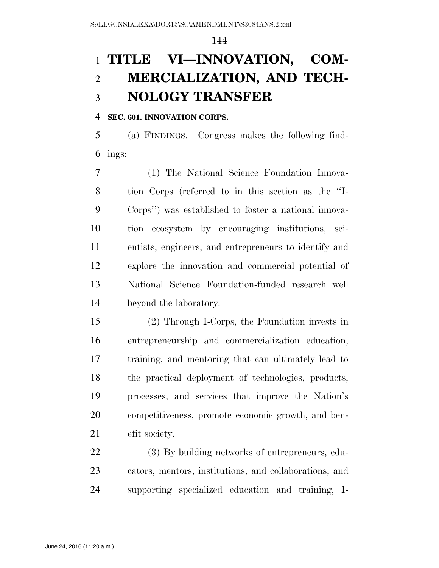# **TITLE VI—INNOVATION, COM- MERCIALIZATION, AND TECH-NOLOGY TRANSFER**

#### **SEC. 601. INNOVATION CORPS.**

 (a) FINDINGS.—Congress makes the following find-ings:

 (1) The National Science Foundation Innova- tion Corps (referred to in this section as the ''I- Corps'') was established to foster a national innova- tion ecosystem by encouraging institutions, sci- entists, engineers, and entrepreneurs to identify and explore the innovation and commercial potential of National Science Foundation-funded research well beyond the laboratory.

 (2) Through I-Corps, the Foundation invests in entrepreneurship and commercialization education, training, and mentoring that can ultimately lead to the practical deployment of technologies, products, processes, and services that improve the Nation's competitiveness, promote economic growth, and ben-efit society.

 (3) By building networks of entrepreneurs, edu- cators, mentors, institutions, and collaborations, and supporting specialized education and training, I-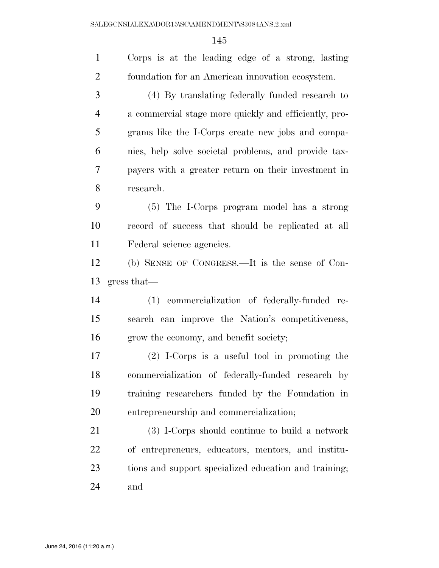| $\mathbf{1}$   | Corps is at the leading edge of a strong, lasting     |
|----------------|-------------------------------------------------------|
| $\overline{2}$ | foundation for an American innovation ecosystem.      |
| 3              | (4) By translating federally funded research to       |
| $\overline{4}$ | a commercial stage more quickly and efficiently, pro- |
| 5              | grams like the I-Corps create new jobs and compa-     |
| 6              | nies, help solve societal problems, and provide tax-  |
| 7              | payers with a greater return on their investment in   |
| 8              | research.                                             |
| 9              | (5) The I-Corps program model has a strong            |
| 10             | record of success that should be replicated at all    |
| 11             | Federal science agencies.                             |
| 12             | (b) SENSE OF CONGRESS.—It is the sense of Con-        |
|                |                                                       |
| 13             | gress that                                            |
| 14             | (1) commercialization of federally-funded re-         |
| 15             | search can improve the Nation's competitiveness,      |
| 16             | grow the economy, and benefit society;                |
| 17             | $(2)$ I-Corps is a useful tool in promoting the       |
| 18             | commercialization of federally-funded research by     |
| 19             | training researchers funded by the Foundation in      |
| 20             | entrepreneurship and commercialization;               |
| 21             | (3) I-Corps should continue to build a network        |
| 22             | of entrepreneurs, educators, mentors, and institu-    |
| 23             | tions and support specialized education and training; |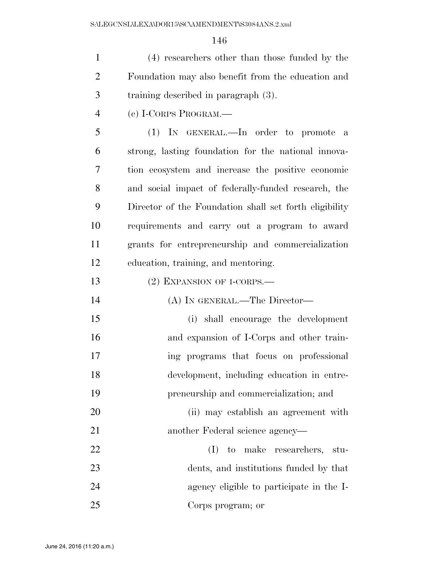(4) researchers other than those funded by the Foundation may also benefit from the education and training described in paragraph (3).

(c) I-CORPS PROGRAM.—

 (1) IN GENERAL.—In order to promote a strong, lasting foundation for the national innova- tion ecosystem and increase the positive economic and social impact of federally-funded research, the Director of the Foundation shall set forth eligibility requirements and carry out a program to award grants for entrepreneurship and commercialization education, training, and mentoring.

- 13 (2) EXPANSION OF I-CORPS.—
- (A) IN GENERAL.—The Director— (i) shall encourage the development and expansion of I-Corps and other train- ing programs that focus on professional development, including education in entre-preneurship and commercialization; and
- (ii) may establish an agreement with another Federal science agency—
- (I) to make researchers, stu- dents, and institutions funded by that agency eligible to participate in the I-Corps program; or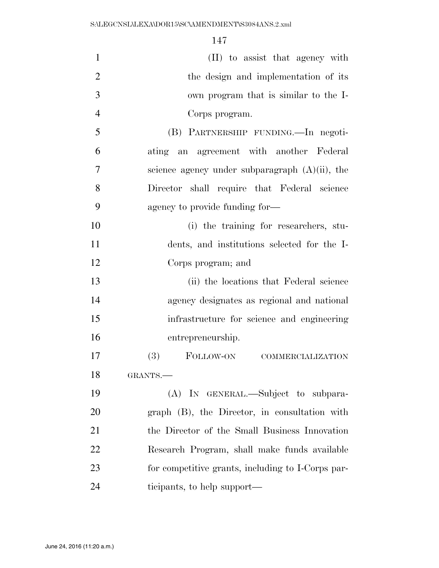| $\mathbf{1}$   | (II) to assist that agency with                   |
|----------------|---------------------------------------------------|
| $\overline{2}$ | the design and implementation of its              |
| 3              | own program that is similar to the I-             |
| $\overline{4}$ | Corps program.                                    |
| 5              | (B) PARTNERSHIP FUNDING. - In negoti-             |
| 6              | ating an agreement with another Federal           |
| 7              | science agency under subparagraph $(A)(ii)$ , the |
| 8              | Director shall require that Federal science       |
| 9              | agency to provide funding for—                    |
| 10             | (i) the training for researchers, stu-            |
| 11             | dents, and institutions selected for the I-       |
| 12             | Corps program; and                                |
| 13             | (ii) the locations that Federal science           |
| 14             | agency designates as regional and national        |
| 15             | infrastructure for science and engineering        |
| 16             | entrepreneurship.                                 |
| 17             | (3)<br>FOLLOW-ON<br><b>COMMERCIALIZATION</b>      |
| 18             | GRANTS.                                           |
| 19             | (A) IN GENERAL.—Subject to subpara-               |
| 20             | graph (B), the Director, in consultation with     |
| 21             | the Director of the Small Business Innovation     |
| 22             | Research Program, shall make funds available      |
| 23             | for competitive grants, including to I-Corps par- |
| 24             | ticipants, to help support—                       |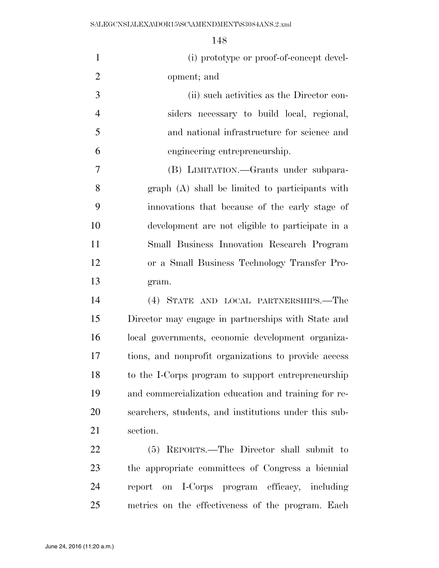| $\mathbf{1}$   | (i) prototype or proof-of-concept devel-              |
|----------------|-------------------------------------------------------|
| $\overline{2}$ | opment; and                                           |
| 3              | (ii) such activities as the Director con-             |
| $\overline{4}$ | siders necessary to build local, regional,            |
| 5              | and national infrastructure for science and           |
| 6              | engineering entrepreneurship.                         |
| 7              | (B) LIMITATION.—Grants under subpara-                 |
| 8              | graph (A) shall be limited to participants with       |
| 9              | innovations that because of the early stage of        |
| 10             | development are not eligible to participate in a      |
| 11             | Small Business Innovation Research Program            |
| 12             | or a Small Business Technology Transfer Pro-          |
| 13             | gram.                                                 |
| 14             | (4) STATE AND LOCAL PARTNERSHIPS.—The                 |
| 15             | Director may engage in partnerships with State and    |
| 16             | local governments, economic development organiza-     |
| 17             | tions, and nonprofit organizations to provide access  |
| 18             | to the I-Corps program to support entrepreneurship    |
| 19             | and commercialization education and training for re-  |
| 20             | searchers, students, and institutions under this sub- |
| 21             | section.                                              |
| 22             | (5) REPORTS.—The Director shall submit to             |
| 23             | the appropriate committees of Congress a biennial     |
| 24             | on I-Corps program efficacy, including<br>report      |
| 25             | metrics on the effectiveness of the program. Each     |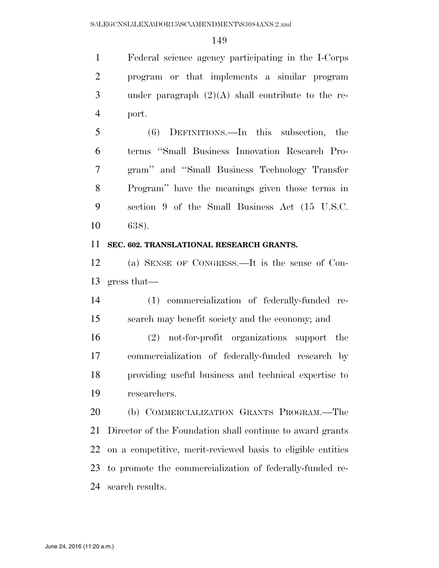Federal science agency participating in the I-Corps program or that implements a similar program under paragraph (2)(A) shall contribute to the re-port.

 (6) DEFINITIONS.—In this subsection, the terms ''Small Business Innovation Research Pro- gram'' and ''Small Business Technology Transfer Program'' have the meanings given those terms in section 9 of the Small Business Act (15 U.S.C. 638).

## **SEC. 602. TRANSLATIONAL RESEARCH GRANTS.**

 (a) SENSE OF CONGRESS.—It is the sense of Con-gress that—

 (1) commercialization of federally-funded re-search may benefit society and the economy; and

 (2) not-for-profit organizations support the commercialization of federally-funded research by providing useful business and technical expertise to researchers.

 (b) COMMERCIALIZATION GRANTS PROGRAM.—The Director of the Foundation shall continue to award grants on a competitive, merit-reviewed basis to eligible entities to promote the commercialization of federally-funded re-search results.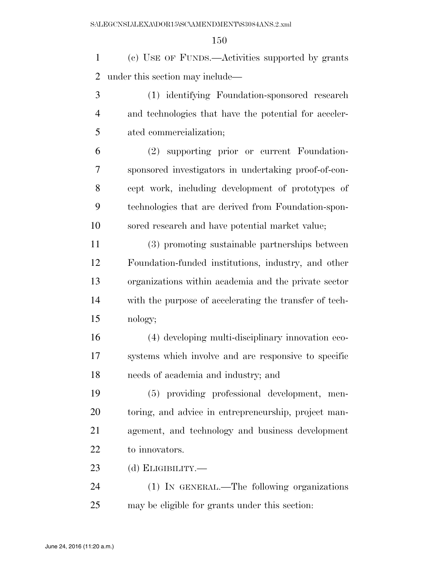(c) USE OF FUNDS.—Activities supported by grants under this section may include—

 (1) identifying Foundation-sponsored research and technologies that have the potential for acceler-ated commercialization;

 (2) supporting prior or current Foundation- sponsored investigators in undertaking proof-of-con- cept work, including development of prototypes of technologies that are derived from Foundation-spon-sored research and have potential market value;

 (3) promoting sustainable partnerships between Foundation-funded institutions, industry, and other organizations within academia and the private sector with the purpose of accelerating the transfer of tech-nology;

 (4) developing multi-disciplinary innovation eco- systems which involve and are responsive to specific needs of academia and industry; and

 (5) providing professional development, men- toring, and advice in entrepreneurship, project man- agement, and technology and business development 22 to innovators.

(d) ELIGIBILITY.—

 (1) IN GENERAL.—The following organizations may be eligible for grants under this section: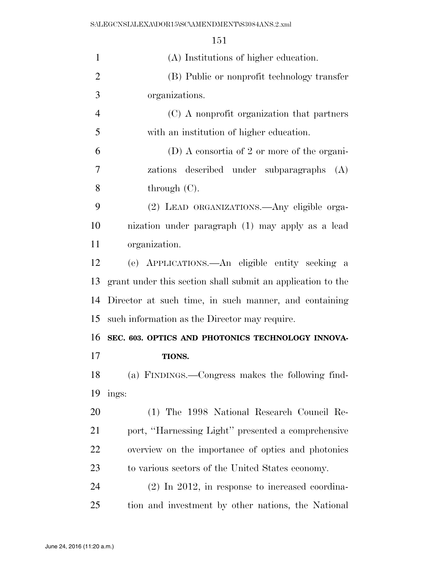| $\mathbf{1}$   | (A) Institutions of higher education.                       |
|----------------|-------------------------------------------------------------|
| $\overline{2}$ | (B) Public or nonprofit technology transfer                 |
| 3              | organizations.                                              |
| $\overline{4}$ | (C) A nonprofit organization that partners                  |
| 5              | with an institution of higher education.                    |
| 6              | $(D)$ A consortia of 2 or more of the organi-               |
| 7              | zations described under subparagraphs (A)                   |
| 8              | through $(C)$ .                                             |
| 9              | (2) LEAD ORGANIZATIONS.—Any eligible orga-                  |
| 10             | nization under paragraph (1) may apply as a lead            |
| 11             | organization.                                               |
| 12             | (e) APPLICATIONS.—An eligible entity seeking a              |
| 13             | grant under this section shall submit an application to the |
| 14             | Director at such time, in such manner, and containing       |
| 15             | such information as the Director may require.               |
| 16             | SEC. 603. OPTICS AND PHOTONICS TECHNOLOGY INNOVA-           |
| 17             | <b>TIONS.</b>                                               |
| 18             | (a) FINDINGS.—Congress makes the following find-            |
| 19             | ings:                                                       |
| 20             | (1) The 1998 National Research Council Re-                  |
| 21             | port, "Harnessing Light" presented a comprehensive          |
| 22             | overview on the importance of optics and photonics          |
| 23             | to various sectors of the United States economy.            |
| 24             | $(2)$ In 2012, in response to increased coordina-           |
| 25             | tion and investment by other nations, the National          |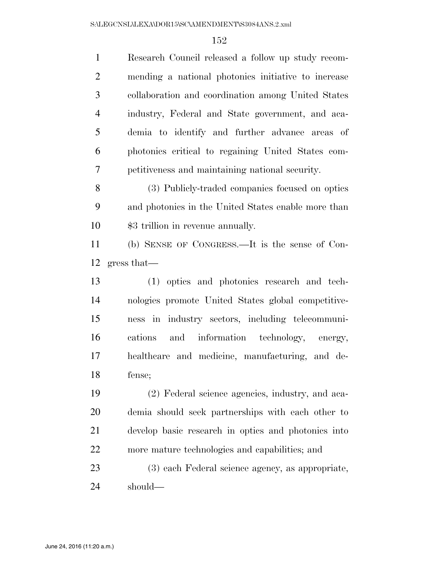| $\mathbf{1}$   | Research Council released a follow up study recom-  |
|----------------|-----------------------------------------------------|
| 2              | mending a national photonics initiative to increase |
| 3              | collaboration and coordination among United States  |
| $\overline{4}$ | industry, Federal and State government, and aca-    |
| 5              | demia to identify and further advance areas of      |
| 6              | photonics critical to regaining United States com-  |
| 7              | petitiveness and maintaining national security.     |
| 8              | (3) Publicly-traded companies focused on optics     |
| 9              | and photonics in the United States enable more than |
| 10             | \$3 trillion in revenue annually.                   |
|                |                                                     |

 (b) SENSE OF CONGRESS.—It is the sense of Con-gress that—

 (1) optics and photonics research and tech- nologies promote United States global competitive- ness in industry sectors, including telecommuni- cations and information technology, energy, healthcare and medicine, manufacturing, and de-fense;

 (2) Federal science agencies, industry, and aca- demia should seek partnerships with each other to develop basic research in optics and photonics into more mature technologies and capabilities; and

 (3) each Federal science agency, as appropriate, should—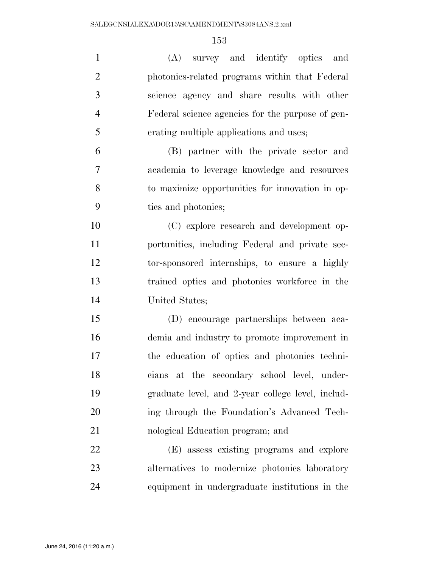| $\mathbf{1}$   | (A) survey and identify optics and                |
|----------------|---------------------------------------------------|
| $\overline{2}$ | photonics-related programs within that Federal    |
| 3              | science agency and share results with other       |
| $\overline{4}$ | Federal science agencies for the purpose of gen-  |
| 5              | erating multiple applications and uses;           |
| 6              | (B) partner with the private sector and           |
| 7              | academia to leverage knowledge and resources      |
| 8              | to maximize opportunities for innovation in op-   |
| 9              | tics and photonics;                               |
| 10             | (C) explore research and development op-          |
| 11             | portunities, including Federal and private sec-   |
| 12             | tor-sponsored internships, to ensure a highly     |
| 13             | trained optics and photonics workforce in the     |
| 14             | United States;                                    |
| 15             | (D) encourage partnerships between aca-           |
| 16             | demia and industry to promote improvement in      |
| 17             | the education of optics and photonics techni-     |
| 18             | cians at the secondary school level, under-       |
| 19             | graduate level, and 2-year college level, includ- |
| 20             | ing through the Foundation's Advanced Tech-       |
| 21             | nological Education program; and                  |
| 22             | (E) assess existing programs and explore          |
| 23             | alternatives to modernize photonics laboratory    |
| 24             | equipment in undergraduate institutions in the    |